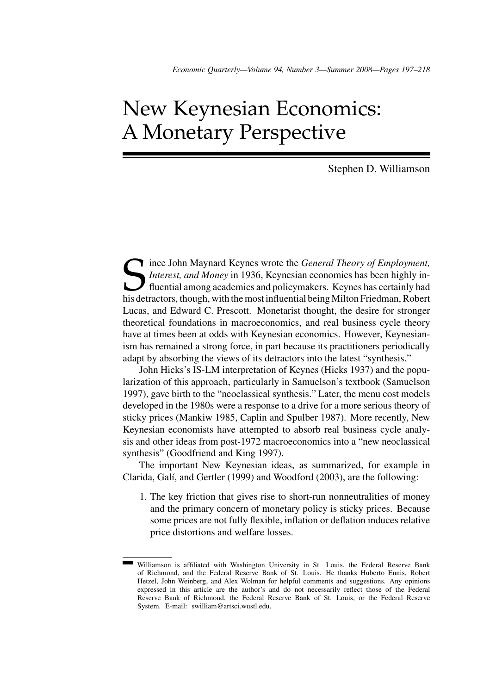# New Keynesian Economics: A Monetary Perspective

Stephen D. Williamson

Since John Maynard Keynes wrote the *General Theory of Employment,*<br>Interest, and *Money* in 1936, Keynesian economics has been highly in-<br>fluential among academics and policymakers. Keynes has certainly had<br>his detractors *Interest, and Money* in 1936, Keynesian economics has been highly influential among academics and policymakers. Keynes has certainly had his detractors, though, with the most influential being Milton Friedman, Robert Lucas, and Edward C. Prescott. Monetarist thought, the desire for stronger theoretical foundations in macroeconomics, and real business cycle theory have at times been at odds with Keynesian economics. However, Keynesianism has remained a strong force, in part because its practitioners periodically adapt by absorbing the views of its detractors into the latest "synthesis."

John Hicks's IS-LM interpretation of Keynes (Hicks 1937) and the popularization of this approach, particularly in Samuelson's textbook (Samuelson 1997), gave birth to the "neoclassical synthesis." Later, the menu cost models developed in the 1980s were a response to a drive for a more serious theory of sticky prices (Mankiw 1985, Caplin and Spulber 1987). More recently, New Keynesian economists have attempted to absorb real business cycle analysis and other ideas from post-1972 macroeconomics into a "new neoclassical synthesis" (Goodfriend and King 1997).

The important New Keynesian ideas, as summarized, for example in Clarida, Galí, and Gertler (1999) and Woodford (2003), are the following:

1. The key friction that gives rise to short-run nonneutralities of money and the primary concern of monetary policy is sticky prices. Because some prices are not fully flexible, inflation or deflation induces relative price distortions and welfare losses.

Williamson is affiliated with Washington University in St. Louis, the Federal Reserve Bank of Richmond, and the Federal Reserve Bank of St. Louis. He thanks Huberto Ennis, Robert Hetzel, John Weinberg, and Alex Wolman for helpful comments and suggestions. Any opinions expressed in this article are the author's and do not necessarily reflect those of the Federal Reserve Bank of Richmond, the Federal Reserve Bank of St. Louis, or the Federal Reserve System. E-mail: swilliam@artsci.wustl.edu.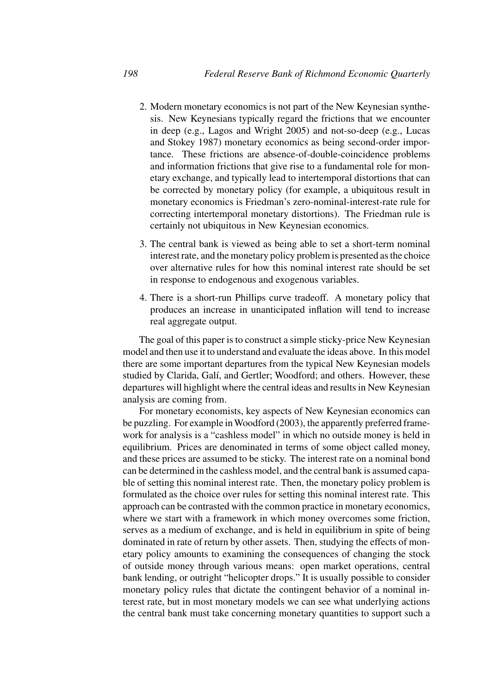- 2. Modern monetary economics is not part of the New Keynesian synthesis. New Keynesians typically regard the frictions that we encounter in deep (e.g., Lagos and Wright 2005) and not-so-deep (e.g., Lucas and Stokey 1987) monetary economics as being second-order importance. These frictions are absence-of-double-coincidence problems and information frictions that give rise to a fundamental role for monetary exchange, and typically lead to intertemporal distortions that can be corrected by monetary policy (for example, a ubiquitous result in monetary economics is Friedman's zero-nominal-interest-rate rule for correcting intertemporal monetary distortions). The Friedman rule is certainly not ubiquitous in New Keynesian economics.
- 3. The central bank is viewed as being able to set a short-term nominal interest rate, and the monetary policy problem is presented as the choice over alternative rules for how this nominal interest rate should be set in response to endogenous and exogenous variables.
- 4. There is a short-run Phillips curve tradeoff. A monetary policy that produces an increase in unanticipated inflation will tend to increase real aggregate output.

The goal of this paper is to construct a simple sticky-price New Keynesian model and then use it to understand and evaluate the ideas above. In this model there are some important departures from the typical New Keynesian models studied by Clarida, Galí, and Gertler; Woodford; and others. However, these departures will highlight where the central ideas and results in New Keynesian analysis are coming from.

For monetary economists, key aspects of New Keynesian economics can be puzzling. For example inWoodford (2003), the apparently preferred framework for analysis is a "cashless model" in which no outside money is held in equilibrium. Prices are denominated in terms of some object called money, and these prices are assumed to be sticky. The interest rate on a nominal bond can be determined in the cashless model, and the central bank is assumed capable of setting this nominal interest rate. Then, the monetary policy problem is formulated as the choice over rules for setting this nominal interest rate. This approach can be contrasted with the common practice in monetary economics, where we start with a framework in which money overcomes some friction, serves as a medium of exchange, and is held in equilibrium in spite of being dominated in rate of return by other assets. Then, studying the effects of monetary policy amounts to examining the consequences of changing the stock of outside money through various means: open market operations, central bank lending, or outright "helicopter drops." It is usually possible to consider monetary policy rules that dictate the contingent behavior of a nominal interest rate, but in most monetary models we can see what underlying actions the central bank must take concerning monetary quantities to support such a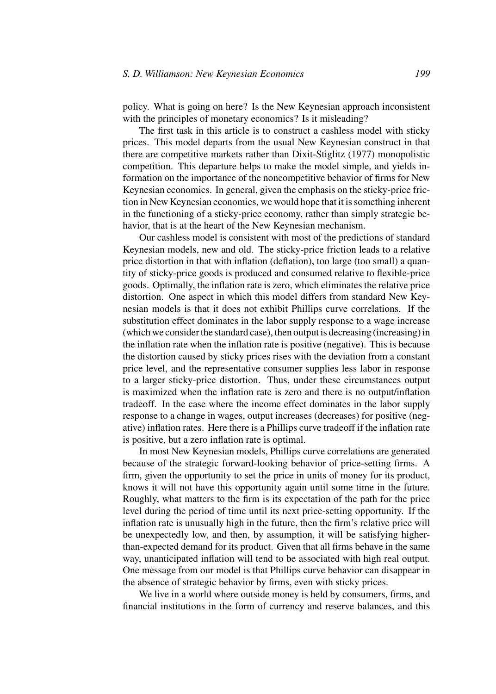policy. What is going on here? Is the New Keynesian approach inconsistent with the principles of monetary economics? Is it misleading?

The first task in this article is to construct a cashless model with sticky prices. This model departs from the usual New Keynesian construct in that there are competitive markets rather than Dixit-Stiglitz (1977) monopolistic competition. This departure helps to make the model simple, and yields information on the importance of the noncompetitive behavior of firms for New Keynesian economics. In general, given the emphasis on the sticky-price friction in New Keynesian economics, we would hope that it is something inherent in the functioning of a sticky-price economy, rather than simply strategic behavior, that is at the heart of the New Keynesian mechanism.

Our cashless model is consistent with most of the predictions of standard Keynesian models, new and old. The sticky-price friction leads to a relative price distortion in that with inflation (deflation), too large (too small) a quantity of sticky-price goods is produced and consumed relative to flexible-price goods. Optimally, the inflation rate is zero, which eliminates the relative price distortion. One aspect in which this model differs from standard New Keynesian models is that it does not exhibit Phillips curve correlations. If the substitution effect dominates in the labor supply response to a wage increase (which we consider the standard case), then output is decreasing (increasing) in the inflation rate when the inflation rate is positive (negative). This is because the distortion caused by sticky prices rises with the deviation from a constant price level, and the representative consumer supplies less labor in response to a larger sticky-price distortion. Thus, under these circumstances output is maximized when the inflation rate is zero and there is no output/inflation tradeoff. In the case where the income effect dominates in the labor supply response to a change in wages, output increases (decreases) for positive (negative) inflation rates. Here there is a Phillips curve tradeoff if the inflation rate is positive, but a zero inflation rate is optimal.

In most New Keynesian models, Phillips curve correlations are generated because of the strategic forward-looking behavior of price-setting firms. A firm, given the opportunity to set the price in units of money for its product, knows it will not have this opportunity again until some time in the future. Roughly, what matters to the firm is its expectation of the path for the price level during the period of time until its next price-setting opportunity. If the inflation rate is unusually high in the future, then the firm's relative price will be unexpectedly low, and then, by assumption, it will be satisfying higherthan-expected demand for its product. Given that all firms behave in the same way, unanticipated inflation will tend to be associated with high real output. One message from our model is that Phillips curve behavior can disappear in the absence of strategic behavior by firms, even with sticky prices.

We live in a world where outside money is held by consumers, firms, and financial institutions in the form of currency and reserve balances, and this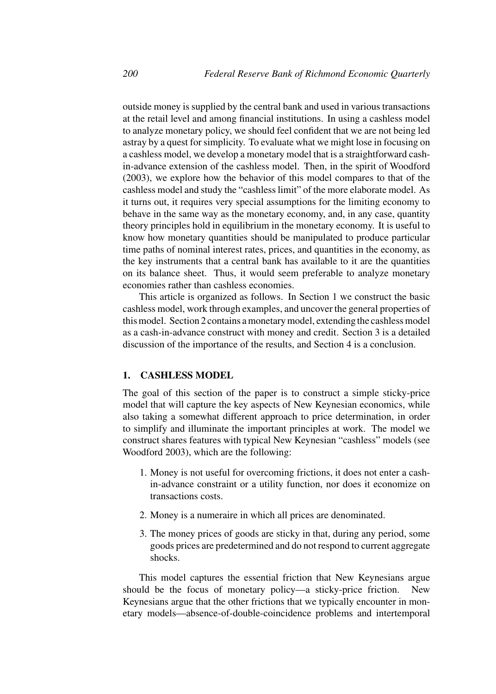outside money is supplied by the central bank and used in various transactions at the retail level and among financial institutions. In using a cashless model to analyze monetary policy, we should feel confident that we are not being led astray by a quest for simplicity. To evaluate what we might lose in focusing on a cashless model, we develop a monetary model that is a straightforward cashin-advance extension of the cashless model. Then, in the spirit of Woodford (2003), we explore how the behavior of this model compares to that of the cashless model and study the "cashless limit" of the more elaborate model. As it turns out, it requires very special assumptions for the limiting economy to behave in the same way as the monetary economy, and, in any case, quantity theory principles hold in equilibrium in the monetary economy. It is useful to know how monetary quantities should be manipulated to produce particular time paths of nominal interest rates, prices, and quantities in the economy, as the key instruments that a central bank has available to it are the quantities on its balance sheet. Thus, it would seem preferable to analyze monetary economies rather than cashless economies.

This article is organized as follows. In Section 1 we construct the basic cashless model, work through examples, and uncover the general properties of this model. Section 2 contains a monetary model, extending the cashless model as a cash-in-advance construct with money and credit. Section 3 is a detailed discussion of the importance of the results, and Section 4 is a conclusion.

# **1. CASHLESS MODEL**

The goal of this section of the paper is to construct a simple sticky-price model that will capture the key aspects of New Keynesian economics, while also taking a somewhat different approach to price determination, in order to simplify and illuminate the important principles at work. The model we construct shares features with typical New Keynesian "cashless" models (see Woodford 2003), which are the following:

- 1. Money is not useful for overcoming frictions, it does not enter a cashin-advance constraint or a utility function, nor does it economize on transactions costs.
- 2. Money is a numeraire in which all prices are denominated.
- 3. The money prices of goods are sticky in that, during any period, some goods prices are predetermined and do not respond to current aggregate shocks.

This model captures the essential friction that New Keynesians argue should be the focus of monetary policy—a sticky-price friction. New Keynesians argue that the other frictions that we typically encounter in monetary models—absence-of-double-coincidence problems and intertemporal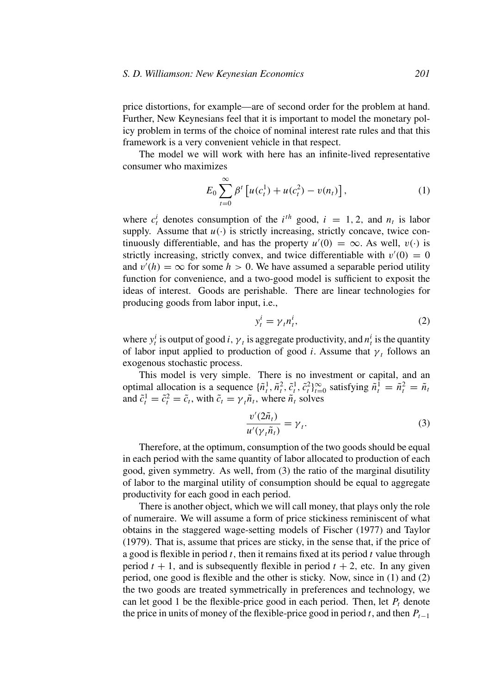price distortions, for example—are of second order for the problem at hand. Further, New Keynesians feel that it is important to model the monetary policy problem in terms of the choice of nominal interest rate rules and that this framework is a very convenient vehicle in that respect.

The model we will work with here has an infinite-lived representative consumer who maximizes

$$
E_0 \sum_{t=0}^{\infty} \beta^t \left[ u(c_t^1) + u(c_t^2) - v(n_t) \right],
$$
 (1)

where  $c_t^i$  denotes consumption of the  $i^{th}$  good,  $i = 1, 2$ , and  $n_t$  is labor supply. Assume that  $u(\cdot)$  is strictly increasing, strictly concave, twice continuously differentiable, and has the property  $u'(0) = \infty$ . As well,  $v(\cdot)$  is strictly increasing, strictly convex, and twice differentiable with  $v'(0) = 0$ and  $v'(h) = \infty$  for some  $h > 0$ . We have assumed a separable period utility function for convenience, and a two-good model is sufficient to exposit the ideas of interest. Goods are perishable. There are linear technologies for producing goods from labor input, i.e.,

$$
y_t^i = \gamma_t n_t^i,\tag{2}
$$

where  $y_t^i$  is output of good *i*,  $\gamma_t$  is aggregate productivity, and  $n_t^i$  is the quantity of labor input applied to production of good *i*. Assume that  $\gamma_t$  follows an exogenous stochastic process.

This model is very simple. There is no investment or capital, and an optimal allocation is a sequence  $\{\tilde{n}_t^1, \tilde{n}_t^2, \tilde{c}_t^1, \tilde{c}_t^2\}_{t=0}^\infty$  satisfying  $\tilde{n}_t^1 = \tilde{n}_t^2 = \tilde{n}_t$ and  $\tilde{c}_t^1 = \tilde{c}_t^2 = \tilde{c}_t$ , with  $\tilde{c}_t = \gamma_t \tilde{n}_t$ , where  $\tilde{n}_t$  solves

$$
\frac{v'(2\tilde{n}_t)}{u'(\gamma_t\tilde{n}_t)} = \gamma_t.
$$
\n(3)

Therefore, at the optimum, consumption of the two goods should be equal in each period with the same quantity of labor allocated to production of each good, given symmetry. As well, from (3) the ratio of the marginal disutility of labor to the marginal utility of consumption should be equal to aggregate productivity for each good in each period.

There is another object, which we will call money, that plays only the role of numeraire. We will assume a form of price stickiness reminiscent of what obtains in the staggered wage-setting models of Fischer (1977) and Taylor (1979). That is, assume that prices are sticky, in the sense that, if the price of a good is flexible in period *t,* then it remains fixed at its period *t* value through period  $t + 1$ , and is subsequently flexible in period  $t + 2$ , etc. In any given period, one good is flexible and the other is sticky. Now, since in (1) and (2) the two goods are treated symmetrically in preferences and technology, we can let good 1 be the flexible-price good in each period. Then, let  $P_t$  denote the price in units of money of the flexible-price good in period *t*, and then  $P_{t-1}$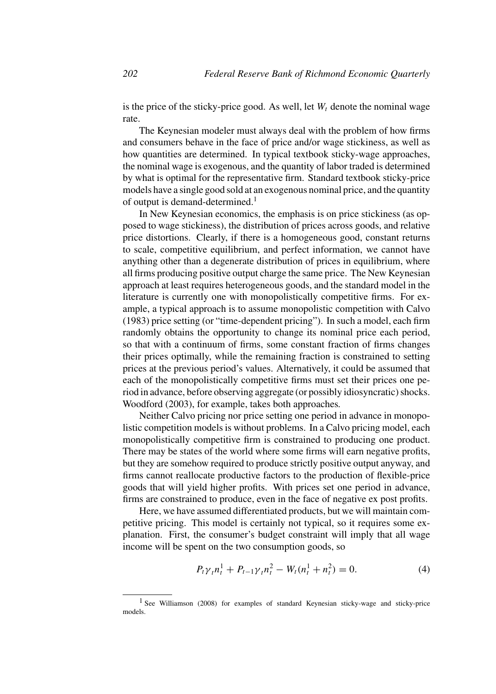is the price of the sticky-price good. As well, let  $W_t$  denote the nominal wage rate.

The Keynesian modeler must always deal with the problem of how firms and consumers behave in the face of price and/or wage stickiness, as well as how quantities are determined. In typical textbook sticky-wage approaches, the nominal wage is exogenous, and the quantity of labor traded is determined by what is optimal for the representative firm. Standard textbook sticky-price models have a single good sold at an exogenous nominal price, and the quantity of output is demand-determined.<sup>1</sup>

In New Keynesian economics, the emphasis is on price stickiness (as opposed to wage stickiness), the distribution of prices across goods, and relative price distortions. Clearly, if there is a homogeneous good, constant returns to scale, competitive equilibrium, and perfect information, we cannot have anything other than a degenerate distribution of prices in equilibrium, where all firms producing positive output charge the same price. The New Keynesian approach at least requires heterogeneous goods, and the standard model in the literature is currently one with monopolistically competitive firms. For example, a typical approach is to assume monopolistic competition with Calvo (1983) price setting (or "time-dependent pricing"). In such a model, each firm randomly obtains the opportunity to change its nominal price each period, so that with a continuum of firms, some constant fraction of firms changes their prices optimally, while the remaining fraction is constrained to setting prices at the previous period's values. Alternatively, it could be assumed that each of the monopolistically competitive firms must set their prices one period in advance, before observing aggregate (or possibly idiosyncratic) shocks. Woodford (2003), for example, takes both approaches*.*

Neither Calvo pricing nor price setting one period in advance in monopolistic competition models is without problems. In a Calvo pricing model, each monopolistically competitive firm is constrained to producing one product. There may be states of the world where some firms will earn negative profits, but they are somehow required to produce strictly positive output anyway, and firms cannot reallocate productive factors to the production of flexible-price goods that will yield higher profits. With prices set one period in advance, firms are constrained to produce, even in the face of negative ex post profits.

Here, we have assumed differentiated products, but we will maintain competitive pricing. This model is certainly not typical, so it requires some explanation. First, the consumer's budget constraint will imply that all wage income will be spent on the two consumption goods, so

$$
P_t \gamma_t n_t^1 + P_{t-1} \gamma_t n_t^2 - W_t (n_t^1 + n_t^2) = 0.
$$
 (4)

<sup>&</sup>lt;sup>1</sup> See Williamson (2008) for examples of standard Keynesian sticky-wage and sticky-price models.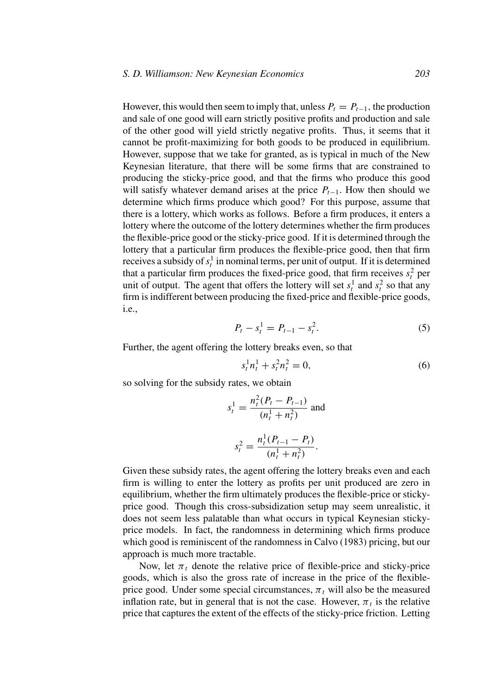However, this would then seem to imply that, unless  $P_t = P_{t-1}$ , the production and sale of one good will earn strictly positive profits and production and sale of the other good will yield strictly negative profits. Thus, it seems that it cannot be profit-maximizing for both goods to be produced in equilibrium. However, suppose that we take for granted, as is typical in much of the New Keynesian literature, that there will be some firms that are constrained to producing the sticky-price good, and that the firms who produce this good will satisfy whatever demand arises at the price  $P_{t-1}$ . How then should we determine which firms produce which good? For this purpose, assume that there is a lottery, which works as follows. Before a firm produces, it enters a lottery where the outcome of the lottery determines whether the firm produces the flexible-price good or the sticky-price good. If it is determined through the lottery that a particular firm produces the flexible-price good, then that firm receives a subsidy of  $s_t^1$  in nominal terms, per unit of output. If it is determined that a particular firm produces the fixed-price good, that firm receives  $s_t^2$  per unit of output. The agent that offers the lottery will set  $s_t^1$  and  $s_t^2$  so that any firm is indifferent between producing the fixed-price and flexible-price goods, i.e.,

$$
P_t - s_t^1 = P_{t-1} - s_t^2. \tag{5}
$$

Further, the agent offering the lottery breaks even, so that

$$
s_t^1 n_t^1 + s_t^2 n_t^2 = 0,\t\t(6)
$$

so solving for the subsidy rates, we obtain

$$
s_t^1 = \frac{n_t^2 (P_t - P_{t-1})}{(n_t^1 + n_t^2)}
$$
 and  

$$
s_t^2 = \frac{n_t^1 (P_{t-1} - P_t)}{(n_t^1 + n_t^2)}.
$$

Given these subsidy rates, the agent offering the lottery breaks even and each firm is willing to enter the lottery as profits per unit produced are zero in equilibrium, whether the firm ultimately produces the flexible-price or stickyprice good. Though this cross-subsidization setup may seem unrealistic, it does not seem less palatable than what occurs in typical Keynesian stickyprice models. In fact, the randomness in determining which firms produce which good is reminiscent of the randomness in Calvo (1983) pricing, but our approach is much more tractable.

Now, let  $\pi_t$  denote the relative price of flexible-price and sticky-price goods, which is also the gross rate of increase in the price of the flexibleprice good. Under some special circumstances,  $\pi_t$  will also be the measured inflation rate, but in general that is not the case. However,  $\pi_t$  is the relative price that captures the extent of the effects of the sticky-price friction. Letting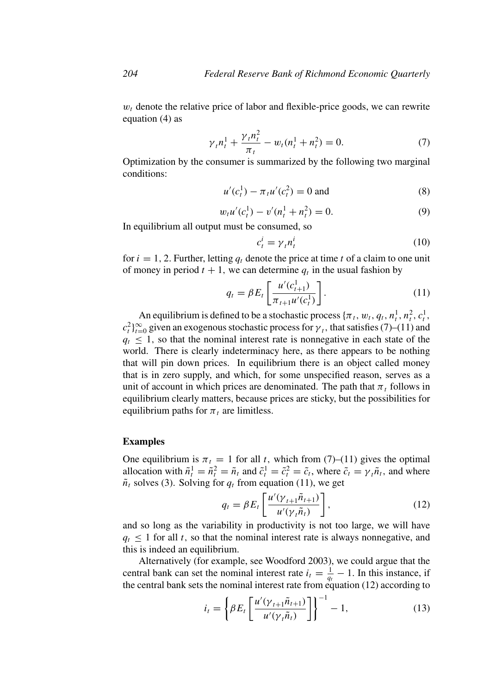$w_t$  denote the relative price of labor and flexible-price goods, we can rewrite equation (4) as

$$
\gamma_t n_t^1 + \frac{\gamma_t n_t^2}{\pi_t} - w_t(n_t^1 + n_t^2) = 0.
$$
 (7)

Optimization by the consumer is summarized by the following two marginal conditions:

$$
u'(c_t^1) - \pi_t u'(c_t^2) = 0 \text{ and}
$$
 (8)

$$
w_t u'(c_t^1) - v'(n_t^1 + n_t^2) = 0.
$$
\n(9)

In equilibrium all output must be consumed, so

$$
c_t^i = \gamma_t n_t^i \tag{10}
$$

for  $i = 1, 2$ . Further, letting  $q_t$  denote the price at time t of a claim to one unit of money in period  $t + 1$ , we can determine  $q_t$  in the usual fashion by

$$
q_t = \beta E_t \left[ \frac{u'(c_{t+1}^1)}{\pi_{t+1} u'(c_t^1)} \right].
$$
 (11)

An equilibrium is defined to be a stochastic process  $\{\pi_t, w_t, q_t, n_t^1, n_t^2, c_t^1,$  $c_t^2$ <sup>2</sup> $_{t=0}^\infty$  given an exogenous stochastic process for  $\gamma$ <sub>t</sub>, that satisfies (7)–(11) and  $q_t \leq 1$ , so that the nominal interest rate is nonnegative in each state of the world. There is clearly indeterminacy here, as there appears to be nothing that will pin down prices. In equilibrium there is an object called money that is in zero supply, and which, for some unspecified reason, serves as a unit of account in which prices are denominated. The path that  $\pi_t$  follows in equilibrium clearly matters, because prices are sticky, but the possibilities for equilibrium paths for  $\pi_t$  are limitless.

### **Examples**

One equilibrium is  $\pi_t = 1$  for all *t*, which from (7)–(11) gives the optimal allocation with  $\tilde{n}_t^1 = \tilde{n}_t^2 = \tilde{n}_t$  and  $\tilde{c}_t^1 = \tilde{c}_t^2 = \tilde{c}_t$ , where  $\tilde{c}_t = \gamma_t \tilde{n}_t$ , and where  $\tilde{n}_t$  solves (3). Solving for  $q_t$  from equation (11), we get

$$
q_t = \beta E_t \left[ \frac{u'(\gamma_{t+1} \tilde{n}_{t+1})}{u'(\gamma_t \tilde{n}_t)} \right],
$$
\n(12)

and so long as the variability in productivity is not too large, we will have  $q_t \leq 1$  for all *t*, so that the nominal interest rate is always nonnegative, and this is indeed an equilibrium.

Alternatively (for example, see Woodford 2003), we could argue that the central bank can set the nominal interest rate  $i_t = \frac{1}{q_t} - 1$ . In this instance, if the central bank sets the nominal interest rate from equation (12) according to

$$
i_t = \left\{\beta E_t \left[\frac{u'(\gamma_{t+1}\tilde{n}_{t+1})}{u'(\gamma_t\tilde{n}_t)}\right]\right\}^{-1} - 1,\tag{13}
$$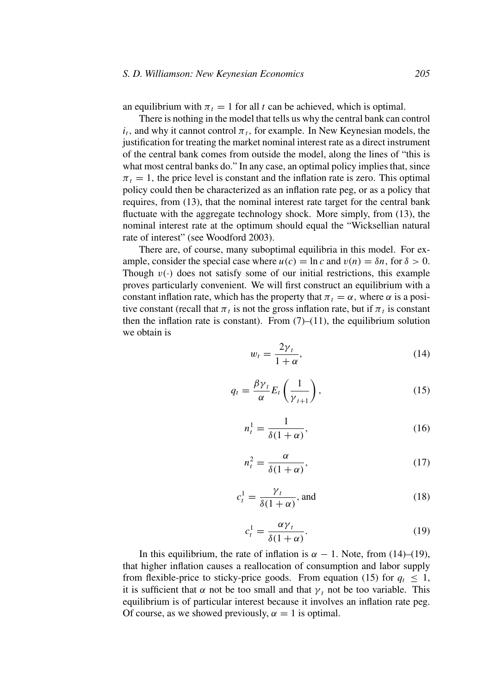an equilibrium with  $\pi_t = 1$  for all *t* can be achieved, which is optimal.

There is nothing in the model that tells us why the central bank can control  $i_t$ , and why it cannot control  $\pi_t$ , for example. In New Keynesian models, the justification for treating the market nominal interest rate as a direct instrument of the central bank comes from outside the model, along the lines of "this is what most central banks do." In any case, an optimal policy implies that, since  $\pi_t = 1$ , the price level is constant and the inflation rate is zero. This optimal policy could then be characterized as an inflation rate peg, or as a policy that requires, from (13), that the nominal interest rate target for the central bank fluctuate with the aggregate technology shock. More simply, from (13), the nominal interest rate at the optimum should equal the "Wicksellian natural rate of interest" (see Woodford 2003).

There are, of course, many suboptimal equilibria in this model. For example, consider the special case where  $u(c) = \ln c$  and  $v(n) = \delta n$ , for  $\delta > 0$ . Though  $v(\cdot)$  does not satisfy some of our initial restrictions, this example proves particularly convenient. We will first construct an equilibrium with a constant inflation rate, which has the property that  $\pi_t = \alpha$ , where  $\alpha$  is a positive constant (recall that  $\pi_t$  is not the gross inflation rate, but if  $\pi_t$  is constant then the inflation rate is constant). From  $(7)-(11)$ , the equilibrium solution we obtain is

$$
w_t = \frac{2\gamma_t}{1+\alpha},\tag{14}
$$

$$
q_t = \frac{\beta \gamma_t}{\alpha} E_t \left( \frac{1}{\gamma_{t+1}} \right), \tag{15}
$$

$$
n_t^1 = \frac{1}{\delta(1+\alpha)},\tag{16}
$$

$$
n_t^2 = \frac{\alpha}{\delta(1+\alpha)},\tag{17}
$$

$$
c_t^1 = \frac{\gamma_t}{\delta(1+\alpha)}, \text{ and } \tag{18}
$$

$$
c_t^1 = \frac{\alpha \gamma_t}{\delta(1+\alpha)}.\tag{19}
$$

In this equilibrium, the rate of inflation is  $\alpha - 1$ . Note, from (14)–(19), that higher inflation causes a reallocation of consumption and labor supply from flexible-price to sticky-price goods. From equation (15) for  $q_t \leq 1$ , it is sufficient that  $\alpha$  not be too small and that  $\gamma_t$  not be too variable. This equilibrium is of particular interest because it involves an inflation rate peg. Of course, as we showed previously,  $\alpha = 1$  is optimal.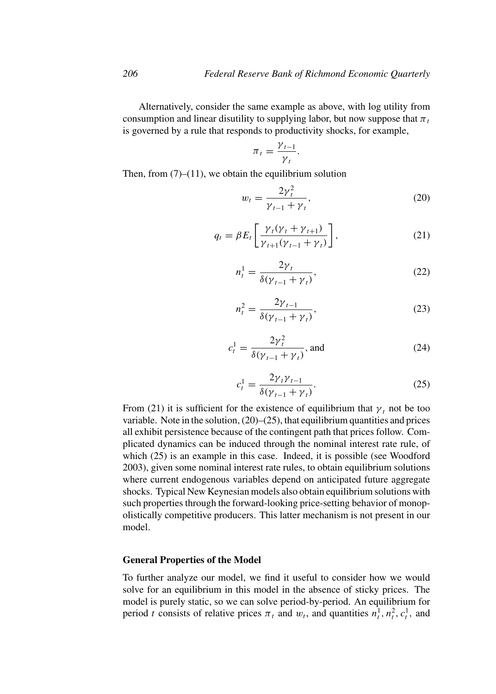Alternatively, consider the same example as above, with log utility from consumption and linear disutility to supplying labor, but now suppose that  $\pi_t$ is governed by a rule that responds to productivity shocks, for example,

$$
\pi_t = \frac{\gamma_{t-1}}{\gamma_t}
$$

*.*

Then, from  $(7)$ – $(11)$ , we obtain the equilibrium solution

$$
w_t = \frac{2\gamma_t^2}{\gamma_{t-1} + \gamma_t},\tag{20}
$$

$$
q_t = \beta E_t \left[ \frac{\gamma_t (\gamma_t + \gamma_{t+1})}{\gamma_{t+1} (\gamma_{t-1} + \gamma_t)} \right],
$$
\n(21)

$$
n_t^1 = \frac{2\gamma_t}{\delta(\gamma_{t-1} + \gamma_t)},\tag{22}
$$

$$
n_t^2 = \frac{2\gamma_{t-1}}{\delta(\gamma_{t-1} + \gamma_t)},\tag{23}
$$

$$
c_t^1 = \frac{2\gamma_t^2}{\delta(\gamma_{t-1} + \gamma_t)}, \text{ and} \tag{24}
$$

$$
c_t^1 = \frac{2\gamma_t \gamma_{t-1}}{\delta(\gamma_{t-1} + \gamma_t)}.\tag{25}
$$

From (21) it is sufficient for the existence of equilibrium that  $\gamma_t$  not be too variable. Note in the solution,  $(20)$ – $(25)$ , that equilibrium quantities and prices all exhibit persistence because of the contingent path that prices follow. Complicated dynamics can be induced through the nominal interest rate rule, of which (25) is an example in this case. Indeed, it is possible (see Woodford 2003), given some nominal interest rate rules, to obtain equilibrium solutions where current endogenous variables depend on anticipated future aggregate shocks. Typical New Keynesian models also obtain equilibrium solutions with such properties through the forward-looking price-setting behavior of monopolistically competitive producers. This latter mechanism is not present in our model.

#### **General Properties of the Model**

To further analyze our model, we find it useful to consider how we would solve for an equilibrium in this model in the absence of sticky prices. The model is purely static, so we can solve period-by-period. An equilibrium for period *t* consists of relative prices  $\pi_t$  and  $w_t$ , and quantities  $n_t^1, n_t^2, c_t^1$ , and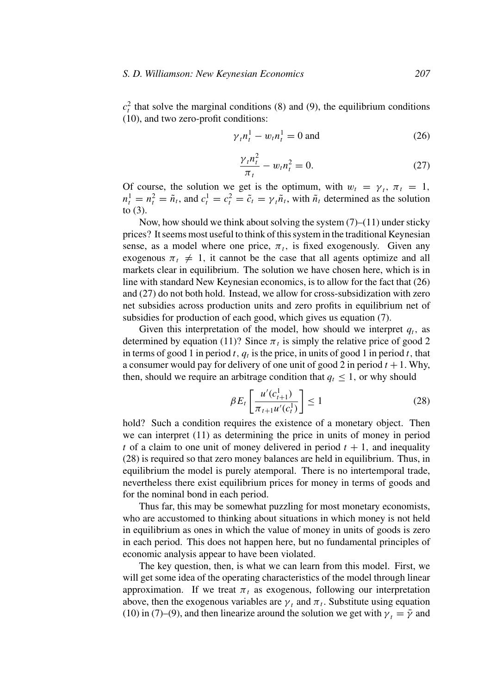$c_t^2$  that solve the marginal conditions (8) and (9), the equilibrium conditions (10), and two zero-profit conditions:

$$
\gamma_t n_t^1 - w_t n_t^1 = 0 \text{ and} \tag{26}
$$

$$
\frac{\gamma_t n_t^2}{\pi_t} - w_t n_t^2 = 0.
$$
 (27)

Of course, the solution we get is the optimum, with  $w_t = \gamma_t$ ,  $\pi_t = 1$ ,  $n_t^1 = n_t^2 = \tilde{n}_t$ , and  $c_t^1 = c_t^2 = \tilde{c}_t = \gamma_t \tilde{n}_t$ , with  $\tilde{n}_t$  determined as the solution to (3).

Now, how should we think about solving the system  $(7)$ – $(11)$  under sticky prices? It seems most useful to think of this system in the traditional Keynesian sense, as a model where one price,  $\pi_t$ , is fixed exogenously. Given any exogenous  $\pi_t \neq 1$ , it cannot be the case that all agents optimize and all markets clear in equilibrium. The solution we have chosen here, which is in line with standard New Keynesian economics, is to allow for the fact that (26) and (27) do not both hold. Instead, we allow for cross-subsidization with zero net subsidies across production units and zero profits in equilibrium net of subsidies for production of each good, which gives us equation (7).

Given this interpretation of the model, how should we interpret  $q_t$ , as determined by equation (11)? Since  $\pi_t$  is simply the relative price of good 2 in terms of good 1 in period *t*,  $q_t$  is the price, in units of good 1 in period *t*, that a consumer would pay for delivery of one unit of good 2 in period  $t + 1$ . Why, then, should we require an arbitrage condition that  $q_t \leq 1$ , or why should

$$
\beta E_t \left[ \frac{u'(c_{t+1}^1)}{\pi_{t+1} u'(c_t^1)} \right] \le 1 \tag{28}
$$

hold? Such a condition requires the existence of a monetary object. Then we can interpret (11) as determining the price in units of money in period *t* of a claim to one unit of money delivered in period  $t + 1$ , and inequality (28) is required so that zero money balances are held in equilibrium. Thus, in equilibrium the model is purely atemporal. There is no intertemporal trade, nevertheless there exist equilibrium prices for money in terms of goods and for the nominal bond in each period.

Thus far, this may be somewhat puzzling for most monetary economists, who are accustomed to thinking about situations in which money is not held in equilibrium as ones in which the value of money in units of goods is zero in each period. This does not happen here, but no fundamental principles of economic analysis appear to have been violated.

The key question, then, is what we can learn from this model. First, we will get some idea of the operating characteristics of the model through linear approximation. If we treat  $\pi_t$  as exogenous, following our interpretation above, then the exogenous variables are  $\gamma_t$  and  $\pi_t$ . Substitute using equation (10) in (7)–(9), and then linearize around the solution we get with  $\gamma_t = \bar{\gamma}$  and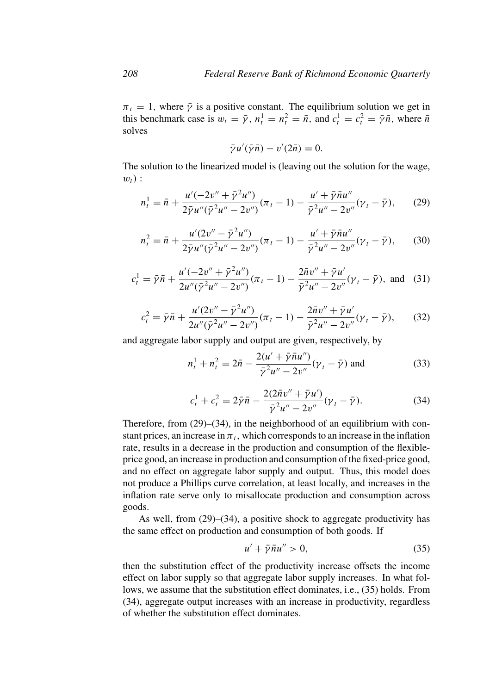$\pi_t = 1$ , where  $\bar{\gamma}$  is a positive constant. The equilibrium solution we get in this benchmark case is  $w_t = \bar{\gamma}$ ,  $n_t^1 = n_t^2 = \bar{n}$ , and  $c_t^1 = c_t^2 = \bar{\gamma}\bar{n}$ , where  $\bar{n}$ solves

$$
\bar{\gamma}u'(\bar{\gamma}\bar{n}) - v'(2\bar{n}) = 0.
$$

The solution to the linearized model is (leaving out the solution for the wage,  $w_t$ ) :

$$
n_t^1 = \bar{n} + \frac{u'(-2v'' + \bar{\gamma}^2 u'')}{2\bar{\gamma}u''(\bar{\gamma}^2 u'' - 2v'')}(\pi_t - 1) - \frac{u' + \bar{\gamma}\bar{n}u''}{\bar{\gamma}^2 u'' - 2v''}(\gamma_t - \bar{\gamma}),\qquad(29)
$$

$$
n_t^2 = \bar{n} + \frac{u'(2v'' - \bar{\gamma}^2 u'')}{2\bar{\gamma}u''(\bar{\gamma}^2 u'' - 2v'')}(\pi_t - 1) - \frac{u' + \bar{\gamma}\bar{n}u''}{\bar{\gamma}^2 u'' - 2v''}(\gamma_t - \bar{\gamma}),\qquad(30)
$$

$$
c_t^1 = \bar{\gamma}\bar{n} + \frac{u'(-2v'' + \bar{\gamma}^2 u'')}{2u''(\bar{\gamma}^2 u'' - 2v'')}(\pi_t - 1) - \frac{2\bar{n}v'' + \bar{\gamma}u'}{\bar{\gamma}^2 u'' - 2v''}(\gamma_t - \bar{\gamma}), \text{ and } (31)
$$

$$
c_t^2 = \bar{\gamma}\bar{n} + \frac{u'(2v'' - \bar{\gamma}^2 u'')}{2u''(\bar{\gamma}^2 u'' - 2v'')}(\pi_t - 1) - \frac{2\bar{n}v'' + \bar{\gamma}u'}{\bar{\gamma}^2 u'' - 2v''}(\gamma_t - \bar{\gamma}),\qquad(32)
$$

and aggregate labor supply and output are given, respectively, by

$$
n_t^1 + n_t^2 = 2\bar{n} - \frac{2(u' + \bar{\gamma}\bar{n}u'')}{\bar{\gamma}^2 u'' - 2v''} (\gamma_t - \bar{\gamma}) \text{ and}
$$
 (33)

$$
c_t^1 + c_t^2 = 2\bar{\gamma}\bar{n} - \frac{2(2\bar{n}v'' + \bar{\gamma}u')}{\bar{\gamma}^2 u'' - 2v''}(\gamma_t - \bar{\gamma}).
$$
 (34)

Therefore, from (29)–(34), in the neighborhood of an equilibrium with constant prices, an increase in  $\pi_t$ , which corresponds to an increase in the inflation rate, results in a decrease in the production and consumption of the flexibleprice good, an increase in production and consumption of the fixed-price good, and no effect on aggregate labor supply and output. Thus, this model does not produce a Phillips curve correlation, at least locally, and increases in the inflation rate serve only to misallocate production and consumption across goods.

As well, from (29)–(34), a positive shock to aggregate productivity has the same effect on production and consumption of both goods. If

$$
u' + \bar{\gamma}\bar{n}u'' > 0,\tag{35}
$$

then the substitution effect of the productivity increase offsets the income effect on labor supply so that aggregate labor supply increases. In what follows, we assume that the substitution effect dominates, i.e., (35) holds. From (34), aggregate output increases with an increase in productivity, regardless of whether the substitution effect dominates.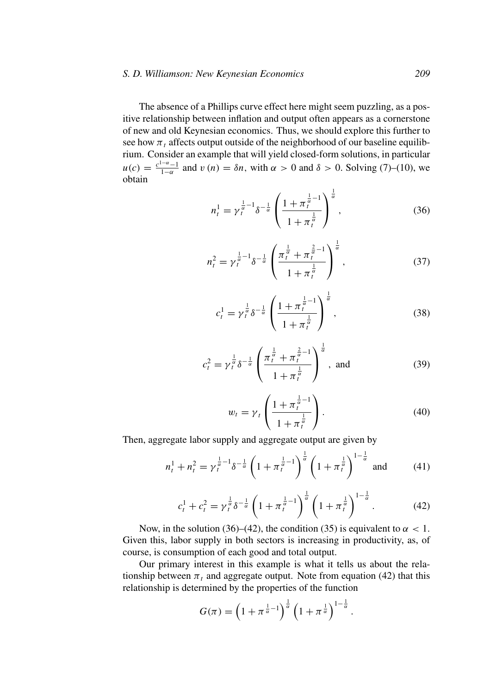#### *S. D. Williamson: New Keynesian Economics 209*

The absence of a Phillips curve effect here might seem puzzling, as a positive relationship between inflation and output often appears as a cornerstone of new and old Keynesian economics. Thus, we should explore this further to see how  $\pi_t$  affects output outside of the neighborhood of our baseline equilibrium. Consider an example that will yield closed-form solutions, in particular  $u(c) = \frac{c^{1-\alpha}-1}{1-\alpha}$  and  $v(n) = \delta n$ , with  $\alpha > 0$  and  $\delta > 0$ . Solving (7)–(10), we obtain

$$
n_t^1 = \gamma_t^{\frac{1}{\alpha}-1} \delta^{-\frac{1}{\alpha}} \left( \frac{1 + \pi_t^{\frac{1}{\alpha}-1}}{1 + \pi_t^{\frac{1}{\alpha}}} \right)^{\frac{1}{\alpha}},
$$
\n(36)

$$
n_t^2 = \gamma_t^{\frac{1}{\alpha}-1} \delta^{-\frac{1}{\alpha}} \left( \frac{\pi_t^{\frac{1}{\alpha}} + \pi_t^{\frac{2}{\alpha}-1}}{1 + \pi_t^{\frac{1}{\alpha}}} \right)^{\frac{1}{\alpha}},
$$
(37)

$$
c_t^1 = \gamma_t^{\frac{1}{\alpha}} \delta^{-\frac{1}{\alpha}} \left( \frac{1 + \pi_t^{\frac{1}{\alpha} - 1}}{1 + \pi_t^{\frac{1}{\alpha}}} \right)^{\frac{1}{\alpha}},
$$
(38)

$$
c_t^2 = \gamma_t^{\frac{1}{\alpha}} \delta^{-\frac{1}{\alpha}} \left( \frac{\pi_t^{\frac{1}{\alpha}} + \pi_t^{\frac{2}{\alpha} - 1}}{1 + \pi_t^{\frac{1}{\alpha}}} \right)^{\frac{1}{\alpha}}, \text{ and } (39)
$$

$$
w_t = \gamma_t \left( \frac{1 + \pi_t^{\frac{1}{\alpha} - 1}}{1 + \pi_t^{\frac{1}{\alpha}}} \right). \tag{40}
$$

Then, aggregate labor supply and aggregate output are given by

$$
n_t^1 + n_t^2 = \gamma_t^{\frac{1}{\alpha} - 1} \delta^{-\frac{1}{\alpha}} \left( 1 + \pi_t^{\frac{1}{\alpha} - 1} \right)^{\frac{1}{\alpha}} \left( 1 + \pi_t^{\frac{1}{\alpha}} \right)^{1 - \frac{1}{\alpha}} \text{ and } (41)
$$

$$
c_t^1 + c_t^2 = \gamma_t^{\frac{1}{\alpha}} \delta^{-\frac{1}{\alpha}} \left( 1 + \pi_t^{\frac{1}{\alpha} - 1} \right)^{\frac{1}{\alpha}} \left( 1 + \pi_t^{\frac{1}{\alpha}} \right)^{1 - \frac{1}{\alpha}}.
$$
 (42)

Now, in the solution (36)–(42), the condition (35) is equivalent to  $\alpha < 1$ . Given this, labor supply in both sectors is increasing in productivity, as, of course, is consumption of each good and total output.

Our primary interest in this example is what it tells us about the relationship between  $\pi_t$  and aggregate output. Note from equation (42) that this relationship is determined by the properties of the function

$$
G(\pi) = \left(1 + \pi^{\frac{1}{\alpha}-1}\right)^{\frac{1}{\alpha}} \left(1 + \pi^{\frac{1}{\alpha}}\right)^{1-\frac{1}{\alpha}}.
$$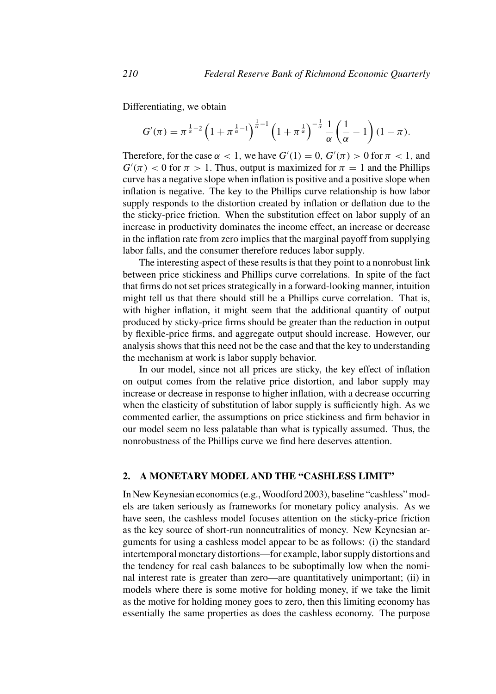Differentiating, we obtain

$$
G'(\pi) = \pi^{\frac{1}{\alpha}-2} \left(1 + \pi^{\frac{1}{\alpha}-1}\right)^{\frac{1}{\alpha}-1} \left(1 + \pi^{\frac{1}{\alpha}}\right)^{-\frac{1}{\alpha}} \frac{1}{\alpha} \left(\frac{1}{\alpha} - 1\right) (1 - \pi).
$$

Therefore, for the case  $\alpha < 1$ , we have  $G'(1) = 0$ ,  $G'(\pi) > 0$  for  $\pi < 1$ , and  $G'(\pi) < 0$  for  $\pi > 1$ . Thus, output is maximized for  $\pi = 1$  and the Phillips curve has a negative slope when inflation is positive and a positive slope when inflation is negative. The key to the Phillips curve relationship is how labor supply responds to the distortion created by inflation or deflation due to the the sticky-price friction. When the substitution effect on labor supply of an increase in productivity dominates the income effect, an increase or decrease in the inflation rate from zero implies that the marginal payoff from supplying labor falls, and the consumer therefore reduces labor supply.

The interesting aspect of these results is that they point to a nonrobust link between price stickiness and Phillips curve correlations. In spite of the fact that firms do not set prices strategically in a forward-looking manner, intuition might tell us that there should still be a Phillips curve correlation. That is, with higher inflation, it might seem that the additional quantity of output produced by sticky-price firms should be greater than the reduction in output by flexible-price firms, and aggregate output should increase. However, our analysis shows that this need not be the case and that the key to understanding the mechanism at work is labor supply behavior.

In our model, since not all prices are sticky, the key effect of inflation on output comes from the relative price distortion, and labor supply may increase or decrease in response to higher inflation, with a decrease occurring when the elasticity of substitution of labor supply is sufficiently high. As we commented earlier, the assumptions on price stickiness and firm behavior in our model seem no less palatable than what is typically assumed. Thus, the nonrobustness of the Phillips curve we find here deserves attention.

### **2. A MONETARY MODEL AND THE "CASHLESS LIMIT"**

In New Keynesian economics (e.g.,Woodford 2003), baseline "cashless" models are taken seriously as frameworks for monetary policy analysis. As we have seen, the cashless model focuses attention on the sticky-price friction as the key source of short-run nonneutralities of money. New Keynesian arguments for using a cashless model appear to be as follows: (i) the standard intertemporal monetary distortions—for example, labor supply distortions and the tendency for real cash balances to be suboptimally low when the nominal interest rate is greater than zero—are quantitatively unimportant; (ii) in models where there is some motive for holding money, if we take the limit as the motive for holding money goes to zero, then this limiting economy has essentially the same properties as does the cashless economy. The purpose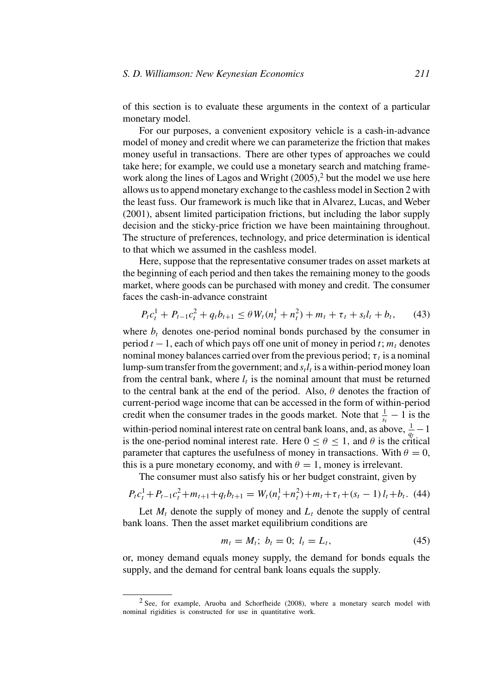of this section is to evaluate these arguments in the context of a particular monetary model.

For our purposes, a convenient expository vehicle is a cash-in-advance model of money and credit where we can parameterize the friction that makes money useful in transactions. There are other types of approaches we could take here; for example, we could use a monetary search and matching framework along the lines of Lagos and Wright  $(2005)$ ,<sup>2</sup> but the model we use here allows us to append monetary exchange to the cashless model in Section 2 with the least fuss. Our framework is much like that in Alvarez, Lucas, and Weber (2001), absent limited participation frictions, but including the labor supply decision and the sticky-price friction we have been maintaining throughout. The structure of preferences, technology, and price determination is identical to that which we assumed in the cashless model.

Here, suppose that the representative consumer trades on asset markets at the beginning of each period and then takes the remaining money to the goods market, where goods can be purchased with money and credit. The consumer faces the cash-in-advance constraint

$$
P_{t}c_{t}^{1} + P_{t-1}c_{t}^{2} + q_{t}b_{t+1} \leq \theta W_{t}(n_{t}^{1} + n_{t}^{2}) + m_{t} + \tau_{t} + s_{t}l_{t} + b_{t}, \qquad (43)
$$

where  $b_t$  denotes one-period nominal bonds purchased by the consumer in period  $t - 1$ , each of which pays off one unit of money in period  $t$ ;  $m_t$  denotes nominal money balances carried over from the previous period;  $\tau_t$  is a nominal lump-sum transfer from the government; and  $s<sub>t</sub>l<sub>t</sub>$  is a within-period money loan from the central bank, where  $l_t$  is the nominal amount that must be returned to the central bank at the end of the period. Also, *θ* denotes the fraction of current-period wage income that can be accessed in the form of within-period credit when the consumer trades in the goods market. Note that  $\frac{1}{s_t} - 1$  is the within-period nominal interest rate on central bank loans, and, as above,  $\frac{1}{q_t} - 1$ is the one-period nominal interest rate. Here  $0 \le \theta \le 1$ , and  $\theta$  is the critical parameter that captures the usefulness of money in transactions. With  $\theta = 0$ , this is a pure monetary economy, and with  $\theta = 1$ , money is irrelevant.

The consumer must also satisfy his or her budget constraint, given by

$$
P_{t}c_{t}^{1} + P_{t-1}c_{t}^{2} + m_{t+1} + q_{t}b_{t+1} = W_{t}(n_{t}^{1} + n_{t}^{2}) + m_{t} + \tau_{t} + (s_{t} - 1) l_{t} + b_{t}.
$$
 (44)

Let  $M_t$  denote the supply of money and  $L_t$  denote the supply of central bank loans. Then the asset market equilibrium conditions are

$$
m_t = M_t; \ b_t = 0; \ l_t = L_t,
$$
\n(45)

or, money demand equals money supply, the demand for bonds equals the supply, and the demand for central bank loans equals the supply.

<sup>2</sup> See, for example, Aruoba and Schorfheide (2008), where a monetary search model with nominal rigidities is constructed for use in quantitative work.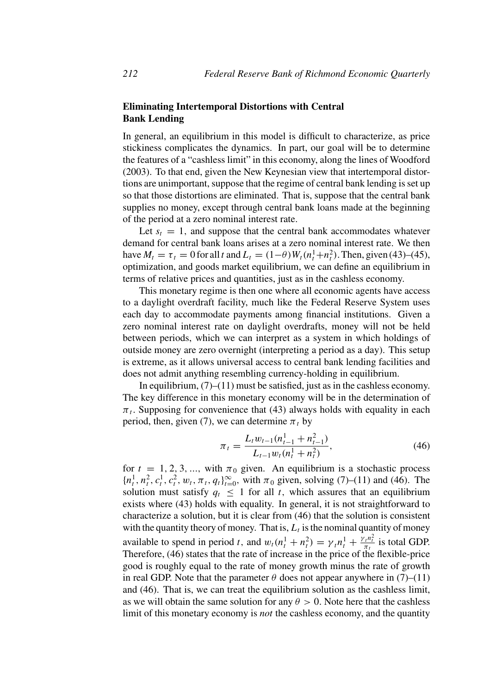# **Eliminating Intertemporal Distortions with Central Bank Lending**

In general, an equilibrium in this model is difficult to characterize, as price stickiness complicates the dynamics. In part, our goal will be to determine the features of a "cashless limit" in this economy, along the lines of Woodford (2003). To that end, given the New Keynesian view that intertemporal distortions are unimportant, suppose that the regime of central bank lending is set up so that those distortions are eliminated. That is, suppose that the central bank supplies no money, except through central bank loans made at the beginning of the period at a zero nominal interest rate.

Let  $s_t = 1$ , and suppose that the central bank accommodates whatever demand for central bank loans arises at a zero nominal interest rate. We then have  $M_t = \tau_t = 0$  for all *t* and  $L_t = (1 - \theta)W_t(n_t^1 + n_t^2)$ . Then, given (43)–(45), optimization, and goods market equilibrium, we can define an equilibrium in terms of relative prices and quantities, just as in the cashless economy.

This monetary regime is then one where all economic agents have access to a daylight overdraft facility, much like the Federal Reserve System uses each day to accommodate payments among financial institutions. Given a zero nominal interest rate on daylight overdrafts, money will not be held between periods, which we can interpret as a system in which holdings of outside money are zero overnight (interpreting a period as a day). This setup is extreme, as it allows universal access to central bank lending facilities and does not admit anything resembling currency-holding in equilibrium.

In equilibrium,  $(7)$ – $(11)$  must be satisfied, just as in the cashless economy. The key difference in this monetary economy will be in the determination of  $\pi_t$ . Supposing for convenience that (43) always holds with equality in each period, then, given (7), we can determine  $\pi_t$  by

$$
\pi_t = \frac{L_t w_{t-1} (n_{t-1}^1 + n_{t-1}^2)}{L_{t-1} w_t (n_t^1 + n_t^2)},
$$
\n(46)

for  $t = 1, 2, 3, \dots$ , with  $\pi_0$  given. An equilibrium is a stochastic process  ${n<sub>t</sub><sup>1</sup>, n<sub>t</sub><sup>2</sup>, c<sub>t</sub><sup>1</sup>, c<sub>t</sub><sup>2</sup>, w<sub>t</sub>, π<sub>t</sub>, q<sub>t</sub>}<sub>t=0</sub><sup>∞</sup>$ , with  $\pi_0$  given, solving (7)–(11) and (46). The solution must satisfy  $q_t \leq 1$  for all *t*, which assures that an equilibrium exists where (43) holds with equality. In general, it is not straightforward to characterize a solution, but it is clear from (46) that the solution is consistent with the quantity theory of money. That is,  $L_t$  is the nominal quantity of money available to spend in period *t*, and  $w_t(n_t^1 + n_t^2) = \gamma_t n_t^1 + \frac{\gamma_t n_t^2}{\pi_t}$  is total GDP. Therefore, (46) states that the rate of increase in the price of the flexible-price good is roughly equal to the rate of money growth minus the rate of growth in real GDP. Note that the parameter  $\theta$  does not appear anywhere in (7)–(11) and (46). That is, we can treat the equilibrium solution as the cashless limit, as we will obtain the same solution for any  $\theta > 0$ . Note here that the cashless limit of this monetary economy is *not* the cashless economy, and the quantity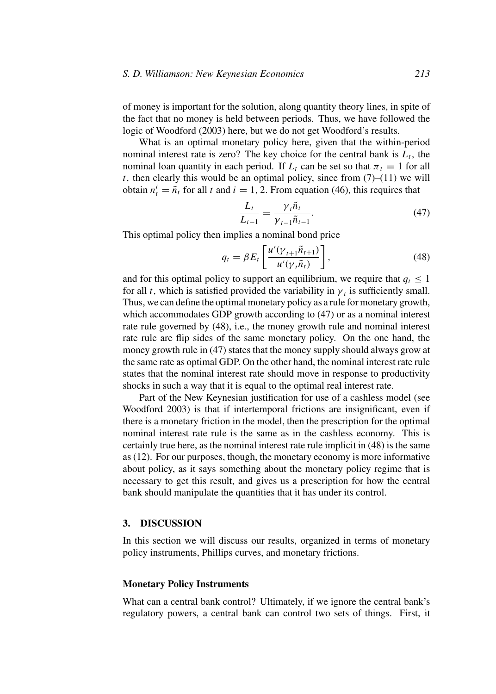of money is important for the solution, along quantity theory lines, in spite of the fact that no money is held between periods. Thus, we have followed the logic of Woodford (2003) here, but we do not get Woodford's results.

What is an optimal monetary policy here, given that the within-period nominal interest rate is zero? The key choice for the central bank is  $L_t$ , the nominal loan quantity in each period. If  $L_t$  can be set so that  $\pi_t = 1$  for all *t*, then clearly this would be an optimal policy, since from  $(7)$ – $(11)$  we will obtain  $n_t^i = \tilde{n}_t$  for all *t* and  $i = 1, 2$ . From equation (46), this requires that

$$
\frac{L_t}{L_{t-1}} = \frac{\gamma_t \tilde{n}_t}{\gamma_{t-1} \tilde{n}_{t-1}}.
$$
\n(47)

This optimal policy then implies a nominal bond price

$$
q_t = \beta E_t \left[ \frac{u'(\gamma_{t+1}\tilde{n}_{t+1})}{u'(\gamma_t\tilde{n}_t)} \right],
$$
\n(48)

and for this optimal policy to support an equilibrium, we require that  $q_t \leq 1$ for all *t*, which is satisfied provided the variability in  $\gamma_t$  is sufficiently small. Thus, we can define the optimal monetary policy as a rule for monetary growth, which accommodates GDP growth according to (47) or as a nominal interest rate rule governed by (48), i.e., the money growth rule and nominal interest rate rule are flip sides of the same monetary policy. On the one hand, the money growth rule in (47) states that the money supply should always grow at the same rate as optimal GDP. On the other hand, the nominal interest rate rule states that the nominal interest rate should move in response to productivity shocks in such a way that it is equal to the optimal real interest rate.

Part of the New Keynesian justification for use of a cashless model (see Woodford 2003) is that if intertemporal frictions are insignificant, even if there is a monetary friction in the model, then the prescription for the optimal nominal interest rate rule is the same as in the cashless economy. This is certainly true here, as the nominal interest rate rule implicit in (48) is the same as (12). For our purposes, though, the monetary economy is more informative about policy, as it says something about the monetary policy regime that is necessary to get this result, and gives us a prescription for how the central bank should manipulate the quantities that it has under its control.

### **3. DISCUSSION**

In this section we will discuss our results, organized in terms of monetary policy instruments, Phillips curves, and monetary frictions.

### **Monetary Policy Instruments**

What can a central bank control? Ultimately, if we ignore the central bank's regulatory powers, a central bank can control two sets of things. First, it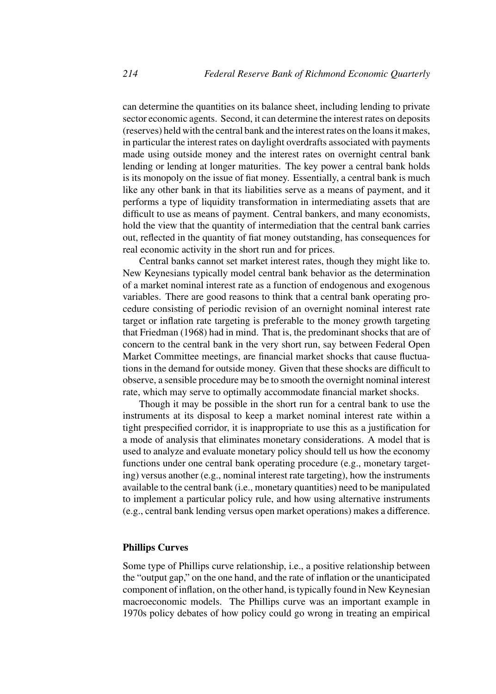can determine the quantities on its balance sheet, including lending to private sector economic agents. Second, it can determine the interest rates on deposits (reserves) held with the central bank and the interest rates on the loans it makes, in particular the interest rates on daylight overdrafts associated with payments made using outside money and the interest rates on overnight central bank lending or lending at longer maturities. The key power a central bank holds is its monopoly on the issue of fiat money. Essentially, a central bank is much like any other bank in that its liabilities serve as a means of payment, and it performs a type of liquidity transformation in intermediating assets that are difficult to use as means of payment. Central bankers, and many economists, hold the view that the quantity of intermediation that the central bank carries out, reflected in the quantity of fiat money outstanding, has consequences for real economic activity in the short run and for prices.

Central banks cannot set market interest rates, though they might like to. New Keynesians typically model central bank behavior as the determination of a market nominal interest rate as a function of endogenous and exogenous variables. There are good reasons to think that a central bank operating procedure consisting of periodic revision of an overnight nominal interest rate target or inflation rate targeting is preferable to the money growth targeting that Friedman (1968) had in mind. That is, the predominant shocks that are of concern to the central bank in the very short run, say between Federal Open Market Committee meetings, are financial market shocks that cause fluctuations in the demand for outside money. Given that these shocks are difficult to observe, a sensible procedure may be to smooth the overnight nominal interest rate, which may serve to optimally accommodate financial market shocks.

Though it may be possible in the short run for a central bank to use the instruments at its disposal to keep a market nominal interest rate within a tight prespecified corridor, it is inappropriate to use this as a justification for a mode of analysis that eliminates monetary considerations. A model that is used to analyze and evaluate monetary policy should tell us how the economy functions under one central bank operating procedure (e.g., monetary targeting) versus another (e.g., nominal interest rate targeting), how the instruments available to the central bank (i.e., monetary quantities) need to be manipulated to implement a particular policy rule, and how using alternative instruments (e.g., central bank lending versus open market operations) makes a difference.

### **Phillips Curves**

Some type of Phillips curve relationship, i.e., a positive relationship between the "output gap," on the one hand, and the rate of inflation or the unanticipated component of inflation, on the other hand, is typically found in New Keynesian macroeconomic models. The Phillips curve was an important example in 1970s policy debates of how policy could go wrong in treating an empirical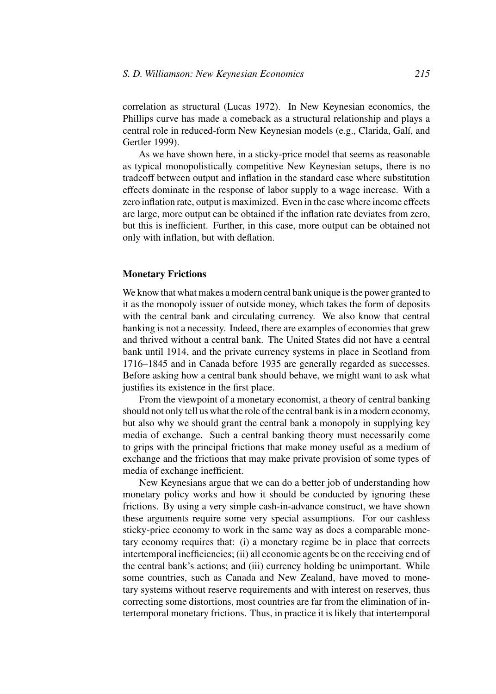correlation as structural (Lucas 1972). In New Keynesian economics, the Phillips curve has made a comeback as a structural relationship and plays a central role in reduced-form New Keynesian models (e.g., Clarida, Galí, and Gertler 1999).

As we have shown here, in a sticky-price model that seems as reasonable as typical monopolistically competitive New Keynesian setups, there is no tradeoff between output and inflation in the standard case where substitution effects dominate in the response of labor supply to a wage increase. With a zero inflation rate, output is maximized. Even in the case where income effects are large, more output can be obtained if the inflation rate deviates from zero, but this is inefficient. Further, in this case, more output can be obtained not only with inflation, but with deflation.

### **Monetary Frictions**

We know that what makes a modern central bank unique is the power granted to it as the monopoly issuer of outside money, which takes the form of deposits with the central bank and circulating currency. We also know that central banking is not a necessity. Indeed, there are examples of economies that grew and thrived without a central bank. The United States did not have a central bank until 1914, and the private currency systems in place in Scotland from 1716–1845 and in Canada before 1935 are generally regarded as successes. Before asking how a central bank should behave, we might want to ask what justifies its existence in the first place.

From the viewpoint of a monetary economist, a theory of central banking should not only tell us what the role of the central bank is in a modern economy, but also why we should grant the central bank a monopoly in supplying key media of exchange. Such a central banking theory must necessarily come to grips with the principal frictions that make money useful as a medium of exchange and the frictions that may make private provision of some types of media of exchange inefficient.

New Keynesians argue that we can do a better job of understanding how monetary policy works and how it should be conducted by ignoring these frictions. By using a very simple cash-in-advance construct, we have shown these arguments require some very special assumptions. For our cashless sticky-price economy to work in the same way as does a comparable monetary economy requires that: (i) a monetary regime be in place that corrects intertemporal inefficiencies; (ii) all economic agents be on the receiving end of the central bank's actions; and (iii) currency holding be unimportant. While some countries, such as Canada and New Zealand, have moved to monetary systems without reserve requirements and with interest on reserves, thus correcting some distortions, most countries are far from the elimination of intertemporal monetary frictions. Thus, in practice it is likely that intertemporal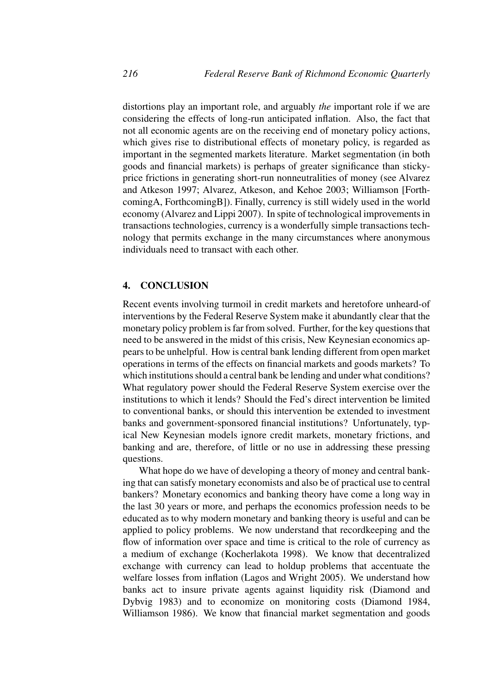distortions play an important role, and arguably *the* important role if we are considering the effects of long-run anticipated inflation. Also, the fact that not all economic agents are on the receiving end of monetary policy actions, which gives rise to distributional effects of monetary policy, is regarded as important in the segmented markets literature. Market segmentation (in both goods and financial markets) is perhaps of greater significance than stickyprice frictions in generating short-run nonneutralities of money (see Alvarez and Atkeson 1997; Alvarez, Atkeson, and Kehoe 2003; Williamson [ForthcomingA, ForthcomingB]). Finally, currency is still widely used in the world economy (Alvarez and Lippi 2007). In spite of technological improvements in transactions technologies, currency is a wonderfully simple transactions technology that permits exchange in the many circumstances where anonymous individuals need to transact with each other.

# **4. CONCLUSION**

Recent events involving turmoil in credit markets and heretofore unheard-of interventions by the Federal Reserve System make it abundantly clear that the monetary policy problem is far from solved. Further, for the key questions that need to be answered in the midst of this crisis, New Keynesian economics appears to be unhelpful. How is central bank lending different from open market operations in terms of the effects on financial markets and goods markets? To which institutions should a central bank be lending and under what conditions? What regulatory power should the Federal Reserve System exercise over the institutions to which it lends? Should the Fed's direct intervention be limited to conventional banks, or should this intervention be extended to investment banks and government-sponsored financial institutions? Unfortunately, typical New Keynesian models ignore credit markets, monetary frictions, and banking and are, therefore, of little or no use in addressing these pressing questions.

What hope do we have of developing a theory of money and central banking that can satisfy monetary economists and also be of practical use to central bankers? Monetary economics and banking theory have come a long way in the last 30 years or more, and perhaps the economics profession needs to be educated as to why modern monetary and banking theory is useful and can be applied to policy problems. We now understand that recordkeeping and the flow of information over space and time is critical to the role of currency as a medium of exchange (Kocherlakota 1998). We know that decentralized exchange with currency can lead to holdup problems that accentuate the welfare losses from inflation (Lagos and Wright 2005). We understand how banks act to insure private agents against liquidity risk (Diamond and Dybvig 1983) and to economize on monitoring costs (Diamond 1984, Williamson 1986). We know that financial market segmentation and goods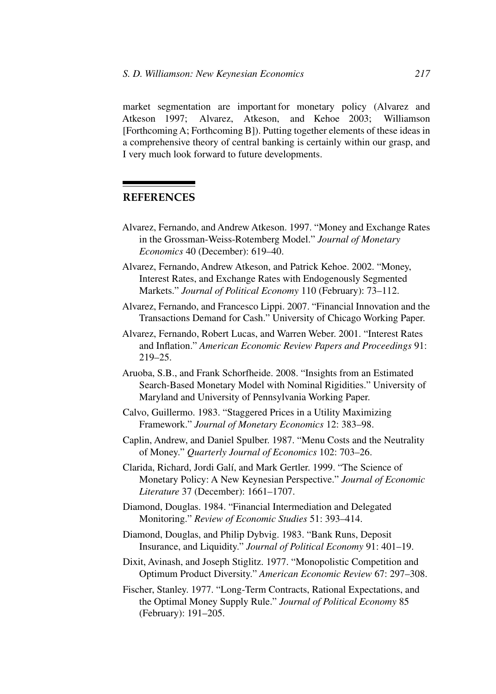market segmentation are important for monetary policy (Alvarez and Atkeson 1997; Alvarez, Atkeson, and Kehoe 2003; Williamson [Forthcoming A; Forthcoming B]). Putting together elements of these ideas in a comprehensive theory of central banking is certainly within our grasp, and I very much look forward to future developments.

# **REFERENCES**

- Alvarez, Fernando, and Andrew Atkeson. 1997. "Money and Exchange Rates in the Grossman-Weiss-Rotemberg Model." *Journal of Monetary Economics* 40 (December): 619–40.
- Alvarez, Fernando, Andrew Atkeson, and Patrick Kehoe. 2002. "Money, Interest Rates, and Exchange Rates with Endogenously Segmented Markets." *Journal of Political Economy* 110 (February): 73–112.
- Alvarez, Fernando, and Francesco Lippi. 2007. "Financial Innovation and the Transactions Demand for Cash." University of Chicago Working Paper.
- Alvarez, Fernando, Robert Lucas, and Warren Weber. 2001. "Interest Rates and Inflation." *American Economic Review Papers and Proceedings* 91: 219–25.
- Aruoba, S.B., and Frank Schorfheide. 2008. "Insights from an Estimated Search-Based Monetary Model with Nominal Rigidities." University of Maryland and University of Pennsylvania Working Paper.
- Calvo, Guillermo. 1983. "Staggered Prices in a Utility Maximizing Framework." *Journal of Monetary Economics* 12: 383–98.
- Caplin, Andrew, and Daniel Spulber. 1987. "Menu Costs and the Neutrality of Money." *Quarterly Journal of Economics* 102: 703–26.
- Clarida, Richard, Jordi Galí, and Mark Gertler. 1999. "The Science of Monetary Policy: A New Keynesian Perspective." *Journal of Economic Literature* 37 (December): 1661–1707.
- Diamond, Douglas. 1984. "Financial Intermediation and Delegated Monitoring." *Review of Economic Studies* 51: 393–414.
- Diamond, Douglas, and Philip Dybvig. 1983. "Bank Runs, Deposit Insurance, and Liquidity." *Journal of Political Economy* 91: 401–19.
- Dixit, Avinash, and Joseph Stiglitz. 1977. "Monopolistic Competition and Optimum Product Diversity." *American Economic Review* 67: 297–308.
- Fischer, Stanley. 1977. "Long-Term Contracts, Rational Expectations, and the Optimal Money Supply Rule." *Journal of Political Economy* 85 (February): 191–205.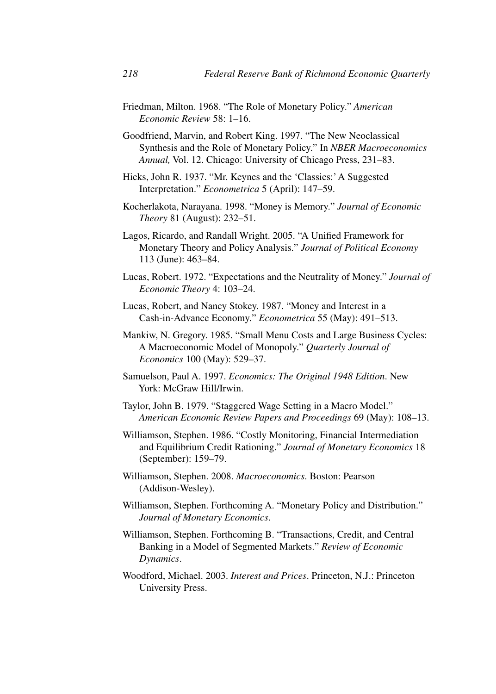Friedman, Milton. 1968. "The Role of Monetary Policy." *American Economic Review* 58: 1–16.

Goodfriend, Marvin, and Robert King. 1997. "The New Neoclassical Synthesis and the Role of Monetary Policy." In *NBER Macroeconomics Annual,* Vol. 12. Chicago: University of Chicago Press, 231–83.

- Hicks, John R. 1937. "Mr. Keynes and the 'Classics:' A Suggested Interpretation." *Econometrica* 5 (April): 147–59.
- Kocherlakota, Narayana. 1998. "Money is Memory." *Journal of Economic Theory* 81 (August): 232–51.
- Lagos, Ricardo, and Randall Wright. 2005. "A Unified Framework for Monetary Theory and Policy Analysis." *Journal of Political Economy* 113 (June): 463–84.
- Lucas, Robert. 1972. "Expectations and the Neutrality of Money." *Journal of Economic Theory* 4: 103–24.
- Lucas, Robert, and Nancy Stokey. 1987. "Money and Interest in a Cash-in-Advance Economy." *Econometrica* 55 (May): 491–513.
- Mankiw, N. Gregory. 1985. "Small Menu Costs and Large Business Cycles: A Macroeconomic Model of Monopoly." *Quarterly Journal of Economics* 100 (May): 529–37.
- Samuelson, Paul A. 1997. *Economics: The Original 1948 Edition*. New York: McGraw Hill/Irwin.
- Taylor, John B. 1979. "Staggered Wage Setting in a Macro Model." *American Economic Review Papers and Proceedings* 69 (May): 108–13.
- Williamson, Stephen. 1986. "Costly Monitoring, Financial Intermediation and Equilibrium Credit Rationing." *Journal of Monetary Economics* 18 (September): 159–79.
- Williamson, Stephen. 2008. *Macroeconomics*. Boston: Pearson (Addison-Wesley).
- Williamson, Stephen. Forthcoming A. "Monetary Policy and Distribution." *Journal of Monetary Economics*.
- Williamson, Stephen. Forthcoming B. "Transactions, Credit, and Central Banking in a Model of Segmented Markets." *Review of Economic Dynamics*.
- Woodford, Michael. 2003. *Interest and Prices*. Princeton, N.J.: Princeton University Press.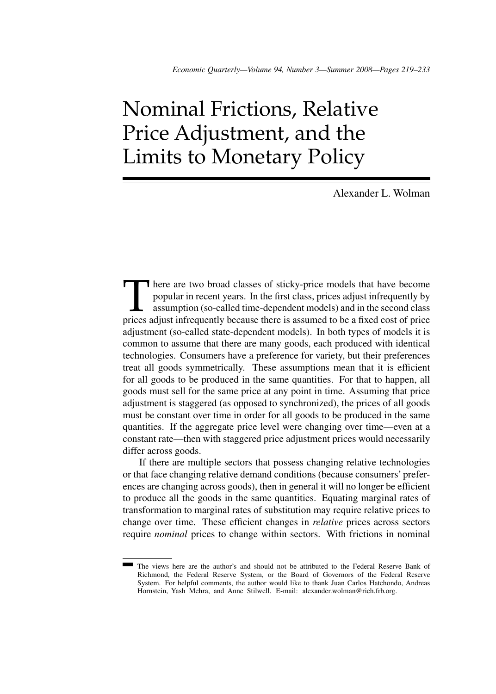# Nominal Frictions, Relative Price Adjustment, and the Limits to Monetary Policy

Alexander L. Wolman

There are two broad classes of sticky-price models that have become popular in recent years. In the first class, prices adjust infrequently by assumption (so-called time-dependent models) and in the second class prices adj popular in recent years. In the first class, prices adjust infrequently by assumption (so-called time-dependent models) and in the second class prices adjust infrequently because there is assumed to be a fixed cost of price adjustment (so-called state-dependent models). In both types of models it is common to assume that there are many goods, each produced with identical technologies. Consumers have a preference for variety, but their preferences treat all goods symmetrically. These assumptions mean that it is efficient for all goods to be produced in the same quantities. For that to happen, all goods must sell for the same price at any point in time. Assuming that price adjustment is staggered (as opposed to synchronized), the prices of all goods must be constant over time in order for all goods to be produced in the same quantities. If the aggregate price level were changing over time—even at a constant rate—then with staggered price adjustment prices would necessarily differ across goods.

If there are multiple sectors that possess changing relative technologies or that face changing relative demand conditions (because consumers' preferences are changing across goods), then in general it will no longer be efficient to produce all the goods in the same quantities. Equating marginal rates of transformation to marginal rates of substitution may require relative prices to change over time. These efficient changes in *relative* prices across sectors require *nominal* prices to change within sectors. With frictions in nominal

The views here are the author's and should not be attributed to the Federal Reserve Bank of Richmond, the Federal Reserve System, or the Board of Governors of the Federal Reserve System. For helpful comments, the author would like to thank Juan Carlos Hatchondo, Andreas Hornstein, Yash Mehra, and Anne Stilwell. E-mail: alexander.wolman@rich.frb.org.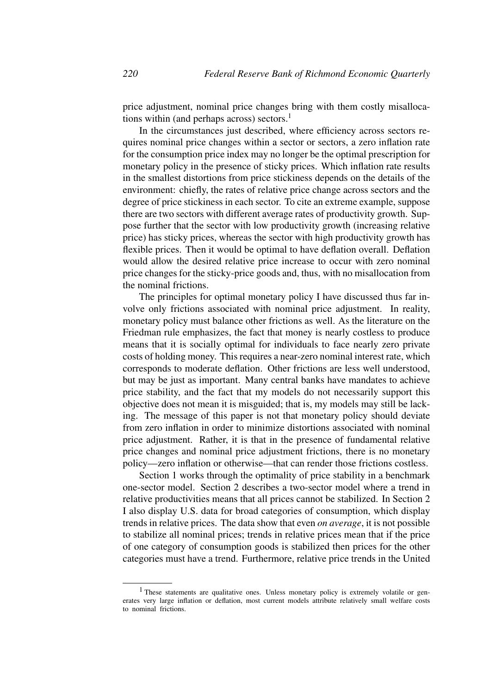price adjustment, nominal price changes bring with them costly misallocations within (and perhaps across) sectors. $<sup>1</sup>$ </sup>

In the circumstances just described, where efficiency across sectors requires nominal price changes within a sector or sectors, a zero inflation rate for the consumption price index may no longer be the optimal prescription for monetary policy in the presence of sticky prices. Which inflation rate results in the smallest distortions from price stickiness depends on the details of the environment: chiefly, the rates of relative price change across sectors and the degree of price stickiness in each sector. To cite an extreme example, suppose there are two sectors with different average rates of productivity growth. Suppose further that the sector with low productivity growth (increasing relative price) has sticky prices, whereas the sector with high productivity growth has flexible prices. Then it would be optimal to have deflation overall. Deflation would allow the desired relative price increase to occur with zero nominal price changes for the sticky-price goods and, thus, with no misallocation from the nominal frictions.

The principles for optimal monetary policy I have discussed thus far involve only frictions associated with nominal price adjustment. In reality, monetary policy must balance other frictions as well. As the literature on the Friedman rule emphasizes, the fact that money is nearly costless to produce means that it is socially optimal for individuals to face nearly zero private costs of holding money. This requires a near-zero nominal interest rate, which corresponds to moderate deflation. Other frictions are less well understood, but may be just as important. Many central banks have mandates to achieve price stability, and the fact that my models do not necessarily support this objective does not mean it is misguided; that is, my models may still be lacking. The message of this paper is not that monetary policy should deviate from zero inflation in order to minimize distortions associated with nominal price adjustment. Rather, it is that in the presence of fundamental relative price changes and nominal price adjustment frictions, there is no monetary policy—zero inflation or otherwise—that can render those frictions costless.

Section 1 works through the optimality of price stability in a benchmark one-sector model. Section 2 describes a two-sector model where a trend in relative productivities means that all prices cannot be stabilized. In Section 2 I also display U.S. data for broad categories of consumption, which display trends in relative prices. The data show that even *on average*, it is not possible to stabilize all nominal prices; trends in relative prices mean that if the price of one category of consumption goods is stabilized then prices for the other categories must have a trend. Furthermore, relative price trends in the United

<sup>&</sup>lt;sup>1</sup> These statements are qualitative ones. Unless monetary policy is extremely volatile or generates very large inflation or deflation, most current models attribute relatively small welfare costs to nominal frictions.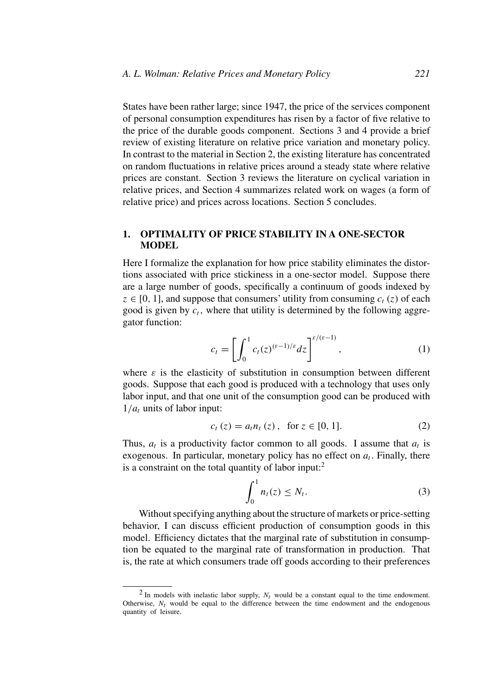States have been rather large; since 1947, the price of the services component of personal consumption expenditures has risen by a factor of five relative to the price of the durable goods component. Sections 3 and 4 provide a brief review of existing literature on relative price variation and monetary policy. In contrast to the material in Section 2, the existing literature has concentrated on random fluctuations in relative prices around a steady state where relative prices are constant. Section 3 reviews the literature on cyclical variation in relative prices, and Section 4 summarizes related work on wages (a form of relative price) and prices across locations. Section 5 concludes.

# **1. OPTIMALITY OF PRICE STABILITY IN A ONE-SECTOR MODEL**

Here I formalize the explanation for how price stability eliminates the distortions associated with price stickiness in a one-sector model. Suppose there are a large number of goods, specifically a continuum of goods indexed by  $z \in [0, 1]$ , and suppose that consumers' utility from consuming  $c_t(z)$  of each good is given by  $c_t$ , where that utility is determined by the following aggregator function:

$$
c_t = \left[ \int_0^1 c_t(z)^{(\varepsilon - 1)/\varepsilon} dz \right]^{\varepsilon/(\varepsilon - 1)}, \tag{1}
$$

where  $\varepsilon$  is the elasticity of substitution in consumption between different goods. Suppose that each good is produced with a technology that uses only labor input, and that one unit of the consumption good can be produced with  $1/a_t$  units of labor input:

$$
c_t(z) = a_t n_t(z), \text{ for } z \in [0, 1]. \tag{2}
$$

Thus,  $a_t$  is a productivity factor common to all goods. I assume that  $a_t$  is exogenous. In particular, monetary policy has no effect on  $a_t$ . Finally, there is a constraint on the total quantity of labor input: $<sup>2</sup>$ </sup>

$$
\int_0^1 n_t(z) \le N_t. \tag{3}
$$

Without specifying anything about the structure of markets or price-setting behavior, I can discuss efficient production of consumption goods in this model. Efficiency dictates that the marginal rate of substitution in consumption be equated to the marginal rate of transformation in production. That is, the rate at which consumers trade off goods according to their preferences

 $2$  In models with inelastic labor supply,  $N_t$  would be a constant equal to the time endowment. Otherwise,  $N_t$  would be equal to the difference between the time endowment and the endogenous quantity of leisure.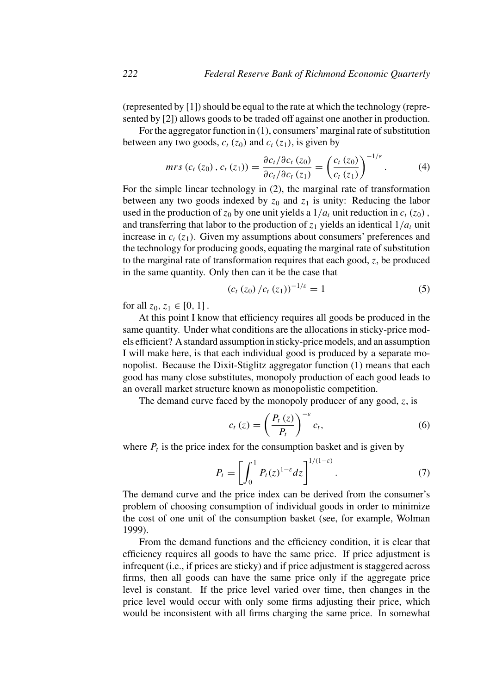(represented by [1]) should be equal to the rate at which the technology (represented by [2]) allows goods to be traded off against one another in production.

For the aggregator function in (1), consumers'marginal rate of substitution between any two goods,  $c_t$  ( $z_0$ ) and  $c_t$  ( $z_1$ ), is given by

$$
mrs (c_t (z_0), c_t (z_1)) = \frac{\partial c_t / \partial c_t (z_0)}{\partial c_t / \partial c_t (z_1)} = \left(\frac{c_t (z_0)}{c_t (z_1)}\right)^{-1/\varepsilon}.
$$
 (4)

For the simple linear technology in (2), the marginal rate of transformation between any two goods indexed by  $z_0$  and  $z_1$  is unity: Reducing the labor used in the production of  $z_0$  by one unit yields a  $1/a_t$  unit reduction in  $c_t$  ( $z_0$ ), and transferring that labor to the production of  $z_1$  yields an identical  $1/a_t$  unit increase in  $c_t$  ( $z_1$ ). Given my assumptions about consumers' preferences and the technology for producing goods, equating the marginal rate of substitution to the marginal rate of transformation requires that each good, *z*, be produced in the same quantity. Only then can it be the case that

$$
(c_t (z_0) / c_t (z_1))^{-1/\varepsilon} = 1 \tag{5}
$$

for all  $z_0, z_1 \in [0, 1]$ .

At this point I know that efficiency requires all goods be produced in the same quantity. Under what conditions are the allocations in sticky-price models efficient? A standard assumption in sticky-price models, and an assumption I will make here, is that each individual good is produced by a separate monopolist. Because the Dixit-Stiglitz aggregator function (1) means that each good has many close substitutes, monopoly production of each good leads to an overall market structure known as monopolistic competition.

The demand curve faced by the monopoly producer of any good, *z*, is

$$
c_{t}\left(z\right) = \left(\frac{P_{t}\left(z\right)}{P_{t}}\right)^{-\varepsilon}c_{t},\tag{6}
$$

where  $P_t$  is the price index for the consumption basket and is given by

$$
P_t = \left[ \int_0^1 P_t(z)^{1-\varepsilon} dz \right]^{1/(1-\varepsilon)}.
$$
 (7)

The demand curve and the price index can be derived from the consumer's problem of choosing consumption of individual goods in order to minimize the cost of one unit of the consumption basket (see, for example, Wolman 1999).

From the demand functions and the efficiency condition, it is clear that efficiency requires all goods to have the same price. If price adjustment is infrequent (i.e., if prices are sticky) and if price adjustment is staggered across firms, then all goods can have the same price only if the aggregate price level is constant. If the price level varied over time, then changes in the price level would occur with only some firms adjusting their price, which would be inconsistent with all firms charging the same price. In somewhat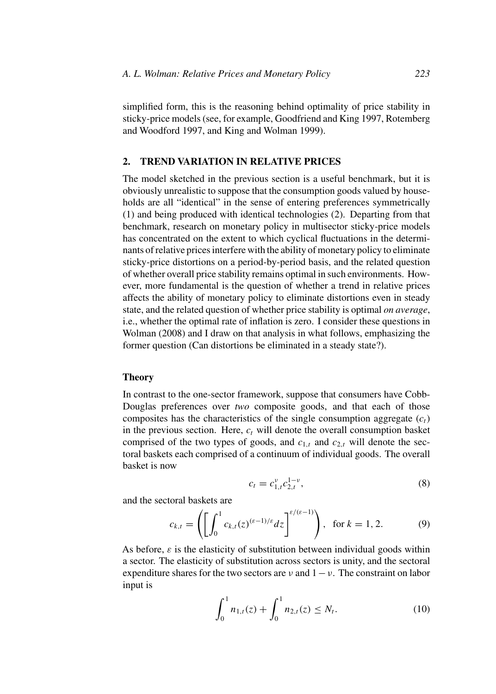simplified form, this is the reasoning behind optimality of price stability in sticky-price models (see, for example, Goodfriend and King 1997, Rotemberg and Woodford 1997, and King and Wolman 1999).

# **2. TREND VARIATION IN RELATIVE PRICES**

The model sketched in the previous section is a useful benchmark, but it is obviously unrealistic to suppose that the consumption goods valued by households are all "identical" in the sense of entering preferences symmetrically (1) and being produced with identical technologies (2). Departing from that benchmark, research on monetary policy in multisector sticky-price models has concentrated on the extent to which cyclical fluctuations in the determinants of relative prices interfere with the ability of monetary policy to eliminate sticky-price distortions on a period-by-period basis, and the related question of whether overall price stability remains optimal in such environments. However, more fundamental is the question of whether a trend in relative prices affects the ability of monetary policy to eliminate distortions even in steady state, and the related question of whether price stability is optimal *on average*, i.e., whether the optimal rate of inflation is zero. I consider these questions in Wolman (2008) and I draw on that analysis in what follows, emphasizing the former question (Can distortions be eliminated in a steady state?).

### **Theory**

In contrast to the one-sector framework, suppose that consumers have Cobb-Douglas preferences over *two* composite goods, and that each of those composites has the characteristics of the single consumption aggregate  $(c<sub>t</sub>)$ in the previous section. Here,  $c_t$  will denote the overall consumption basket comprised of the two types of goods, and  $c_{1,t}$  and  $c_{2,t}$  will denote the sectoral baskets each comprised of a continuum of individual goods. The overall basket is now

$$
c_t = c_{1,t}^{\nu} c_{2,t}^{1-\nu},\tag{8}
$$

and the sectoral baskets are

$$
c_{k,t} = \left( \left[ \int_0^1 c_{k,t}(z)^{(\varepsilon - 1)/\varepsilon} dz \right]^{\varepsilon/(\varepsilon - 1)} \right), \text{ for } k = 1, 2. \tag{9}
$$

As before,  $\varepsilon$  is the elasticity of substitution between individual goods within a sector. The elasticity of substitution across sectors is unity, and the sectoral expenditure shares for the two sectors are  $\nu$  and  $1 - \nu$ . The constraint on labor input is

$$
\int_0^1 n_{1,t}(z) + \int_0^1 n_{2,t}(z) \le N_t.
$$
 (10)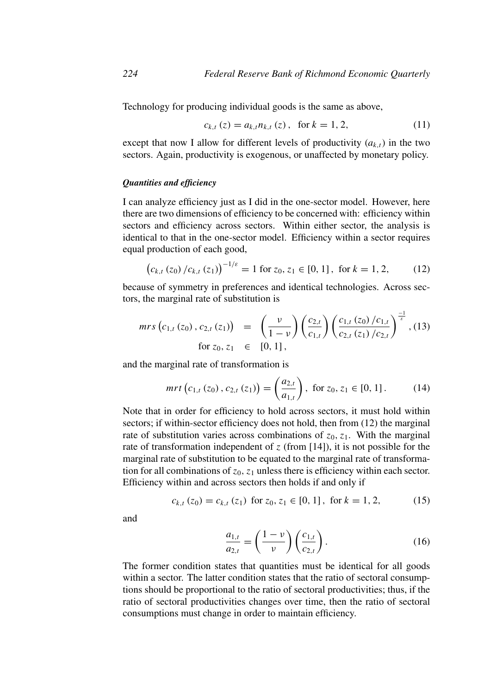Technology for producing individual goods is the same as above,

$$
c_{k,t}(z) = a_{k,t} n_{k,t}(z), \text{ for } k = 1, 2,
$$
 (11)

except that now I allow for different levels of productivity  $(a_{k,t})$  in the two sectors. Again, productivity is exogenous, or unaffected by monetary policy.

### *Quantities and efficiency*

I can analyze efficiency just as I did in the one-sector model. However, here there are two dimensions of efficiency to be concerned with: efficiency within sectors and efficiency across sectors. Within either sector, the analysis is identical to that in the one-sector model. Efficiency within a sector requires equal production of each good,

$$
\left(c_{k,t}\left(z_0\right)/c_{k,t}\left(z_1\right)\right)^{-1/\varepsilon}=1\text{ for }z_0,z_1\in[0,1]\,,\text{ for }k=1,2,\qquad(12)
$$

because of symmetry in preferences and identical technologies. Across sectors, the marginal rate of substitution is

$$
mrs\left(c_{1,t}\left(z_{0}\right),c_{2,t}\left(z_{1}\right)\right) = \left(\frac{\nu}{1-\nu}\right)\left(\frac{c_{2,t}}{c_{1,t}}\right)\left(\frac{c_{1,t}\left(z_{0}\right)/c_{1,t}}{c_{2,t}\left(z_{1}\right)/c_{2,t}}\right)^{\frac{-1}{\varepsilon}}, (13)
$$
\n
$$
\text{for } z_{0}, z_{1} \in [0, 1],
$$

and the marginal rate of transformation is

$$
mrt\left(c_{1,t}\left(z_{0}\right),c_{2,t}\left(z_{1}\right)\right)=\left(\frac{a_{2,t}}{a_{1,t}}\right),\ \text{for}\ z_{0},z_{1}\in\left[0,1\right].\tag{14}
$$

Note that in order for efficiency to hold across sectors, it must hold within sectors; if within-sector efficiency does not hold, then from  $(12)$  the marginal rate of substitution varies across combinations of  $z_0$ ,  $z_1$ . With the marginal rate of transformation independent of  $z$  (from [14]), it is not possible for the marginal rate of substitution to be equated to the marginal rate of transformation for all combinations of  $z_0$ ,  $z_1$  unless there is efficiency within each sector. Efficiency within and across sectors then holds if and only if

$$
c_{k,t}(z_0) = c_{k,t}(z_1) \text{ for } z_0, z_1 \in [0, 1], \text{ for } k = 1, 2,
$$
 (15)

and

$$
\frac{a_{1,t}}{a_{2,t}} = \left(\frac{1-\nu}{\nu}\right) \left(\frac{c_{1,t}}{c_{2,t}}\right). \tag{16}
$$

The former condition states that quantities must be identical for all goods within a sector. The latter condition states that the ratio of sectoral consumptions should be proportional to the ratio of sectoral productivities; thus, if the ratio of sectoral productivities changes over time, then the ratio of sectoral consumptions must change in order to maintain efficiency.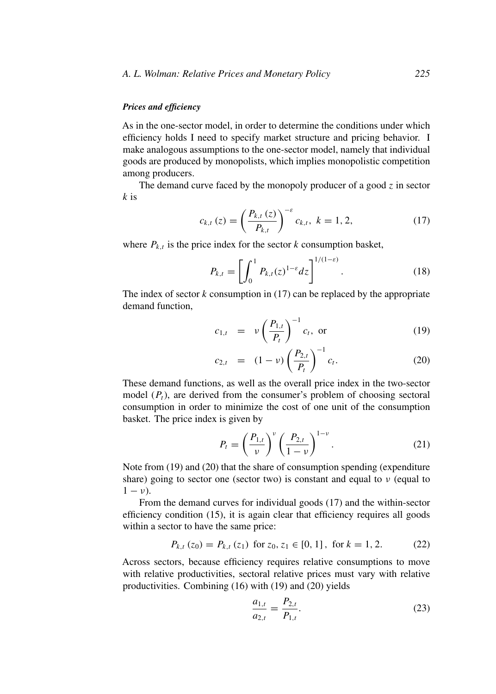# *Prices and efficiency*

As in the one-sector model, in order to determine the conditions under which efficiency holds I need to specify market structure and pricing behavior. I make analogous assumptions to the one-sector model, namely that individual goods are produced by monopolists, which implies monopolistic competition among producers.

The demand curve faced by the monopoly producer of a good *z* in sector *k* is

$$
c_{k,t}(z) = \left(\frac{P_{k,t}(z)}{P_{k,t}}\right)^{-\varepsilon} c_{k,t}, \ k = 1, 2,
$$
 (17)

where  $P_{k,t}$  is the price index for the sector  $k$  consumption basket,

$$
P_{k,t} = \left[ \int_0^1 P_{k,t}(z)^{1-\varepsilon} dz \right]^{1/(1-\varepsilon)}.
$$
 (18)

The index of sector *k* consumption in (17) can be replaced by the appropriate demand function,

$$
c_{1,t} = \nu \left(\frac{P_{1,t}}{P_t}\right)^{-1} c_t, \text{ or } (19)
$$

$$
c_{2,t} = (1-\nu) \left(\frac{P_{2,t}}{P_t}\right)^{-1} c_t.
$$
 (20)

These demand functions, as well as the overall price index in the two-sector model (*Pt*), are derived from the consumer's problem of choosing sectoral consumption in order to minimize the cost of one unit of the consumption basket. The price index is given by

$$
P_t = \left(\frac{P_{1,t}}{\nu}\right)^{\nu} \left(\frac{P_{2,t}}{1-\nu}\right)^{1-\nu}.
$$
 (21)

Note from (19) and (20) that the share of consumption spending (expenditure share) going to sector one (sector two) is constant and equal to *ν* (equal to  $1 - \nu$ ).

From the demand curves for individual goods (17) and the within-sector efficiency condition (15), it is again clear that efficiency requires all goods within a sector to have the same price:

$$
P_{k,t}(z_0) = P_{k,t}(z_1) \text{ for } z_0, z_1 \in [0, 1], \text{ for } k = 1, 2. \tag{22}
$$

Across sectors, because efficiency requires relative consumptions to move with relative productivities, sectoral relative prices must vary with relative productivities. Combining (16) with (19) and (20) yields

$$
\frac{a_{1,t}}{a_{2,t}} = \frac{P_{2,t}}{P_{1,t}}.\tag{23}
$$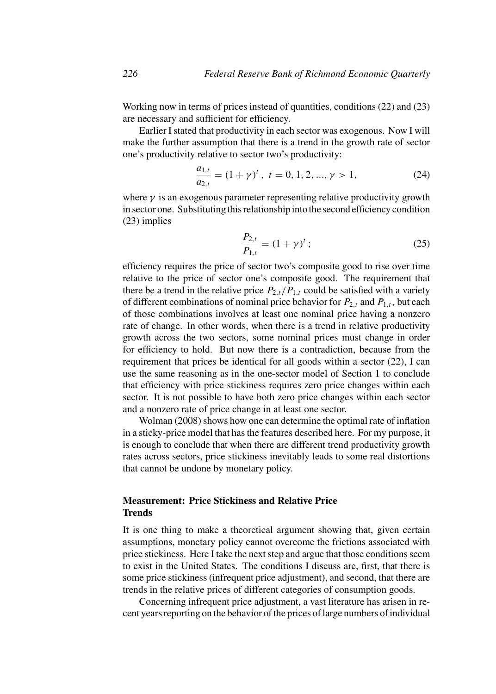Working now in terms of prices instead of quantities, conditions (22) and (23) are necessary and sufficient for efficiency.

Earlier I stated that productivity in each sector was exogenous. Now I will make the further assumption that there is a trend in the growth rate of sector one's productivity relative to sector two's productivity:

$$
\frac{a_{1,t}}{a_{2,t}} = (1+\gamma)^t, \ t = 0, 1, 2, ..., \gamma > 1,
$$
 (24)

where  $\gamma$  is an exogenous parameter representing relative productivity growth in sector one. Substituting this relationship into the second efficiency condition (23) implies

$$
\frac{P_{2,t}}{P_{1,t}} = (1+\gamma)^t \tag{25}
$$

efficiency requires the price of sector two's composite good to rise over time relative to the price of sector one's composite good. The requirement that there be a trend in the relative price  $P_{2,t}/P_{1,t}$  could be satisfied with a variety of different combinations of nominal price behavior for  $P_{2,t}$  and  $P_{1,t}$ , but each of those combinations involves at least one nominal price having a nonzero rate of change. In other words, when there is a trend in relative productivity growth across the two sectors, some nominal prices must change in order for efficiency to hold. But now there is a contradiction, because from the requirement that prices be identical for all goods within a sector (22), I can use the same reasoning as in the one-sector model of Section 1 to conclude that efficiency with price stickiness requires zero price changes within each sector. It is not possible to have both zero price changes within each sector and a nonzero rate of price change in at least one sector.

Wolman (2008) shows how one can determine the optimal rate of inflation in a sticky-price model that has the features described here. For my purpose, it is enough to conclude that when there are different trend productivity growth rates across sectors, price stickiness inevitably leads to some real distortions that cannot be undone by monetary policy.

# **Measurement: Price Stickiness and Relative Price Trends**

It is one thing to make a theoretical argument showing that, given certain assumptions, monetary policy cannot overcome the frictions associated with price stickiness. Here I take the next step and argue that those conditions seem to exist in the United States. The conditions I discuss are, first, that there is some price stickiness (infrequent price adjustment), and second, that there are trends in the relative prices of different categories of consumption goods.

Concerning infrequent price adjustment, a vast literature has arisen in recent years reporting on the behavior of the prices of large numbers of individual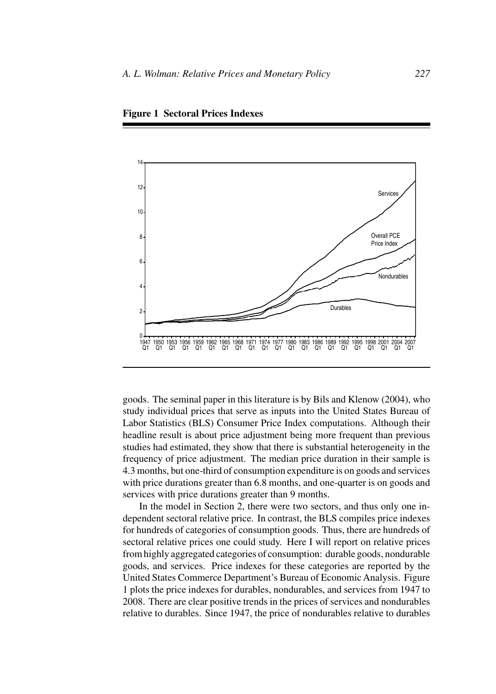

**Figure 1 Sectoral Prices Indexes**

goods. The seminal paper in this literature is by Bils and Klenow (2004), who study individual prices that serve as inputs into the United States Bureau of Labor Statistics (BLS) Consumer Price Index computations. Although their headline result is about price adjustment being more frequent than previous studies had estimated, they show that there is substantial heterogeneity in the frequency of price adjustment. The median price duration in their sample is 4.3 months, but one-third of consumption expenditure is on goods and services with price durations greater than 6.8 months, and one-quarter is on goods and services with price durations greater than 9 months.

In the model in Section 2, there were two sectors, and thus only one independent sectoral relative price. In contrast, the BLS compiles price indexes for hundreds of categories of consumption goods. Thus, there are hundreds of sectoral relative prices one could study. Here I will report on relative prices from highly aggregated categories of consumption: durable goods, nondurable goods, and services. Price indexes for these categories are reported by the United States Commerce Department's Bureau of Economic Analysis. Figure 1 plots the price indexes for durables, nondurables, and services from 1947 to 2008. There are clear positive trends in the prices of services and nondurables relative to durables. Since 1947, the price of nondurables relative to durables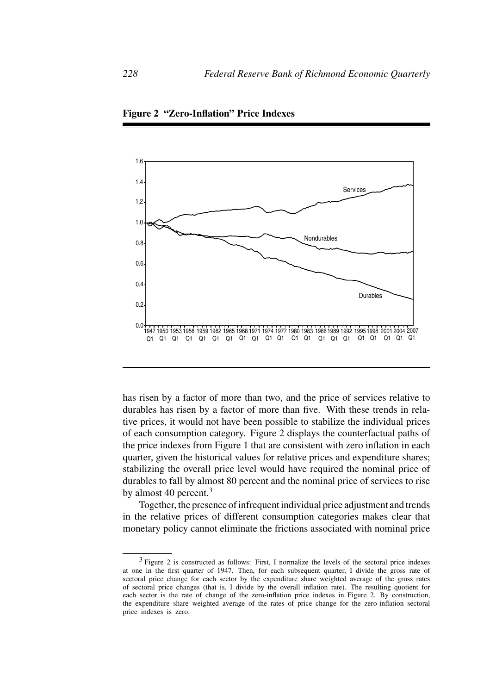

**Figure 2 "Zero-Inflation" Price Indexes**

has risen by a factor of more than two, and the price of services relative to durables has risen by a factor of more than five. With these trends in relative prices, it would not have been possible to stabilize the individual prices of each consumption category. Figure 2 displays the counterfactual paths of the price indexes from Figure 1 that are consistent with zero inflation in each quarter, given the historical values for relative prices and expenditure shares; stabilizing the overall price level would have required the nominal price of durables to fall by almost 80 percent and the nominal price of services to rise by almost 40 percent.<sup>3</sup>

Together, the presence of infrequent individual price adjustment and trends in the relative prices of different consumption categories makes clear that monetary policy cannot eliminate the frictions associated with nominal price

<sup>&</sup>lt;sup>3</sup> Figure 2 is constructed as follows: First, I normalize the levels of the sectoral price indexes at one in the first quarter of 1947. Then, for each subsequent quarter, I divide the gross rate of sectoral price change for each sector by the expenditure share weighted average of the gross rates of sectoral price changes (that is, I divide by the overall inflation rate). The resulting quotient for each sector is the rate of change of the zero-inflation price indexes in Figure 2. By construction, the expenditure share weighted average of the rates of price change for the zero-inflation sectoral price indexes is zero.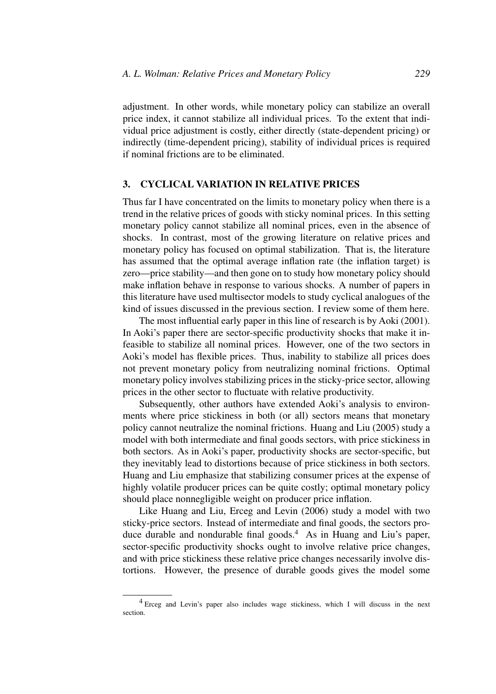adjustment. In other words, while monetary policy can stabilize an overall price index, it cannot stabilize all individual prices. To the extent that individual price adjustment is costly, either directly (state-dependent pricing) or indirectly (time-dependent pricing), stability of individual prices is required if nominal frictions are to be eliminated.

# **3. CYCLICAL VARIATION IN RELATIVE PRICES**

Thus far I have concentrated on the limits to monetary policy when there is a trend in the relative prices of goods with sticky nominal prices. In this setting monetary policy cannot stabilize all nominal prices, even in the absence of shocks. In contrast, most of the growing literature on relative prices and monetary policy has focused on optimal stabilization. That is, the literature has assumed that the optimal average inflation rate (the inflation target) is zero—price stability—and then gone on to study how monetary policy should make inflation behave in response to various shocks. A number of papers in this literature have used multisector models to study cyclical analogues of the kind of issues discussed in the previous section. I review some of them here.

The most influential early paper in this line of research is by Aoki (2001). In Aoki's paper there are sector-specific productivity shocks that make it infeasible to stabilize all nominal prices. However, one of the two sectors in Aoki's model has flexible prices. Thus, inability to stabilize all prices does not prevent monetary policy from neutralizing nominal frictions. Optimal monetary policy involves stabilizing prices in the sticky-price sector, allowing prices in the other sector to fluctuate with relative productivity.

Subsequently, other authors have extended Aoki's analysis to environments where price stickiness in both (or all) sectors means that monetary policy cannot neutralize the nominal frictions. Huang and Liu (2005) study a model with both intermediate and final goods sectors, with price stickiness in both sectors. As in Aoki's paper, productivity shocks are sector-specific, but they inevitably lead to distortions because of price stickiness in both sectors. Huang and Liu emphasize that stabilizing consumer prices at the expense of highly volatile producer prices can be quite costly; optimal monetary policy should place nonnegligible weight on producer price inflation.

Like Huang and Liu, Erceg and Levin (2006) study a model with two sticky-price sectors. Instead of intermediate and final goods, the sectors produce durable and nondurable final goods.<sup>4</sup> As in Huang and Liu's paper, sector-specific productivity shocks ought to involve relative price changes, and with price stickiness these relative price changes necessarily involve distortions. However, the presence of durable goods gives the model some

<sup>4</sup> Erceg and Levin's paper also includes wage stickiness, which I will discuss in the next section.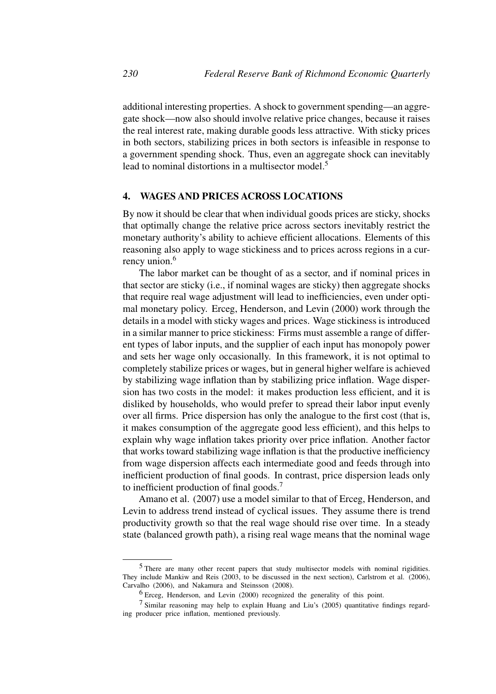additional interesting properties. A shock to government spending—an aggregate shock—now also should involve relative price changes, because it raises the real interest rate, making durable goods less attractive. With sticky prices in both sectors, stabilizing prices in both sectors is infeasible in response to a government spending shock. Thus, even an aggregate shock can inevitably lead to nominal distortions in a multisector model.<sup>5</sup>

## **4. WAGES AND PRICES ACROSS LOCATIONS**

By now it should be clear that when individual goods prices are sticky, shocks that optimally change the relative price across sectors inevitably restrict the monetary authority's ability to achieve efficient allocations. Elements of this reasoning also apply to wage stickiness and to prices across regions in a currency union.<sup>6</sup>

The labor market can be thought of as a sector, and if nominal prices in that sector are sticky (i.e., if nominal wages are sticky) then aggregate shocks that require real wage adjustment will lead to inefficiencies, even under optimal monetary policy. Erceg, Henderson, and Levin (2000) work through the details in a model with sticky wages and prices. Wage stickiness is introduced in a similar manner to price stickiness: Firms must assemble a range of different types of labor inputs, and the supplier of each input has monopoly power and sets her wage only occasionally. In this framework, it is not optimal to completely stabilize prices or wages, but in general higher welfare is achieved by stabilizing wage inflation than by stabilizing price inflation. Wage dispersion has two costs in the model: it makes production less efficient, and it is disliked by households, who would prefer to spread their labor input evenly over all firms. Price dispersion has only the analogue to the first cost (that is, it makes consumption of the aggregate good less efficient), and this helps to explain why wage inflation takes priority over price inflation. Another factor that works toward stabilizing wage inflation is that the productive inefficiency from wage dispersion affects each intermediate good and feeds through into inefficient production of final goods. In contrast, price dispersion leads only to inefficient production of final goods.<sup>7</sup>

Amano et al. (2007) use a model similar to that of Erceg, Henderson, and Levin to address trend instead of cyclical issues. They assume there is trend productivity growth so that the real wage should rise over time. In a steady state (balanced growth path), a rising real wage means that the nominal wage

<sup>5</sup> There are many other recent papers that study multisector models with nominal rigidities. They include Mankiw and Reis (2003, to be discussed in the next section), Carlstrom et al. (2006), Carvalho (2006), and Nakamura and Steinsson (2008).

<sup>6</sup> Erceg, Henderson, and Levin (2000) recognized the generality of this point.

<sup>7</sup> Similar reasoning may help to explain Huang and Liu's (2005) quantitative findings regarding producer price inflation, mentioned previously.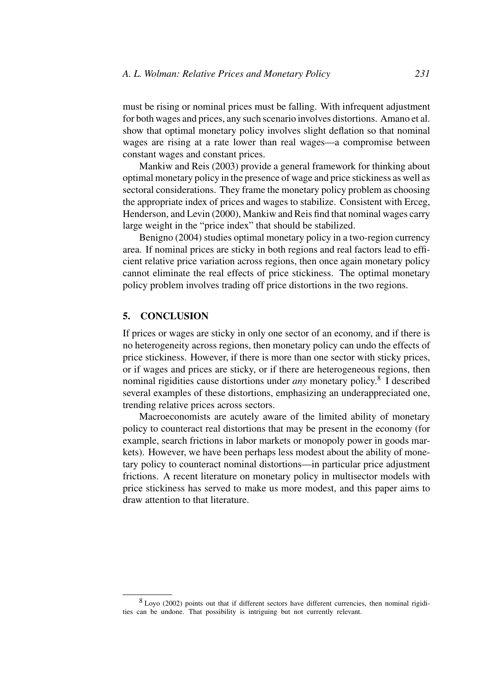must be rising or nominal prices must be falling. With infrequent adjustment for both wages and prices, any such scenario involves distortions. Amano et al. show that optimal monetary policy involves slight deflation so that nominal wages are rising at a rate lower than real wages—a compromise between constant wages and constant prices.

Mankiw and Reis (2003) provide a general framework for thinking about optimal monetary policy in the presence of wage and price stickiness as well as sectoral considerations. They frame the monetary policy problem as choosing the appropriate index of prices and wages to stabilize. Consistent with Erceg, Henderson, and Levin (2000), Mankiw and Reis find that nominal wages carry large weight in the "price index" that should be stabilized.

Benigno (2004) studies optimal monetary policy in a two-region currency area. If nominal prices are sticky in both regions and real factors lead to efficient relative price variation across regions, then once again monetary policy cannot eliminate the real effects of price stickiness. The optimal monetary policy problem involves trading off price distortions in the two regions.

# **5. CONCLUSION**

If prices or wages are sticky in only one sector of an economy, and if there is no heterogeneity across regions, then monetary policy can undo the effects of price stickiness. However, if there is more than one sector with sticky prices, or if wages and prices are sticky, or if there are heterogeneous regions, then nominal rigidities cause distortions under *any* monetary policy.8 I described several examples of these distortions, emphasizing an underappreciated one, trending relative prices across sectors.

Macroeconomists are acutely aware of the limited ability of monetary policy to counteract real distortions that may be present in the economy (for example, search frictions in labor markets or monopoly power in goods markets). However, we have been perhaps less modest about the ability of monetary policy to counteract nominal distortions—in particular price adjustment frictions. A recent literature on monetary policy in multisector models with price stickiness has served to make us more modest, and this paper aims to draw attention to that literature.

<sup>8</sup> Loyo (2002) points out that if different sectors have different currencies, then nominal rigidities can be undone. That possibility is intriguing but not currently relevant.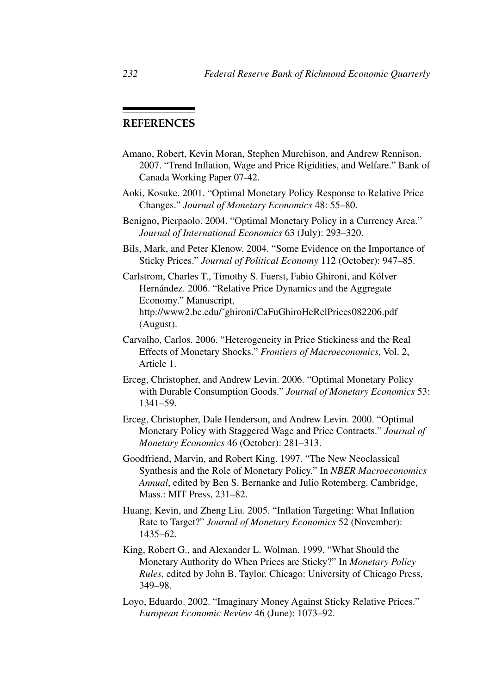# **REFERENCES**

- Amano, Robert, Kevin Moran, Stephen Murchison, and Andrew Rennison. 2007. "Trend Inflation, Wage and Price Rigidities, and Welfare." Bank of Canada Working Paper 07-42.
- Aoki, Kosuke. 2001. "Optimal Monetary Policy Response to Relative Price Changes." *Journal of Monetary Economics* 48: 55–80.
- Benigno, Pierpaolo. 2004. "Optimal Monetary Policy in a Currency Area." *Journal of International Economics* 63 (July): 293–320.
- Bils, Mark, and Peter Klenow. 2004. "Some Evidence on the Importance of Sticky Prices." *Journal of Political Economy* 112 (October): 947–85.
- Carlstrom, Charles T., Timothy S. Fuerst, Fabio Ghironi, and Kólver Hernández. 2006. "Relative Price Dynamics and the Aggregate Economy." Manuscript, http://www2.bc.edu/˜ghironi/CaFuGhiroHeRelPrices082206.pdf (August).
- Carvalho, Carlos. 2006. "Heterogeneity in Price Stickiness and the Real Effects of Monetary Shocks." *Frontiers of Macroeconomics,* Vol. 2, Article 1.
- Erceg, Christopher, and Andrew Levin. 2006. "Optimal Monetary Policy with Durable Consumption Goods." *Journal of Monetary Economics* 53: 1341–59.
- Erceg, Christopher, Dale Henderson, and Andrew Levin. 2000. "Optimal Monetary Policy with Staggered Wage and Price Contracts." *Journal of Monetary Economics* 46 (October): 281–313.
- Goodfriend, Marvin, and Robert King. 1997. "The New Neoclassical Synthesis and the Role of Monetary Policy." In *NBER Macroeconomics Annual*, edited by Ben S. Bernanke and Julio Rotemberg. Cambridge, Mass.: MIT Press, 231–82.
- Huang, Kevin, and Zheng Liu. 2005. "Inflation Targeting: What Inflation Rate to Target?" *Journal of Monetary Economics* 52 (November): 1435–62.
- King, Robert G., and Alexander L. Wolman. 1999. "What Should the Monetary Authority do When Prices are Sticky?" In *Monetary Policy Rules,* edited by John B. Taylor. Chicago: University of Chicago Press, 349–98.
- Loyo, Eduardo. 2002. "Imaginary Money Against Sticky Relative Prices." *European Economic Review* 46 (June): 1073–92.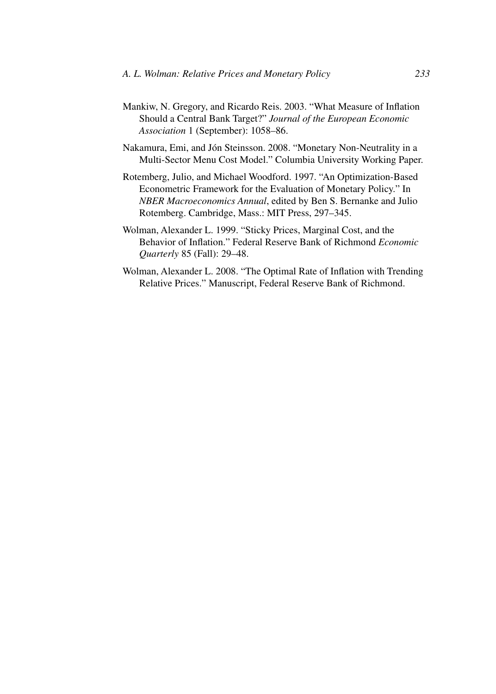- Mankiw, N. Gregory, and Ricardo Reis. 2003. "What Measure of Inflation Should a Central Bank Target?" *Journal of the European Economic Association* 1 (September): 1058–86.
- Nakamura, Emi, and Jón Steinsson. 2008. "Monetary Non-Neutrality in a Multi-Sector Menu Cost Model." Columbia University Working Paper.
- Rotemberg, Julio, and Michael Woodford. 1997. "An Optimization-Based Econometric Framework for the Evaluation of Monetary Policy." In *NBER Macroeconomics Annual*, edited by Ben S. Bernanke and Julio Rotemberg. Cambridge, Mass.: MIT Press, 297–345.
- Wolman, Alexander L. 1999. "Sticky Prices, Marginal Cost, and the Behavior of Inflation." Federal Reserve Bank of Richmond *Economic Quarterly* 85 (Fall): 29–48.
- Wolman, Alexander L. 2008. "The Optimal Rate of Inflation with Trending Relative Prices." Manuscript, Federal Reserve Bank of Richmond.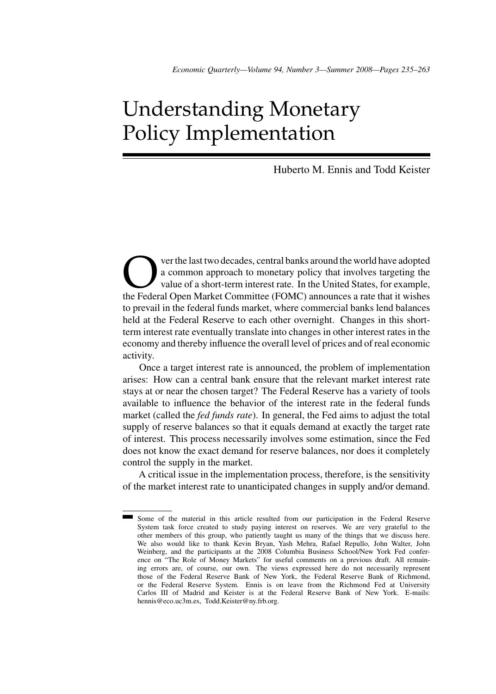## Understanding Monetary Policy Implementation

Huberto M. Ennis and Todd Keister

Over the last two decades, central banks around the world have adopted<br>a common approach to monetary policy that involves targeting the<br>value of a short-term interest rate. In the United States, for example,<br>the Federal Op a common approach to monetary policy that involves targeting the value of a short-term interest rate. In the United States, for example, the Federal Open Market Committee (FOMC) announces a rate that it wishes to prevail in the federal funds market, where commercial banks lend balances held at the Federal Reserve to each other overnight. Changes in this shortterm interest rate eventually translate into changes in other interest rates in the economy and thereby influence the overall level of prices and of real economic activity.

Once a target interest rate is announced, the problem of implementation arises: How can a central bank ensure that the relevant market interest rate stays at or near the chosen target? The Federal Reserve has a variety of tools available to influence the behavior of the interest rate in the federal funds market (called the *fed funds rate*). In general, the Fed aims to adjust the total supply of reserve balances so that it equals demand at exactly the target rate of interest. This process necessarily involves some estimation, since the Fed does not know the exact demand for reserve balances, nor does it completely control the supply in the market.

A critical issue in the implementation process, therefore, is the sensitivity of the market interest rate to unanticipated changes in supply and/or demand.

Some of the material in this article resulted from our participation in the Federal Reserve System task force created to study paying interest on reserves. We are very grateful to the other members of this group, who patiently taught us many of the things that we discuss here. We also would like to thank Kevin Bryan, Yash Mehra, Rafael Repullo, John Walter, John Weinberg, and the participants at the 2008 Columbia Business School/New York Fed conference on "The Role of Money Markets" for useful comments on a previous draft. All remaining errors are, of course, our own. The views expressed here do not necessarily represent those of the Federal Reserve Bank of New York, the Federal Reserve Bank of Richmond, or the Federal Reserve System. Ennis is on leave from the Richmond Fed at University Carlos III of Madrid and Keister is at the Federal Reserve Bank of New York. E-mails: hennis@eco.uc3m.es, Todd.Keister@ny.frb.org.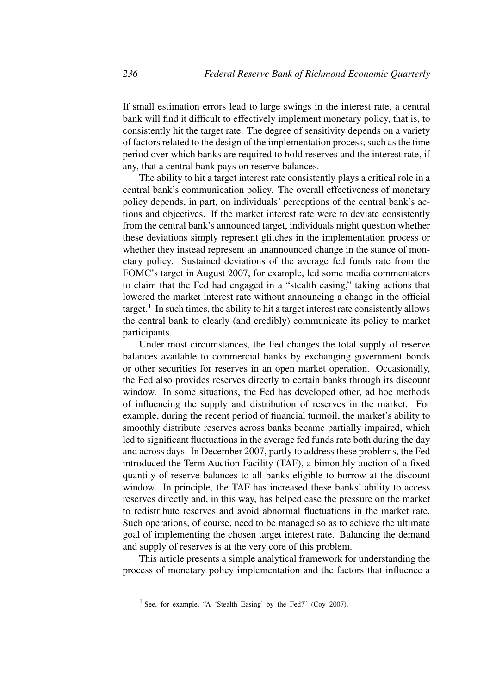If small estimation errors lead to large swings in the interest rate, a central bank will find it difficult to effectively implement monetary policy, that is, to consistently hit the target rate. The degree of sensitivity depends on a variety of factors related to the design of the implementation process, such as the time period over which banks are required to hold reserves and the interest rate, if any, that a central bank pays on reserve balances.

The ability to hit a target interest rate consistently plays a critical role in a central bank's communication policy. The overall effectiveness of monetary policy depends, in part, on individuals' perceptions of the central bank's actions and objectives. If the market interest rate were to deviate consistently from the central bank's announced target, individuals might question whether these deviations simply represent glitches in the implementation process or whether they instead represent an unannounced change in the stance of monetary policy. Sustained deviations of the average fed funds rate from the FOMC's target in August 2007, for example, led some media commentators to claim that the Fed had engaged in a "stealth easing," taking actions that lowered the market interest rate without announcing a change in the official target.<sup>1</sup> In such times, the ability to hit a target interest rate consistently allows the central bank to clearly (and credibly) communicate its policy to market participants.

Under most circumstances, the Fed changes the total supply of reserve balances available to commercial banks by exchanging government bonds or other securities for reserves in an open market operation. Occasionally, the Fed also provides reserves directly to certain banks through its discount window. In some situations, the Fed has developed other, ad hoc methods of influencing the supply and distribution of reserves in the market. For example, during the recent period of financial turmoil, the market's ability to smoothly distribute reserves across banks became partially impaired, which led to significant fluctuations in the average fed funds rate both during the day and across days. In December 2007, partly to address these problems, the Fed introduced the Term Auction Facility (TAF), a bimonthly auction of a fixed quantity of reserve balances to all banks eligible to borrow at the discount window. In principle, the TAF has increased these banks' ability to access reserves directly and, in this way, has helped ease the pressure on the market to redistribute reserves and avoid abnormal fluctuations in the market rate. Such operations, of course, need to be managed so as to achieve the ultimate goal of implementing the chosen target interest rate. Balancing the demand and supply of reserves is at the very core of this problem.

This article presents a simple analytical framework for understanding the process of monetary policy implementation and the factors that influence a

<sup>&</sup>lt;sup>1</sup> See, for example, "A 'Stealth Easing' by the Fed?" (Coy 2007).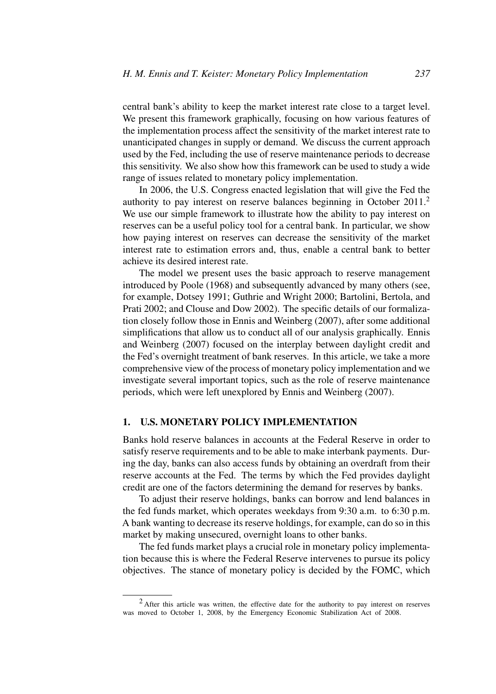central bank's ability to keep the market interest rate close to a target level. We present this framework graphically, focusing on how various features of the implementation process affect the sensitivity of the market interest rate to unanticipated changes in supply or demand. We discuss the current approach used by the Fed, including the use of reserve maintenance periods to decrease this sensitivity. We also show how this framework can be used to study a wide range of issues related to monetary policy implementation.

In 2006, the U.S. Congress enacted legislation that will give the Fed the authority to pay interest on reserve balances beginning in October 2011.<sup>2</sup> We use our simple framework to illustrate how the ability to pay interest on reserves can be a useful policy tool for a central bank. In particular, we show how paying interest on reserves can decrease the sensitivity of the market interest rate to estimation errors and, thus, enable a central bank to better achieve its desired interest rate.

The model we present uses the basic approach to reserve management introduced by Poole (1968) and subsequently advanced by many others (see, for example, Dotsey 1991; Guthrie and Wright 2000; Bartolini, Bertola, and Prati 2002; and Clouse and Dow 2002). The specific details of our formalization closely follow those in Ennis and Weinberg (2007), after some additional simplifications that allow us to conduct all of our analysis graphically. Ennis and Weinberg (2007) focused on the interplay between daylight credit and the Fed's overnight treatment of bank reserves. In this article, we take a more comprehensive view of the process of monetary policy implementation and we investigate several important topics, such as the role of reserve maintenance periods, which were left unexplored by Ennis and Weinberg (2007).

#### **1. U.S. MONETARY POLICY IMPLEMENTATION**

Banks hold reserve balances in accounts at the Federal Reserve in order to satisfy reserve requirements and to be able to make interbank payments. During the day, banks can also access funds by obtaining an overdraft from their reserve accounts at the Fed. The terms by which the Fed provides daylight credit are one of the factors determining the demand for reserves by banks.

To adjust their reserve holdings, banks can borrow and lend balances in the fed funds market, which operates weekdays from 9:30 a.m. to 6:30 p.m. A bank wanting to decrease its reserve holdings, for example, can do so in this market by making unsecured, overnight loans to other banks.

The fed funds market plays a crucial role in monetary policy implementation because this is where the Federal Reserve intervenes to pursue its policy objectives. The stance of monetary policy is decided by the FOMC, which

<sup>&</sup>lt;sup>2</sup> After this article was written, the effective date for the authority to pay interest on reserves was moved to October 1, 2008, by the Emergency Economic Stabilization Act of 2008.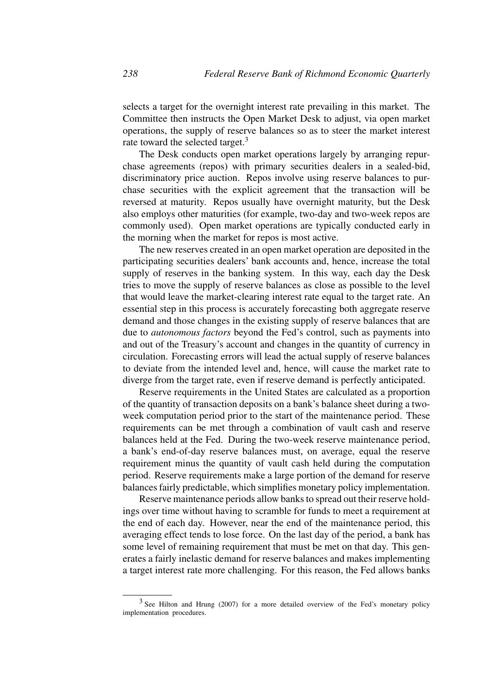selects a target for the overnight interest rate prevailing in this market. The Committee then instructs the Open Market Desk to adjust, via open market operations, the supply of reserve balances so as to steer the market interest rate toward the selected target.<sup>3</sup>

The Desk conducts open market operations largely by arranging repurchase agreements (repos) with primary securities dealers in a sealed-bid, discriminatory price auction. Repos involve using reserve balances to purchase securities with the explicit agreement that the transaction will be reversed at maturity. Repos usually have overnight maturity, but the Desk also employs other maturities (for example, two-day and two-week repos are commonly used). Open market operations are typically conducted early in the morning when the market for repos is most active.

The new reserves created in an open market operation are deposited in the participating securities dealers' bank accounts and, hence, increase the total supply of reserves in the banking system. In this way, each day the Desk tries to move the supply of reserve balances as close as possible to the level that would leave the market-clearing interest rate equal to the target rate. An essential step in this process is accurately forecasting both aggregate reserve demand and those changes in the existing supply of reserve balances that are due to *autonomous factors* beyond the Fed's control, such as payments into and out of the Treasury's account and changes in the quantity of currency in circulation. Forecasting errors will lead the actual supply of reserve balances to deviate from the intended level and, hence, will cause the market rate to diverge from the target rate, even if reserve demand is perfectly anticipated.

Reserve requirements in the United States are calculated as a proportion of the quantity of transaction deposits on a bank's balance sheet during a twoweek computation period prior to the start of the maintenance period. These requirements can be met through a combination of vault cash and reserve balances held at the Fed. During the two-week reserve maintenance period, a bank's end-of-day reserve balances must, on average, equal the reserve requirement minus the quantity of vault cash held during the computation period. Reserve requirements make a large portion of the demand for reserve balances fairly predictable, which simplifies monetary policy implementation.

Reserve maintenance periods allow banks to spread out their reserve holdings over time without having to scramble for funds to meet a requirement at the end of each day. However, near the end of the maintenance period, this averaging effect tends to lose force. On the last day of the period, a bank has some level of remaining requirement that must be met on that day. This generates a fairly inelastic demand for reserve balances and makes implementing a target interest rate more challenging. For this reason, the Fed allows banks

<sup>&</sup>lt;sup>3</sup> See Hilton and Hrung (2007) for a more detailed overview of the Fed's monetary policy implementation procedures.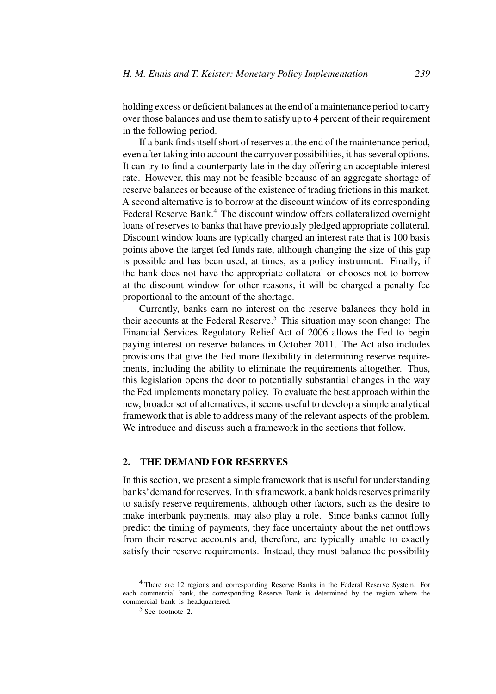holding excess or deficient balances at the end of a maintenance period to carry over those balances and use them to satisfy up to 4 percent of their requirement in the following period.

If a bank finds itself short of reserves at the end of the maintenance period, even after taking into account the carryover possibilities, it has several options. It can try to find a counterparty late in the day offering an acceptable interest rate. However, this may not be feasible because of an aggregate shortage of reserve balances or because of the existence of trading frictions in this market. A second alternative is to borrow at the discount window of its corresponding Federal Reserve Bank.<sup>4</sup> The discount window offers collateralized overnight loans of reserves to banks that have previously pledged appropriate collateral. Discount window loans are typically charged an interest rate that is 100 basis points above the target fed funds rate, although changing the size of this gap is possible and has been used, at times, as a policy instrument. Finally, if the bank does not have the appropriate collateral or chooses not to borrow at the discount window for other reasons, it will be charged a penalty fee proportional to the amount of the shortage.

Currently, banks earn no interest on the reserve balances they hold in their accounts at the Federal Reserve.<sup>5</sup> This situation may soon change: The Financial Services Regulatory Relief Act of 2006 allows the Fed to begin paying interest on reserve balances in October 2011. The Act also includes provisions that give the Fed more flexibility in determining reserve requirements, including the ability to eliminate the requirements altogether. Thus, this legislation opens the door to potentially substantial changes in the way the Fed implements monetary policy. To evaluate the best approach within the new, broader set of alternatives, it seems useful to develop a simple analytical framework that is able to address many of the relevant aspects of the problem. We introduce and discuss such a framework in the sections that follow.

#### **2. THE DEMAND FOR RESERVES**

In this section, we present a simple framework that is useful for understanding banks'demand for reserves. In this framework, a bank holds reserves primarily to satisfy reserve requirements, although other factors, such as the desire to make interbank payments, may also play a role. Since banks cannot fully predict the timing of payments, they face uncertainty about the net outflows from their reserve accounts and, therefore, are typically unable to exactly satisfy their reserve requirements. Instead, they must balance the possibility

<sup>4</sup> There are 12 regions and corresponding Reserve Banks in the Federal Reserve System. For each commercial bank, the corresponding Reserve Bank is determined by the region where the commercial bank is headquartered.

<sup>5</sup> See footnote 2.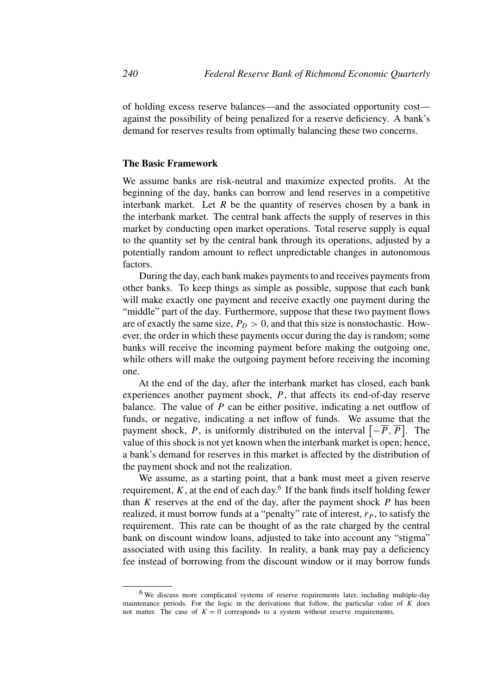of holding excess reserve balances—and the associated opportunity cost against the possibility of being penalized for a reserve deficiency. A bank's demand for reserves results from optimally balancing these two concerns.

#### **The Basic Framework**

We assume banks are risk-neutral and maximize expected profits. At the beginning of the day, banks can borrow and lend reserves in a competitive interbank market. Let  $R$  be the quantity of reserves chosen by a bank in the interbank market. The central bank affects the supply of reserves in this market by conducting open market operations. Total reserve supply is equal to the quantity set by the central bank through its operations, adjusted by a potentially random amount to reflect unpredictable changes in autonomous factors.

During the day, each bank makes payments to and receives payments from other banks. To keep things as simple as possible, suppose that each bank will make exactly one payment and receive exactly one payment during the "middle" part of the day. Furthermore, suppose that these two payment flows are of exactly the same size,  $P_D > 0$ , and that this size is nonstochastic. However, the order in which these payments occur during the day is random; some banks will receive the incoming payment before making the outgoing one, while others will make the outgoing payment before receiving the incoming one.

At the end of the day, after the interbank market has closed, each bank experiences another payment shock, *P*, that affects its end-of-day reserve balance. The value of *P* can be either positive, indicating a net outflow of funds, or negative, indicating a net inflow of funds. We assume that the payment shock, *P*, is uniformly distributed on the interval  $\left[-\overline{P}, \overline{P}\right]$ . The value of this shock is not yet known when the interbank market is open; hence, a bank's demand for reserves in this market is affected by the distribution of the payment shock and not the realization.

We assume, as a starting point, that a bank must meet a given reserve requirement,  $K$ , at the end of each day.<sup>6</sup> If the bank finds itself holding fewer than *K* reserves at the end of the day, after the payment shock *P* has been realized, it must borrow funds at a "penalty" rate of interest,  $r<sub>P</sub>$ , to satisfy the requirement. This rate can be thought of as the rate charged by the central bank on discount window loans, adjusted to take into account any "stigma" associated with using this facility. In reality, a bank may pay a deficiency fee instead of borrowing from the discount window or it may borrow funds

<sup>&</sup>lt;sup>6</sup> We discuss more complicated systems of reserve requirements later, including multiple-day maintenance periods. For the logic in the derivations that follow, the particular value of  $\overline{K}$  does not matter. The case of  $K = 0$  corresponds to a system without reserve requirements.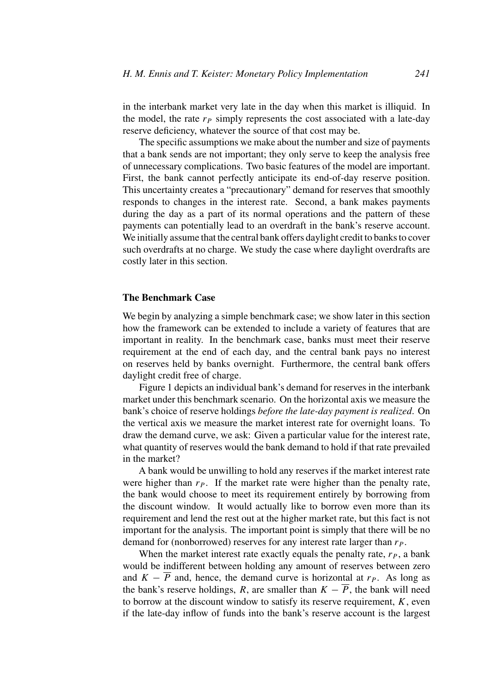in the interbank market very late in the day when this market is illiquid. In the model, the rate  $r_P$  simply represents the cost associated with a late-day reserve deficiency, whatever the source of that cost may be.

The specific assumptions we make about the number and size of payments that a bank sends are not important; they only serve to keep the analysis free of unnecessary complications. Two basic features of the model are important. First, the bank cannot perfectly anticipate its end-of-day reserve position. This uncertainty creates a "precautionary" demand for reserves that smoothly responds to changes in the interest rate. Second, a bank makes payments during the day as a part of its normal operations and the pattern of these payments can potentially lead to an overdraft in the bank's reserve account. We initially assume that the central bank offers daylight credit to banks to cover such overdrafts at no charge. We study the case where daylight overdrafts are costly later in this section.

#### **The Benchmark Case**

We begin by analyzing a simple benchmark case; we show later in this section how the framework can be extended to include a variety of features that are important in reality. In the benchmark case, banks must meet their reserve requirement at the end of each day, and the central bank pays no interest on reserves held by banks overnight. Furthermore, the central bank offers daylight credit free of charge.

Figure 1 depicts an individual bank's demand for reserves in the interbank market under this benchmark scenario. On the horizontal axis we measure the bank's choice of reserve holdings *before the late-day payment is realized*. On the vertical axis we measure the market interest rate for overnight loans. To draw the demand curve, we ask: Given a particular value for the interest rate, what quantity of reserves would the bank demand to hold if that rate prevailed in the market?

A bank would be unwilling to hold any reserves if the market interest rate were higher than  $r_P$ . If the market rate were higher than the penalty rate, the bank would choose to meet its requirement entirely by borrowing from the discount window. It would actually like to borrow even more than its requirement and lend the rest out at the higher market rate, but this fact is not important for the analysis. The important point is simply that there will be no demand for (nonborrowed) reserves for any interest rate larger than  $r<sub>P</sub>$ .

When the market interest rate exactly equals the penalty rate,  $r<sub>P</sub>$ , a bank would be indifferent between holding any amount of reserves between zero and  $K - \overline{P}$  and, hence, the demand curve is horizontal at  $r_P$ . As long as the bank's reserve holdings, *R*, are smaller than  $K - \overline{P}$ , the bank will need to borrow at the discount window to satisfy its reserve requirement, *K*, even if the late-day inflow of funds into the bank's reserve account is the largest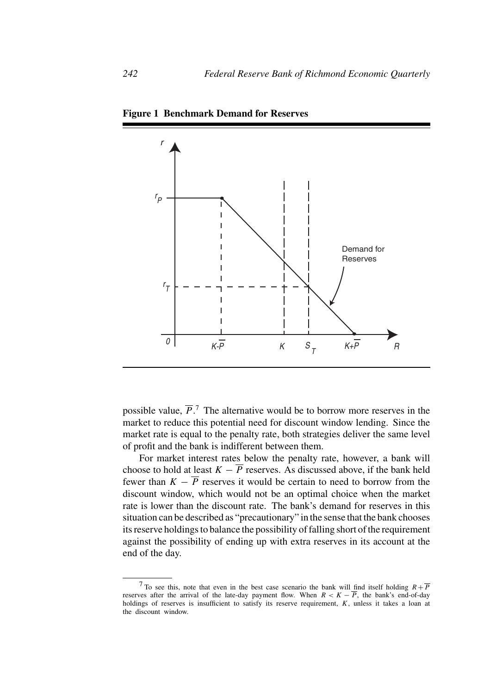

**Figure 1 Benchmark Demand for Reserves**

possible value,  $\overline{P}$ .<sup>7</sup> The alternative would be to borrow more reserves in the market to reduce this potential need for discount window lending. Since the market rate is equal to the penalty rate, both strategies deliver the same level of profit and the bank is indifferent between them.

For market interest rates below the penalty rate, however, a bank will choose to hold at least  $K - \overline{P}$  reserves. As discussed above, if the bank held fewer than  $K - \overline{P}$  reserves it would be certain to need to borrow from the discount window, which would not be an optimal choice when the market rate is lower than the discount rate. The bank's demand for reserves in this situation can be described as "precautionary" in the sense that the bank chooses its reserve holdings to balance the possibility of falling short of the requirement against the possibility of ending up with extra reserves in its account at the end of the day.

<sup>&</sup>lt;sup>7</sup>To see this, note that even in the best case scenario the bank will find itself holding  $R+\overline{P}$ reserves after the arrival of the late-day payment flow. When  $R < K - \overline{P}$ , the bank's end-of-day holdings of reserves is insufficient to satisfy its reserve requirement, *K*, unless it takes a loan at the discount window.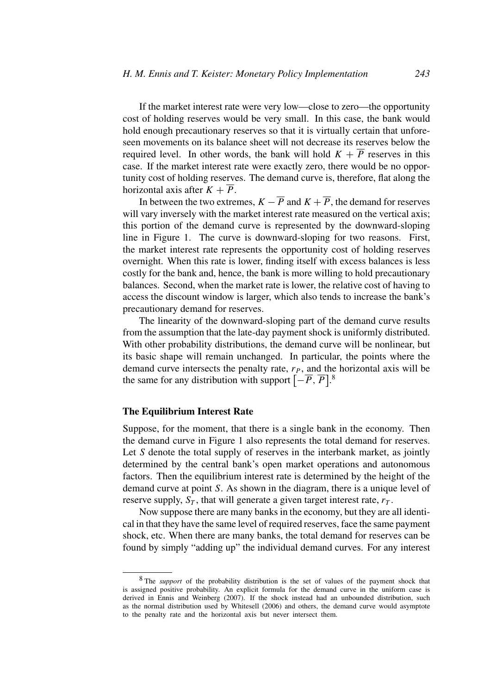If the market interest rate were very low—close to zero—the opportunity cost of holding reserves would be very small. In this case, the bank would hold enough precautionary reserves so that it is virtually certain that unforeseen movements on its balance sheet will not decrease its reserves below the required level. In other words, the bank will hold  $K + \overline{P}$  reserves in this case. If the market interest rate were exactly zero, there would be no opportunity cost of holding reserves. The demand curve is, therefore, flat along the horizontal axis after  $K + \overline{P}$ .

In between the two extremes,  $K - \overline{P}$  and  $K + \overline{P}$ , the demand for reserves will vary inversely with the market interest rate measured on the vertical axis; this portion of the demand curve is represented by the downward-sloping line in Figure 1. The curve is downward-sloping for two reasons. First, the market interest rate represents the opportunity cost of holding reserves overnight. When this rate is lower, finding itself with excess balances is less costly for the bank and, hence, the bank is more willing to hold precautionary balances. Second, when the market rate is lower, the relative cost of having to access the discount window is larger, which also tends to increase the bank's precautionary demand for reserves.

The linearity of the downward-sloping part of the demand curve results from the assumption that the late-day payment shock is uniformly distributed. With other probability distributions, the demand curve will be nonlinear, but its basic shape will remain unchanged. In particular, the points where the demand curve intersects the penalty rate,  $r<sub>P</sub>$ , and the horizontal axis will be the same for any distribution with support  $\left[-\overline{P}, \overline{P}\right]$ .<sup>8</sup>

#### **The Equilibrium Interest Rate**

Suppose, for the moment, that there is a single bank in the economy. Then the demand curve in Figure 1 also represents the total demand for reserves. Let *S* denote the total supply of reserves in the interbank market, as jointly determined by the central bank's open market operations and autonomous factors. Then the equilibrium interest rate is determined by the height of the demand curve at point *S*. As shown in the diagram, there is a unique level of reserve supply,  $S_T$ , that will generate a given target interest rate,  $r_T$ .

Now suppose there are many banks in the economy, but they are all identical in that they have the same level of required reserves, face the same payment shock, etc. When there are many banks, the total demand for reserves can be found by simply "adding up" the individual demand curves. For any interest

<sup>8</sup> The *support* of the probability distribution is the set of values of the payment shock that is assigned positive probability. An explicit formula for the demand curve in the uniform case is derived in Ennis and Weinberg (2007). If the shock instead had an unbounded distribution, such as the normal distribution used by Whitesell (2006) and others, the demand curve would asymptote to the penalty rate and the horizontal axis but never intersect them.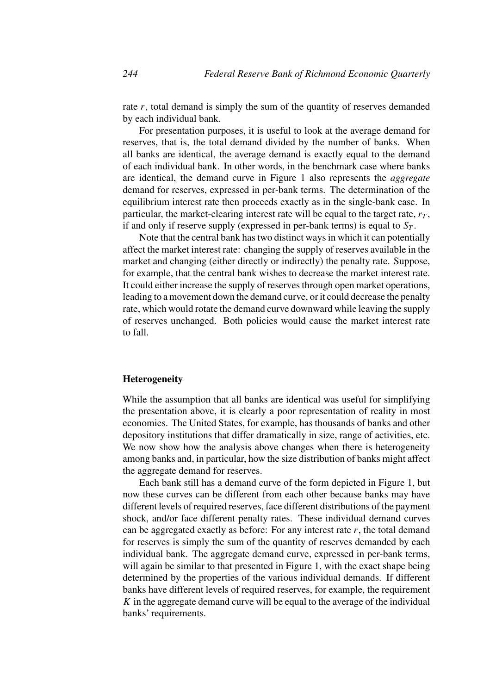rate *r*, total demand is simply the sum of the quantity of reserves demanded by each individual bank.

For presentation purposes, it is useful to look at the average demand for reserves, that is, the total demand divided by the number of banks. When all banks are identical, the average demand is exactly equal to the demand of each individual bank. In other words, in the benchmark case where banks are identical, the demand curve in Figure 1 also represents the *aggregate* demand for reserves, expressed in per-bank terms. The determination of the equilibrium interest rate then proceeds exactly as in the single-bank case. In particular, the market-clearing interest rate will be equal to the target rate,  $r<sub>T</sub>$ , if and only if reserve supply (expressed in per-bank terms) is equal to  $S_T$ .

Note that the central bank has two distinct ways in which it can potentially affect the market interest rate: changing the supply of reserves available in the market and changing (either directly or indirectly) the penalty rate. Suppose, for example, that the central bank wishes to decrease the market interest rate. It could either increase the supply of reserves through open market operations, leading to a movement down the demand curve, or it could decrease the penalty rate, which would rotate the demand curve downward while leaving the supply of reserves unchanged. Both policies would cause the market interest rate to fall.

#### **Heterogeneity**

While the assumption that all banks are identical was useful for simplifying the presentation above, it is clearly a poor representation of reality in most economies. The United States, for example, has thousands of banks and other depository institutions that differ dramatically in size, range of activities, etc. We now show how the analysis above changes when there is heterogeneity among banks and, in particular, how the size distribution of banks might affect the aggregate demand for reserves.

Each bank still has a demand curve of the form depicted in Figure 1, but now these curves can be different from each other because banks may have different levels of required reserves, face different distributions of the payment shock, and/or face different penalty rates. These individual demand curves can be aggregated exactly as before: For any interest rate *r*, the total demand for reserves is simply the sum of the quantity of reserves demanded by each individual bank. The aggregate demand curve, expressed in per-bank terms, will again be similar to that presented in Figure 1, with the exact shape being determined by the properties of the various individual demands. If different banks have different levels of required reserves, for example, the requirement *K* in the aggregate demand curve will be equal to the average of the individual banks' requirements.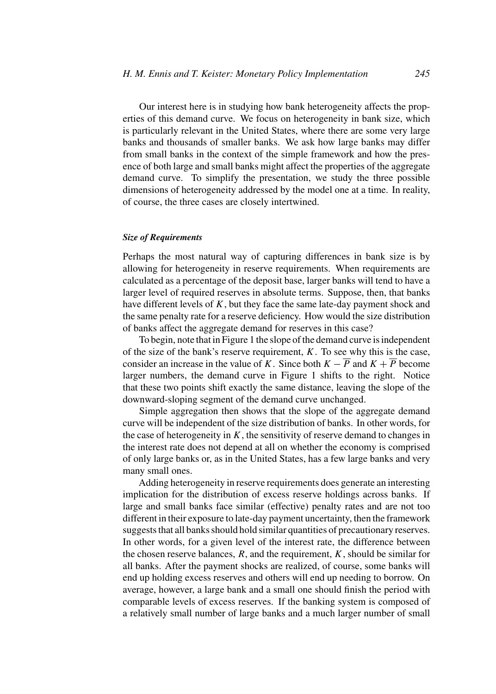Our interest here is in studying how bank heterogeneity affects the properties of this demand curve. We focus on heterogeneity in bank size, which is particularly relevant in the United States, where there are some very large banks and thousands of smaller banks. We ask how large banks may differ from small banks in the context of the simple framework and how the presence of both large and small banks might affect the properties of the aggregate demand curve. To simplify the presentation, we study the three possible dimensions of heterogeneity addressed by the model one at a time. In reality, of course, the three cases are closely intertwined.

#### *Size of Requirements*

Perhaps the most natural way of capturing differences in bank size is by allowing for heterogeneity in reserve requirements. When requirements are calculated as a percentage of the deposit base, larger banks will tend to have a larger level of required reserves in absolute terms. Suppose, then, that banks have different levels of *K*, but they face the same late-day payment shock and the same penalty rate for a reserve deficiency. How would the size distribution of banks affect the aggregate demand for reserves in this case?

To begin, note that in Figure 1 the slope of the demand curve is independent of the size of the bank's reserve requirement, *K*. To see why this is the case, consider an increase in the value of *K*. Since both  $K - \overline{P}$  and  $K + \overline{P}$  become larger numbers, the demand curve in Figure 1 shifts to the right. Notice that these two points shift exactly the same distance, leaving the slope of the downward-sloping segment of the demand curve unchanged.

Simple aggregation then shows that the slope of the aggregate demand curve will be independent of the size distribution of banks. In other words, for the case of heterogeneity in  $K$ , the sensitivity of reserve demand to changes in the interest rate does not depend at all on whether the economy is comprised of only large banks or, as in the United States, has a few large banks and very many small ones.

Adding heterogeneity in reserve requirements does generate an interesting implication for the distribution of excess reserve holdings across banks. If large and small banks face similar (effective) penalty rates and are not too different in their exposure to late-day payment uncertainty, then the framework suggests that all banks should hold similar quantities of precautionary reserves. In other words, for a given level of the interest rate, the difference between the chosen reserve balances,  $R$ , and the requirement,  $K$ , should be similar for all banks. After the payment shocks are realized, of course, some banks will end up holding excess reserves and others will end up needing to borrow. On average, however, a large bank and a small one should finish the period with comparable levels of excess reserves. If the banking system is composed of a relatively small number of large banks and a much larger number of small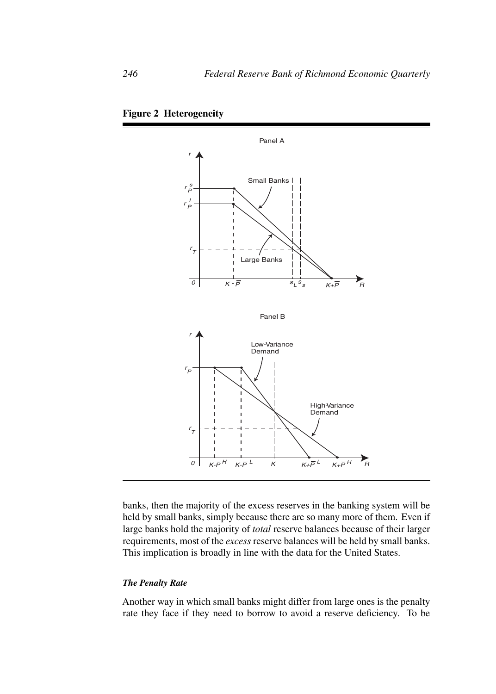



banks, then the majority of the excess reserves in the banking system will be held by small banks, simply because there are so many more of them. Even if large banks hold the majority of *total* reserve balances because of their larger requirements, most of the *excess* reserve balances will be held by small banks. This implication is broadly in line with the data for the United States.

#### *The Penalty Rate*

Another way in which small banks might differ from large ones is the penalty rate they face if they need to borrow to avoid a reserve deficiency. To be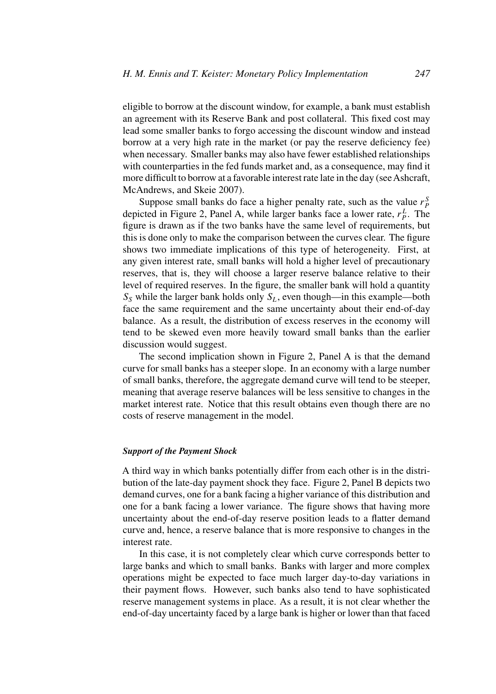eligible to borrow at the discount window, for example, a bank must establish an agreement with its Reserve Bank and post collateral. This fixed cost may lead some smaller banks to forgo accessing the discount window and instead borrow at a very high rate in the market (or pay the reserve deficiency fee) when necessary. Smaller banks may also have fewer established relationships with counterparties in the fed funds market and, as a consequence, may find it more difficult to borrow at a favorable interest rate late in the day (see Ashcraft, McAndrews, and Skeie 2007).

Suppose small banks do face a higher penalty rate, such as the value  $r_P^S$ depicted in Figure 2, Panel A, while larger banks face a lower rate,  $r_P^L$ . The figure is drawn as if the two banks have the same level of requirements, but this is done only to make the comparison between the curves clear. The figure shows two immediate implications of this type of heterogeneity. First, at any given interest rate, small banks will hold a higher level of precautionary reserves, that is, they will choose a larger reserve balance relative to their level of required reserves. In the figure, the smaller bank will hold a quantity *SS* while the larger bank holds only *SL*, even though—in this example—both face the same requirement and the same uncertainty about their end-of-day balance. As a result, the distribution of excess reserves in the economy will tend to be skewed even more heavily toward small banks than the earlier discussion would suggest.

The second implication shown in Figure 2, Panel A is that the demand curve for small banks has a steeper slope. In an economy with a large number of small banks, therefore, the aggregate demand curve will tend to be steeper, meaning that average reserve balances will be less sensitive to changes in the market interest rate. Notice that this result obtains even though there are no costs of reserve management in the model.

#### *Support of the Payment Shock*

A third way in which banks potentially differ from each other is in the distribution of the late-day payment shock they face. Figure 2, Panel B depicts two demand curves, one for a bank facing a higher variance of this distribution and one for a bank facing a lower variance. The figure shows that having more uncertainty about the end-of-day reserve position leads to a flatter demand curve and, hence, a reserve balance that is more responsive to changes in the interest rate.

In this case, it is not completely clear which curve corresponds better to large banks and which to small banks. Banks with larger and more complex operations might be expected to face much larger day-to-day variations in their payment flows. However, such banks also tend to have sophisticated reserve management systems in place. As a result, it is not clear whether the end-of-day uncertainty faced by a large bank is higher or lower than that faced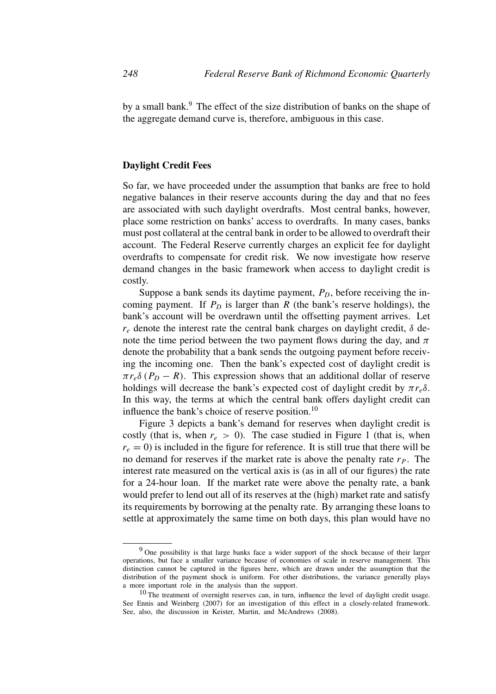by a small bank.<sup>9</sup> The effect of the size distribution of banks on the shape of the aggregate demand curve is, therefore, ambiguous in this case.

#### **Daylight Credit Fees**

So far, we have proceeded under the assumption that banks are free to hold negative balances in their reserve accounts during the day and that no fees are associated with such daylight overdrafts. Most central banks, however, place some restriction on banks' access to overdrafts. In many cases, banks must post collateral at the central bank in order to be allowed to overdraft their account. The Federal Reserve currently charges an explicit fee for daylight overdrafts to compensate for credit risk. We now investigate how reserve demand changes in the basic framework when access to daylight credit is costly.

Suppose a bank sends its daytime payment,  $P_D$ , before receiving the incoming payment. If  $P_D$  is larger than  $R$  (the bank's reserve holdings), the bank's account will be overdrawn until the offsetting payment arrives. Let *re* denote the interest rate the central bank charges on daylight credit, *δ* denote the time period between the two payment flows during the day, and  $\pi$ denote the probability that a bank sends the outgoing payment before receiving the incoming one. Then the bank's expected cost of daylight credit is  $\pi r_e \delta (P_D - R)$ . This expression shows that an additional dollar of reserve holdings will decrease the bank's expected cost of daylight credit by  $\pi r_e \delta$ . In this way, the terms at which the central bank offers daylight credit can influence the bank's choice of reserve position. $^{10}$ 

Figure 3 depicts a bank's demand for reserves when daylight credit is costly (that is, when  $r_e > 0$ ). The case studied in Figure 1 (that is, when  $r_e = 0$ ) is included in the figure for reference. It is still true that there will be no demand for reserves if the market rate is above the penalty rate  $r<sub>P</sub>$ . The interest rate measured on the vertical axis is (as in all of our figures) the rate for a 24-hour loan. If the market rate were above the penalty rate, a bank would prefer to lend out all of its reserves at the (high) market rate and satisfy its requirements by borrowing at the penalty rate. By arranging these loans to settle at approximately the same time on both days, this plan would have no

<sup>&</sup>lt;sup>9</sup> One possibility is that large banks face a wider support of the shock because of their larger operations, but face a smaller variance because of economies of scale in reserve management. This distinction cannot be captured in the figures here, which are drawn under the assumption that the distribution of the payment shock is uniform. For other distributions, the variance generally plays a more important role in the analysis than the support.

 $10$  The treatment of overnight reserves can, in turn, influence the level of daylight credit usage. See Ennis and Weinberg (2007) for an investigation of this effect in a closely-related framework. See, also, the discussion in Keister, Martin, and McAndrews (2008).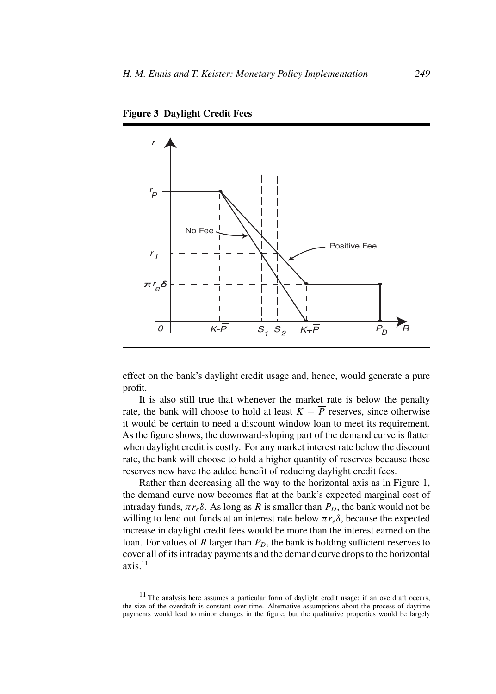

**Figure 3 Daylight Credit Fees**

effect on the bank's daylight credit usage and, hence, would generate a pure profit.

It is also still true that whenever the market rate is below the penalty rate, the bank will choose to hold at least  $K - \overline{P}$  reserves, since otherwise it would be certain to need a discount window loan to meet its requirement. As the figure shows, the downward-sloping part of the demand curve is flatter when daylight credit is costly. For any market interest rate below the discount rate, the bank will choose to hold a higher quantity of reserves because these reserves now have the added benefit of reducing daylight credit fees.

Rather than decreasing all the way to the horizontal axis as in Figure 1, the demand curve now becomes flat at the bank's expected marginal cost of intraday funds,  $\pi r_e \delta$ . As long as *R* is smaller than  $P_D$ , the bank would not be willing to lend out funds at an interest rate below  $\pi r_e \delta$ , because the expected increase in daylight credit fees would be more than the interest earned on the loan. For values of  $R$  larger than  $P_D$ , the bank is holding sufficient reserves to cover all of its intraday payments and the demand curve drops to the horizontal  $axis.<sup>11</sup>$ 

<sup>11</sup> The analysis here assumes a particular form of daylight credit usage; if an overdraft occurs, the size of the overdraft is constant over time. Alternative assumptions about the process of daytime payments would lead to minor changes in the figure, but the qualitative properties would be largely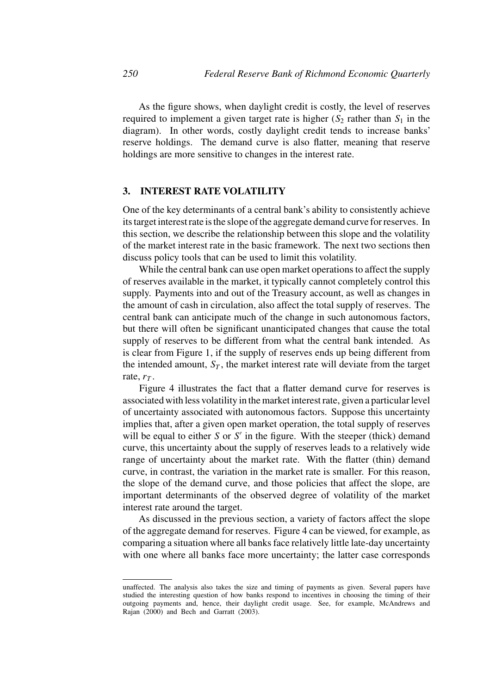As the figure shows, when daylight credit is costly, the level of reserves required to implement a given target rate is higher  $(S_2)$  rather than  $S_1$  in the diagram). In other words, costly daylight credit tends to increase banks' reserve holdings. The demand curve is also flatter, meaning that reserve holdings are more sensitive to changes in the interest rate.

#### **3. INTEREST RATE VOLATILITY**

One of the key determinants of a central bank's ability to consistently achieve its target interest rate is the slope of the aggregate demand curve for reserves. In this section, we describe the relationship between this slope and the volatility of the market interest rate in the basic framework. The next two sections then discuss policy tools that can be used to limit this volatility.

While the central bank can use open market operations to affect the supply of reserves available in the market, it typically cannot completely control this supply. Payments into and out of the Treasury account, as well as changes in the amount of cash in circulation, also affect the total supply of reserves. The central bank can anticipate much of the change in such autonomous factors, but there will often be significant unanticipated changes that cause the total supply of reserves to be different from what the central bank intended. As is clear from Figure 1, if the supply of reserves ends up being different from the intended amount,  $S_T$ , the market interest rate will deviate from the target rate,  $r_T$ .

Figure 4 illustrates the fact that a flatter demand curve for reserves is associated with less volatility in the market interest rate, given a particular level of uncertainty associated with autonomous factors. Suppose this uncertainty implies that, after a given open market operation, the total supply of reserves will be equal to either  $S$  or  $S'$  in the figure. With the steeper (thick) demand curve, this uncertainty about the supply of reserves leads to a relatively wide range of uncertainty about the market rate. With the flatter (thin) demand curve, in contrast, the variation in the market rate is smaller. For this reason, the slope of the demand curve, and those policies that affect the slope, are important determinants of the observed degree of volatility of the market interest rate around the target.

As discussed in the previous section, a variety of factors affect the slope of the aggregate demand for reserves. Figure 4 can be viewed, for example, as comparing a situation where all banks face relatively little late-day uncertainty with one where all banks face more uncertainty; the latter case corresponds

unaffected. The analysis also takes the size and timing of payments as given. Several papers have studied the interesting question of how banks respond to incentives in choosing the timing of their outgoing payments and, hence, their daylight credit usage. See, for example, McAndrews and Rajan (2000) and Bech and Garratt (2003).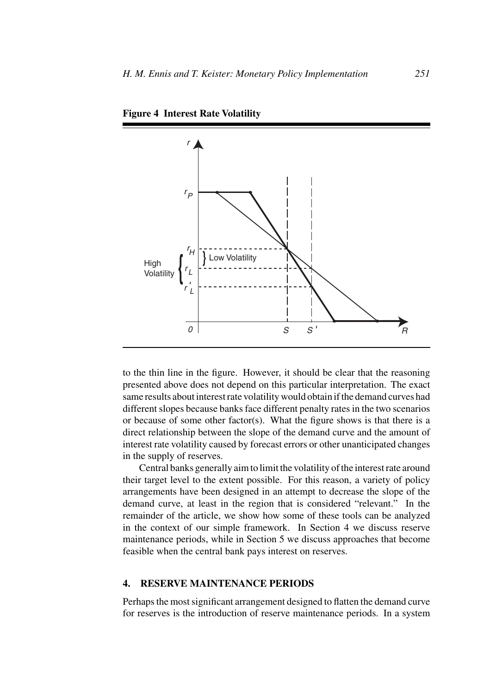

**Figure 4 Interest Rate Volatility**

to the thin line in the figure. However, it should be clear that the reasoning presented above does not depend on this particular interpretation. The exact same results about interest rate volatility would obtain if the demand curves had different slopes because banks face different penalty rates in the two scenarios or because of some other factor(s). What the figure shows is that there is a direct relationship between the slope of the demand curve and the amount of interest rate volatility caused by forecast errors or other unanticipated changes in the supply of reserves.

Central banks generally aim to limit the volatility of the interest rate around their target level to the extent possible. For this reason, a variety of policy arrangements have been designed in an attempt to decrease the slope of the demand curve, at least in the region that is considered "relevant." In the remainder of the article, we show how some of these tools can be analyzed in the context of our simple framework. In Section 4 we discuss reserve maintenance periods, while in Section 5 we discuss approaches that become feasible when the central bank pays interest on reserves.

#### **4. RESERVE MAINTENANCE PERIODS**

Perhaps the most significant arrangement designed to flatten the demand curve for reserves is the introduction of reserve maintenance periods. In a system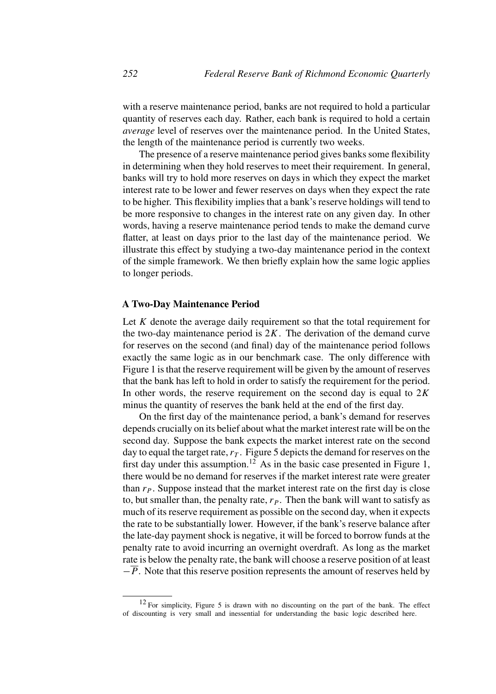with a reserve maintenance period, banks are not required to hold a particular quantity of reserves each day. Rather, each bank is required to hold a certain *average* level of reserves over the maintenance period. In the United States, the length of the maintenance period is currently two weeks.

The presence of a reserve maintenance period gives banks some flexibility in determining when they hold reserves to meet their requirement. In general, banks will try to hold more reserves on days in which they expect the market interest rate to be lower and fewer reserves on days when they expect the rate to be higher. This flexibility implies that a bank's reserve holdings will tend to be more responsive to changes in the interest rate on any given day. In other words, having a reserve maintenance period tends to make the demand curve flatter, at least on days prior to the last day of the maintenance period. We illustrate this effect by studying a two-day maintenance period in the context of the simple framework. We then briefly explain how the same logic applies to longer periods.

#### **A Two-Day Maintenance Period**

Let *K* denote the average daily requirement so that the total requirement for the two-day maintenance period is  $2K$ . The derivation of the demand curve for reserves on the second (and final) day of the maintenance period follows exactly the same logic as in our benchmark case. The only difference with Figure 1 is that the reserve requirement will be given by the amount of reserves that the bank has left to hold in order to satisfy the requirement for the period. In other words, the reserve requirement on the second day is equal to 2*K* minus the quantity of reserves the bank held at the end of the first day.

On the first day of the maintenance period, a bank's demand for reserves depends crucially on its belief about what the market interest rate will be on the second day. Suppose the bank expects the market interest rate on the second day to equal the target rate,  $r<sub>T</sub>$ . Figure 5 depicts the demand for reserves on the first day under this assumption.<sup>12</sup> As in the basic case presented in Figure 1, there would be no demand for reserves if the market interest rate were greater than  $r_p$ . Suppose instead that the market interest rate on the first day is close to, but smaller than, the penalty rate,  $r_P$ . Then the bank will want to satisfy as much of its reserve requirement as possible on the second day, when it expects the rate to be substantially lower. However, if the bank's reserve balance after the late-day payment shock is negative, it will be forced to borrow funds at the penalty rate to avoid incurring an overnight overdraft. As long as the market rate is below the penalty rate, the bank will choose a reserve position of at least −*P*. Note that this reserve position represents the amount of reserves held by

<sup>12</sup> For simplicity, Figure 5 is drawn with no discounting on the part of the bank. The effect of discounting is very small and inessential for understanding the basic logic described here.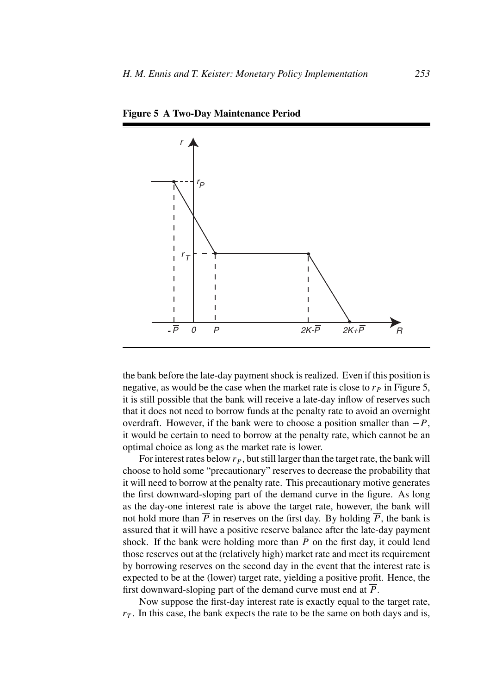

**Figure 5 A Two-Day Maintenance Period**

the bank before the late-day payment shock is realized. Even if this position is negative, as would be the case when the market rate is close to  $r<sub>P</sub>$  in Figure 5, it is still possible that the bank will receive a late-day inflow of reserves such that it does not need to borrow funds at the penalty rate to avoid an overnight overdraft. However, if the bank were to choose a position smaller than  $-\overline{P}$ , it would be certain to need to borrow at the penalty rate, which cannot be an optimal choice as long as the market rate is lower.

For interest rates below  $r_p$ , but still larger than the target rate, the bank will choose to hold some "precautionary" reserves to decrease the probability that it will need to borrow at the penalty rate. This precautionary motive generates the first downward-sloping part of the demand curve in the figure. As long as the day-one interest rate is above the target rate, however, the bank will not hold more than  $\overline{P}$  in reserves on the first day. By holding  $\overline{P}$ , the bank is assured that it will have a positive reserve balance after the late-day payment shock. If the bank were holding more than  $\overline{P}$  on the first day, it could lend those reserves out at the (relatively high) market rate and meet its requirement by borrowing reserves on the second day in the event that the interest rate is expected to be at the (lower) target rate, yielding a positive profit. Hence, the first downward-sloping part of the demand curve must end at  $\overline{P}$ .

Now suppose the first-day interest rate is exactly equal to the target rate,  $r<sub>T</sub>$ . In this case, the bank expects the rate to be the same on both days and is,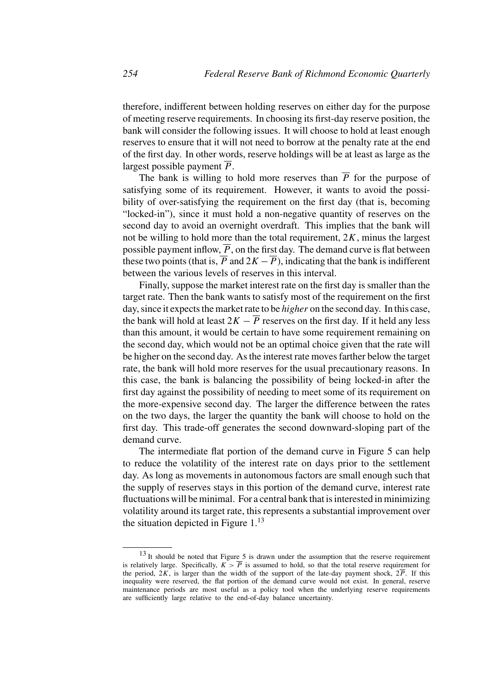therefore, indifferent between holding reserves on either day for the purpose of meeting reserve requirements. In choosing its first-day reserve position, the bank will consider the following issues. It will choose to hold at least enough reserves to ensure that it will not need to borrow at the penalty rate at the end of the first day. In other words, reserve holdings will be at least as large as the largest possible payment *P*.

The bank is willing to hold more reserves than  $\overline{P}$  for the purpose of satisfying some of its requirement. However, it wants to avoid the possibility of over-satisfying the requirement on the first day (that is, becoming "locked-in"), since it must hold a non-negative quantity of reserves on the second day to avoid an overnight overdraft. This implies that the bank will not be willing to hold more than the total requirement, 2*K*, minus the largest possible payment inflow,  $\overline{P}$ , on the first day. The demand curve is flat between these two points (that is,  $\overline{P}$  and  $2K - \overline{P}$ ), indicating that the bank is indifferent between the various levels of reserves in this interval.

Finally, suppose the market interest rate on the first day is smaller than the target rate. Then the bank wants to satisfy most of the requirement on the first day, since it expects the market rate to be *higher* on the second day. In this case, the bank will hold at least  $2K - \overline{P}$  reserves on the first day. If it held any less than this amount, it would be certain to have some requirement remaining on the second day, which would not be an optimal choice given that the rate will be higher on the second day. As the interest rate moves farther below the target rate, the bank will hold more reserves for the usual precautionary reasons. In this case, the bank is balancing the possibility of being locked-in after the first day against the possibility of needing to meet some of its requirement on the more-expensive second day. The larger the difference between the rates on the two days, the larger the quantity the bank will choose to hold on the first day. This trade-off generates the second downward-sloping part of the demand curve.

The intermediate flat portion of the demand curve in Figure 5 can help to reduce the volatility of the interest rate on days prior to the settlement day. As long as movements in autonomous factors are small enough such that the supply of reserves stays in this portion of the demand curve, interest rate fluctuations will be minimal. For a central bank that is interested in minimizing volatility around its target rate, this represents a substantial improvement over the situation depicted in Figure  $1<sup>13</sup>$ 

 $13$  It should be noted that Figure 5 is drawn under the assumption that the reserve requirement is relatively large. Specifically,  $K > \overline{P}$  is assumed to hold, so that the total reserve requirement for the period,  $2K$ , is larger than the width of the support of the late-day payment shock,  $2\overline{P}$ . If this inequality were reserved, the flat portion of the demand curve would not exist. In general, reserve maintenance periods are most useful as a policy tool when the underlying reserve requirements are sufficiently large relative to the end-of-day balance uncertainty.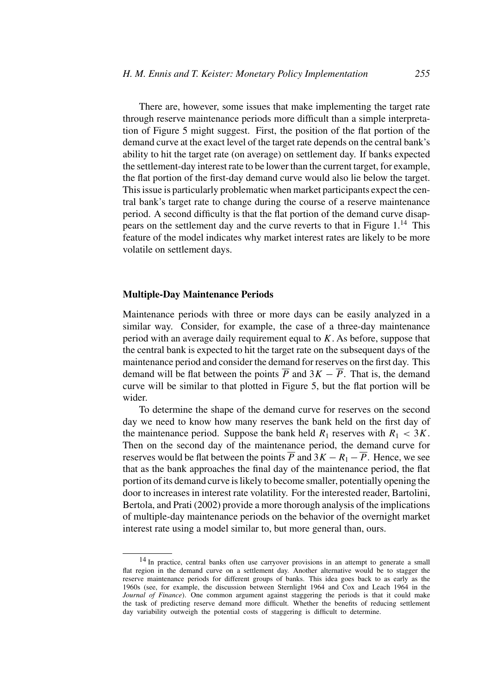There are, however, some issues that make implementing the target rate through reserve maintenance periods more difficult than a simple interpretation of Figure 5 might suggest. First, the position of the flat portion of the demand curve at the exact level of the target rate depends on the central bank's ability to hit the target rate (on average) on settlement day. If banks expected the settlement-day interest rate to be lower than the current target, for example, the flat portion of the first-day demand curve would also lie below the target. This issue is particularly problematic when market participants expect the central bank's target rate to change during the course of a reserve maintenance period. A second difficulty is that the flat portion of the demand curve disappears on the settlement day and the curve reverts to that in Figure  $1<sup>14</sup>$ . This feature of the model indicates why market interest rates are likely to be more volatile on settlement days.

#### **Multiple-Day Maintenance Periods**

Maintenance periods with three or more days can be easily analyzed in a similar way. Consider, for example, the case of a three-day maintenance period with an average daily requirement equal to *K.* As before, suppose that the central bank is expected to hit the target rate on the subsequent days of the maintenance period and consider the demand for reserves on the first day. This demand will be flat between the points  $\overline{P}$  and  $3K - \overline{P}$ . That is, the demand curve will be similar to that plotted in Figure 5, but the flat portion will be wider.

To determine the shape of the demand curve for reserves on the second day we need to know how many reserves the bank held on the first day of the maintenance period. Suppose the bank held  $R_1$  reserves with  $R_1 < 3K$ . Then on the second day of the maintenance period, the demand curve for reserves would be flat between the points  $\overline{P}$  and  $3K - R_1 - \overline{P}$ . Hence, we see that as the bank approaches the final day of the maintenance period, the flat portion of its demand curve is likely to become smaller, potentially opening the door to increases in interest rate volatility. For the interested reader, Bartolini, Bertola, and Prati (2002) provide a more thorough analysis of the implications of multiple-day maintenance periods on the behavior of the overnight market interest rate using a model similar to, but more general than, ours.

<sup>&</sup>lt;sup>14</sup> In practice, central banks often use carryover provisions in an attempt to generate a small flat region in the demand curve on a settlement day. Another alternative would be to stagger the reserve maintenance periods for different groups of banks. This idea goes back to as early as the 1960s (see, for example, the discussion between Sternlight 1964 and Cox and Leach 1964 in the *Journal of Finance*). One common argument against staggering the periods is that it could make the task of predicting reserve demand more difficult. Whether the benefits of reducing settlement day variability outweigh the potential costs of staggering is difficult to determine.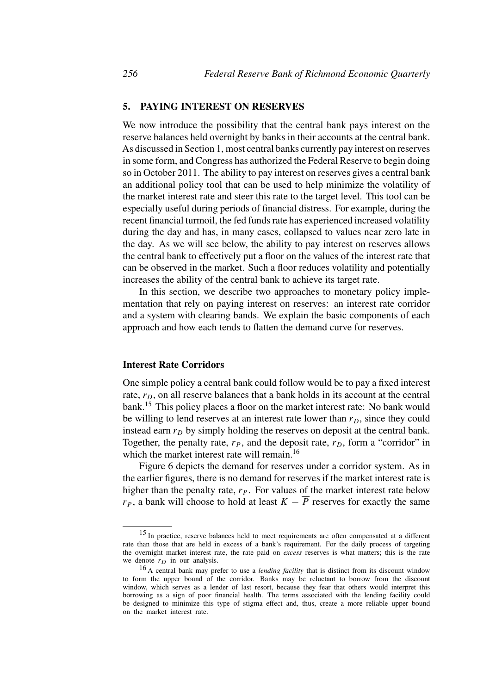#### **5. PAYING INTEREST ON RESERVES**

We now introduce the possibility that the central bank pays interest on the reserve balances held overnight by banks in their accounts at the central bank. As discussed in Section 1, most central banks currently pay interest on reserves in some form, and Congress has authorized the Federal Reserve to begin doing so in October 2011. The ability to pay interest on reserves gives a central bank an additional policy tool that can be used to help minimize the volatility of the market interest rate and steer this rate to the target level. This tool can be especially useful during periods of financial distress. For example, during the recent financial turmoil, the fed funds rate has experienced increased volatility during the day and has, in many cases, collapsed to values near zero late in the day. As we will see below, the ability to pay interest on reserves allows the central bank to effectively put a floor on the values of the interest rate that can be observed in the market. Such a floor reduces volatility and potentially increases the ability of the central bank to achieve its target rate.

In this section, we describe two approaches to monetary policy implementation that rely on paying interest on reserves: an interest rate corridor and a system with clearing bands. We explain the basic components of each approach and how each tends to flatten the demand curve for reserves.

#### **Interest Rate Corridors**

One simple policy a central bank could follow would be to pay a fixed interest rate,  $r_D$ , on all reserve balances that a bank holds in its account at the central bank.15 This policy places a floor on the market interest rate: No bank would be willing to lend reserves at an interest rate lower than  $r<sub>D</sub>$ , since they could instead earn  $r<sub>D</sub>$  by simply holding the reserves on deposit at the central bank. Together, the penalty rate,  $r_P$ , and the deposit rate,  $r_D$ , form a "corridor" in which the market interest rate will remain.<sup>16</sup>

Figure 6 depicts the demand for reserves under a corridor system. As in the earlier figures, there is no demand for reserves if the market interest rate is higher than the penalty rate,  $r_P$ . For values of the market interest rate below *r<sub>P</sub>*, a bank will choose to hold at least  $K - \overline{P}$  reserves for exactly the same

<sup>&</sup>lt;sup>15</sup> In practice, reserve balances held to meet requirements are often compensated at a different rate than those that are held in excess of a bank's requirement. For the daily process of targeting the overnight market interest rate, the rate paid on *excess* reserves is what matters; this is the rate we denote  $r_D$  in our analysis.

<sup>16</sup> A central bank may prefer to use a *lending facility* that is distinct from its discount window to form the upper bound of the corridor. Banks may be reluctant to borrow from the discount window, which serves as a lender of last resort, because they fear that others would interpret this borrowing as a sign of poor financial health. The terms associated with the lending facility could be designed to minimize this type of stigma effect and, thus, create a more reliable upper bound on the market interest rate.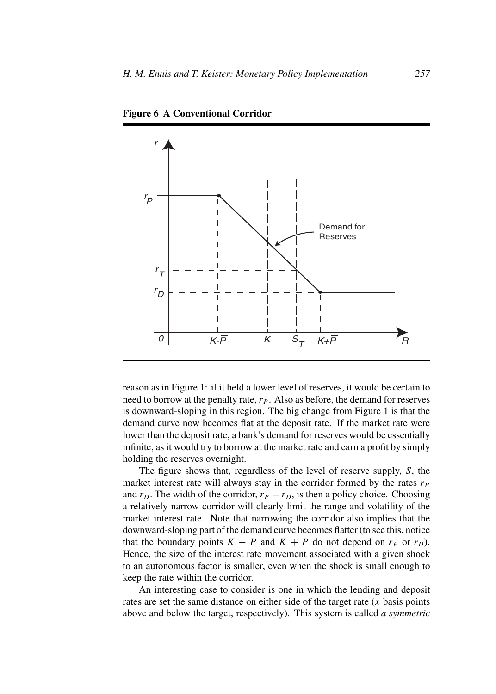

**Figure 6 A Conventional Corridor**

reason as in Figure 1: if it held a lower level of reserves, it would be certain to need to borrow at the penalty rate,  $r_P$ . Also as before, the demand for reserves is downward-sloping in this region. The big change from Figure 1 is that the demand curve now becomes flat at the deposit rate. If the market rate were lower than the deposit rate, a bank's demand for reserves would be essentially infinite, as it would try to borrow at the market rate and earn a profit by simply holding the reserves overnight.

The figure shows that, regardless of the level of reserve supply, *S*, the market interest rate will always stay in the corridor formed by the rates  $r_P$ and  $r_D$ . The width of the corridor,  $r_P - r_D$ , is then a policy choice. Choosing a relatively narrow corridor will clearly limit the range and volatility of the market interest rate. Note that narrowing the corridor also implies that the downward-sloping part of the demand curve becomes flatter (to see this, notice that the boundary points  $K - \overline{P}$  and  $K + \overline{P}$  do not depend on  $r_p$  or  $r_p$ ). Hence, the size of the interest rate movement associated with a given shock to an autonomous factor is smaller, even when the shock is small enough to keep the rate within the corridor.

An interesting case to consider is one in which the lending and deposit rates are set the same distance on either side of the target rate (*x* basis points above and below the target, respectively). This system is called *a symmetric*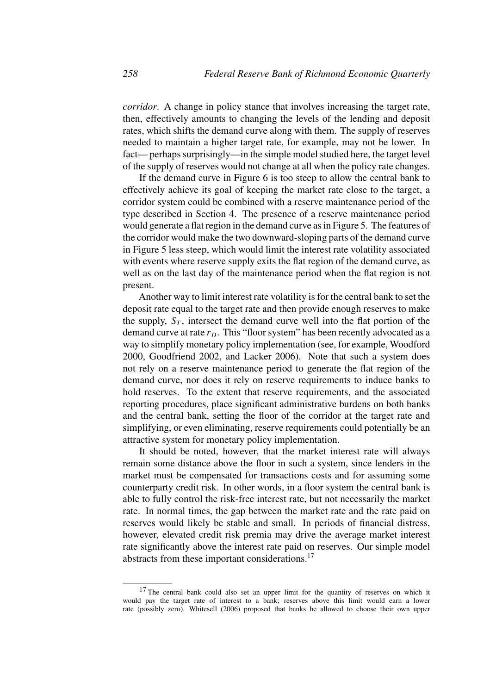*corridor*. A change in policy stance that involves increasing the target rate, then, effectively amounts to changing the levels of the lending and deposit rates, which shifts the demand curve along with them. The supply of reserves needed to maintain a higher target rate, for example, may not be lower. In fact— perhaps surprisingly—in the simple model studied here, the target level of the supply of reserves would not change at all when the policy rate changes.

If the demand curve in Figure 6 is too steep to allow the central bank to effectively achieve its goal of keeping the market rate close to the target, a corridor system could be combined with a reserve maintenance period of the type described in Section 4. The presence of a reserve maintenance period would generate a flat region in the demand curve as in Figure 5. The features of the corridor would make the two downward-sloping parts of the demand curve in Figure 5 less steep, which would limit the interest rate volatility associated with events where reserve supply exits the flat region of the demand curve, as well as on the last day of the maintenance period when the flat region is not present.

Another way to limit interest rate volatility is for the central bank to set the deposit rate equal to the target rate and then provide enough reserves to make the supply,  $S_T$ , intersect the demand curve well into the flat portion of the demand curve at rate  $r<sub>D</sub>$ . This "floor system" has been recently advocated as a way to simplify monetary policy implementation (see, for example, Woodford 2000, Goodfriend 2002, and Lacker 2006). Note that such a system does not rely on a reserve maintenance period to generate the flat region of the demand curve, nor does it rely on reserve requirements to induce banks to hold reserves. To the extent that reserve requirements, and the associated reporting procedures, place significant administrative burdens on both banks and the central bank, setting the floor of the corridor at the target rate and simplifying, or even eliminating, reserve requirements could potentially be an attractive system for monetary policy implementation.

It should be noted, however, that the market interest rate will always remain some distance above the floor in such a system, since lenders in the market must be compensated for transactions costs and for assuming some counterparty credit risk. In other words, in a floor system the central bank is able to fully control the risk-free interest rate, but not necessarily the market rate. In normal times, the gap between the market rate and the rate paid on reserves would likely be stable and small. In periods of financial distress, however, elevated credit risk premia may drive the average market interest rate significantly above the interest rate paid on reserves. Our simple model abstracts from these important considerations.<sup>17</sup>

<sup>&</sup>lt;sup>17</sup> The central bank could also set an upper limit for the quantity of reserves on which it would pay the target rate of interest to a bank; reserves above this limit would earn a lower rate (possibly zero). Whitesell (2006) proposed that banks be allowed to choose their own upper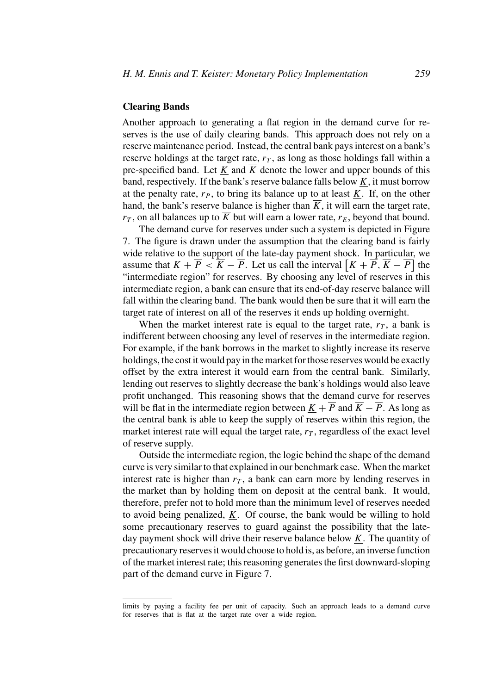#### **Clearing Bands**

Another approach to generating a flat region in the demand curve for reserves is the use of daily clearing bands. This approach does not rely on a reserve maintenance period. Instead, the central bank pays interest on a bank's reserve holdings at the target rate,  $r<sub>T</sub>$ , as long as those holdings fall within a pre-specified band. Let *K* and  $\overline{K}$  denote the lower and upper bounds of this band, respectively. If the bank's reserve balance falls below  $K$ , it must borrow at the penalty rate,  $r_P$ , to bring its balance up to at least  $K$ . If, on the other hand, the bank's reserve balance is higher than  $\overline{K}$ , it will earn the target rate,  $r_T$ , on all balances up to  $\overline{K}$  but will earn a lower rate,  $r_E$ , beyond that bound.

The demand curve for reserves under such a system is depicted in Figure 7. The figure is drawn under the assumption that the clearing band is fairly wide relative to the support of the late-day payment shock. In particular, we assume that  $\underline{K} + \overline{P} < \overline{K} - \overline{P}$ . Let us call the interval  $\left[ \underline{K} + \overline{P}, \overline{K} - \overline{P} \right]$  the "intermediate region" for reserves. By choosing any level of reserves in this intermediate region, a bank can ensure that its end-of-day reserve balance will fall within the clearing band. The bank would then be sure that it will earn the target rate of interest on all of the reserves it ends up holding overnight.

When the market interest rate is equal to the target rate,  $r<sub>T</sub>$ , a bank is indifferent between choosing any level of reserves in the intermediate region. For example, if the bank borrows in the market to slightly increase its reserve holdings, the cost it would pay in the market for those reserves would be exactly offset by the extra interest it would earn from the central bank. Similarly, lending out reserves to slightly decrease the bank's holdings would also leave profit unchanged. This reasoning shows that the demand curve for reserves will be flat in the intermediate region between  $K + \overline{P}$  and  $\overline{K} - \overline{P}$ . As long as the central bank is able to keep the supply of reserves within this region, the market interest rate will equal the target rate,  $r<sub>T</sub>$ , regardless of the exact level of reserve supply.

Outside the intermediate region, the logic behind the shape of the demand curve is very similar to that explained in our benchmark case. When the market interest rate is higher than  $r<sub>T</sub>$ , a bank can earn more by lending reserves in the market than by holding them on deposit at the central bank. It would, therefore, prefer not to hold more than the minimum level of reserves needed to avoid being penalized, *K*. Of course, the bank would be willing to hold some precautionary reserves to guard against the possibility that the lateday payment shock will drive their reserve balance below *K*. The quantity of precautionary reserves it would choose to hold is, as before, an inverse function of the market interest rate; this reasoning generates the first downward-sloping part of the demand curve in Figure 7.

limits by paying a facility fee per unit of capacity. Such an approach leads to a demand curve for reserves that is flat at the target rate over a wide region.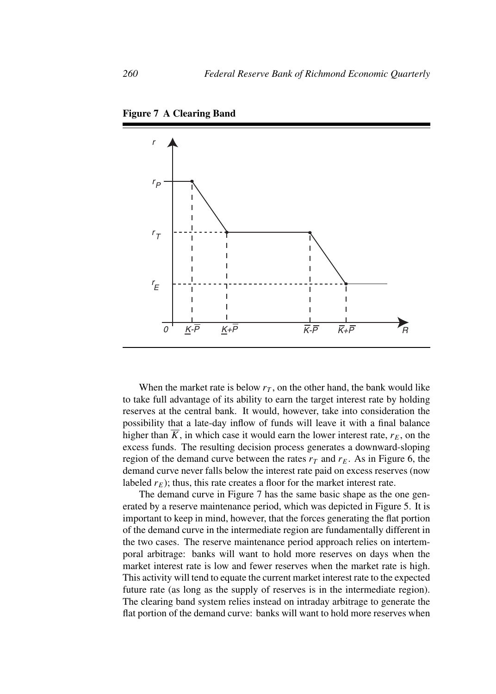

**Figure 7 A Clearing Band**

When the market rate is below  $r<sub>T</sub>$ , on the other hand, the bank would like to take full advantage of its ability to earn the target interest rate by holding reserves at the central bank. It would, however, take into consideration the possibility that a late-day inflow of funds will leave it with a final balance higher than  $\overline{K}$ , in which case it would earn the lower interest rate,  $r_E$ , on the excess funds. The resulting decision process generates a downward-sloping region of the demand curve between the rates  $r<sub>T</sub>$  and  $r<sub>E</sub>$ . As in Figure 6, the demand curve never falls below the interest rate paid on excess reserves (now labeled  $r_E$ ); thus, this rate creates a floor for the market interest rate.

The demand curve in Figure 7 has the same basic shape as the one generated by a reserve maintenance period, which was depicted in Figure 5. It is important to keep in mind, however, that the forces generating the flat portion of the demand curve in the intermediate region are fundamentally different in the two cases. The reserve maintenance period approach relies on intertemporal arbitrage: banks will want to hold more reserves on days when the market interest rate is low and fewer reserves when the market rate is high. This activity will tend to equate the current market interest rate to the expected future rate (as long as the supply of reserves is in the intermediate region). The clearing band system relies instead on intraday arbitrage to generate the flat portion of the demand curve: banks will want to hold more reserves when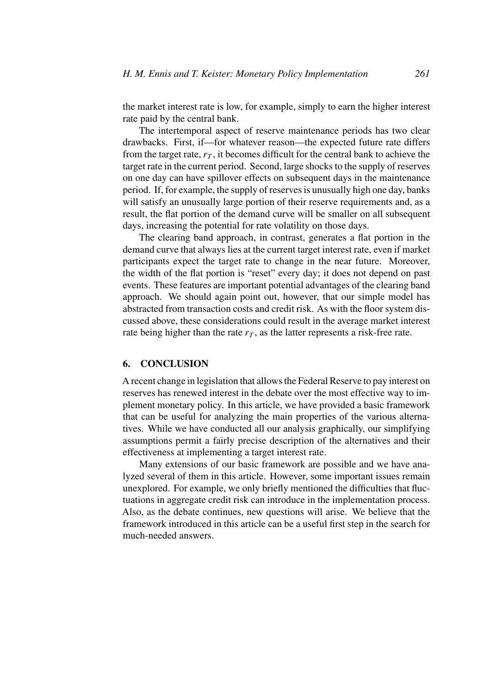the market interest rate is low, for example, simply to earn the higher interest rate paid by the central bank.

The intertemporal aspect of reserve maintenance periods has two clear drawbacks. First, if—for whatever reason—the expected future rate differs from the target rate,  $r<sub>T</sub>$ , it becomes difficult for the central bank to achieve the target rate in the current period. Second, large shocks to the supply of reserves on one day can have spillover effects on subsequent days in the maintenance period. If, for example, the supply of reserves is unusually high one day, banks will satisfy an unusually large portion of their reserve requirements and, as a result, the flat portion of the demand curve will be smaller on all subsequent days, increasing the potential for rate volatility on those days.

The clearing band approach, in contrast, generates a flat portion in the demand curve that always lies at the current target interest rate, even if market participants expect the target rate to change in the near future. Moreover, the width of the flat portion is "reset" every day; it does not depend on past events. These features are important potential advantages of the clearing band approach. We should again point out, however, that our simple model has abstracted from transaction costs and credit risk. As with the floor system discussed above, these considerations could result in the average market interest rate being higher than the rate  $r<sub>T</sub>$ , as the latter represents a risk-free rate.

#### **6. CONCLUSION**

A recent change in legislation that allows the Federal Reserve to pay interest on reserves has renewed interest in the debate over the most effective way to implement monetary policy. In this article, we have provided a basic framework that can be useful for analyzing the main properties of the various alternatives. While we have conducted all our analysis graphically, our simplifying assumptions permit a fairly precise description of the alternatives and their effectiveness at implementing a target interest rate.

Many extensions of our basic framework are possible and we have analyzed several of them in this article. However, some important issues remain unexplored. For example, we only briefly mentioned the difficulties that fluctuations in aggregate credit risk can introduce in the implementation process. Also, as the debate continues, new questions will arise. We believe that the framework introduced in this article can be a useful first step in the search for much-needed answers.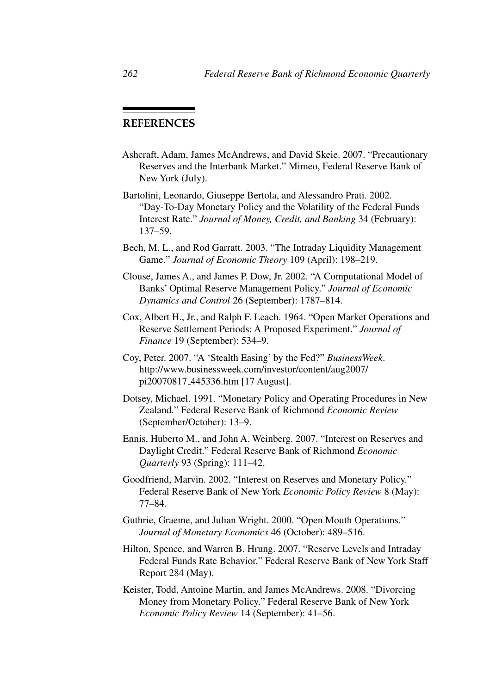### **REFERENCES**

- Ashcraft, Adam, James McAndrews, and David Skeie. 2007. "Precautionary Reserves and the Interbank Market." Mimeo, Federal Reserve Bank of New York (July).
- Bartolini, Leonardo, Giuseppe Bertola, and Alessandro Prati. 2002. "Day-To-Day Monetary Policy and the Volatility of the Federal Funds Interest Rate." *Journal of Money, Credit, and Banking* 34 (February): 137–59.
- Bech, M. L., and Rod Garratt. 2003. "The Intraday Liquidity Management Game." *Journal of Economic Theory* 109 (April): 198–219.
- Clouse, James A., and James P. Dow, Jr. 2002. "A Computational Model of Banks' Optimal Reserve Management Policy." *Journal of Economic Dynamics and Control* 26 (September): 1787–814.
- Cox, Albert H., Jr., and Ralph F. Leach. 1964. "Open Market Operations and Reserve Settlement Periods: A Proposed Experiment." *Journal of Finance* 19 (September): 534–9.
- Coy, Peter. 2007. "A 'Stealth Easing' by the Fed?" *BusinessWeek*. http://www.businessweek.com/investor/content/aug2007/ pi20070817 445336.htm [17 August].
- Dotsey, Michael. 1991. "Monetary Policy and Operating Procedures in New Zealand." Federal Reserve Bank of Richmond *Economic Review* (September/October): 13–9.
- Ennis, Huberto M., and John A. Weinberg. 2007. "Interest on Reserves and Daylight Credit." Federal Reserve Bank of Richmond *Economic Quarterly* 93 (Spring): 111–42.
- Goodfriend, Marvin. 2002. "Interest on Reserves and Monetary Policy." Federal Reserve Bank of New York *Economic Policy Review* 8 (May): 77–84.
- Guthrie, Graeme, and Julian Wright. 2000. "Open Mouth Operations." *Journal of Monetary Economics* 46 (October): 489–516.
- Hilton, Spence, and Warren B. Hrung. 2007. "Reserve Levels and Intraday Federal Funds Rate Behavior." Federal Reserve Bank of New York Staff Report 284 (May).
- Keister, Todd, Antoine Martin, and James McAndrews. 2008. "Divorcing Money from Monetary Policy." Federal Reserve Bank of New York *Economic Policy Review* 14 (September): 41–56.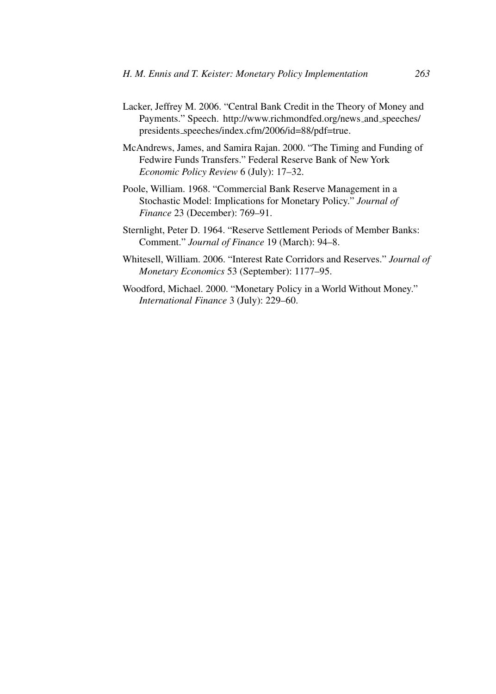- Lacker, Jeffrey M. 2006. "Central Bank Credit in the Theory of Money and Payments." Speech. http://www.richmondfed.org/news and speeches/ presidents speeches/index.cfm/2006/id=88/pdf=true.
- McAndrews, James, and Samira Rajan. 2000. "The Timing and Funding of Fedwire Funds Transfers." Federal Reserve Bank of New York *Economic Policy Review* 6 (July): 17–32.
- Poole, William. 1968. "Commercial Bank Reserve Management in a Stochastic Model: Implications for Monetary Policy." *Journal of Finance* 23 (December): 769–91.
- Sternlight, Peter D. 1964. "Reserve Settlement Periods of Member Banks: Comment." *Journal of Finance* 19 (March): 94–8.
- Whitesell, William. 2006. "Interest Rate Corridors and Reserves." *Journal of Monetary Economics* 53 (September): 1177–95.
- Woodford, Michael. 2000. "Monetary Policy in a World Without Money." *International Finance* 3 (July): 229–60.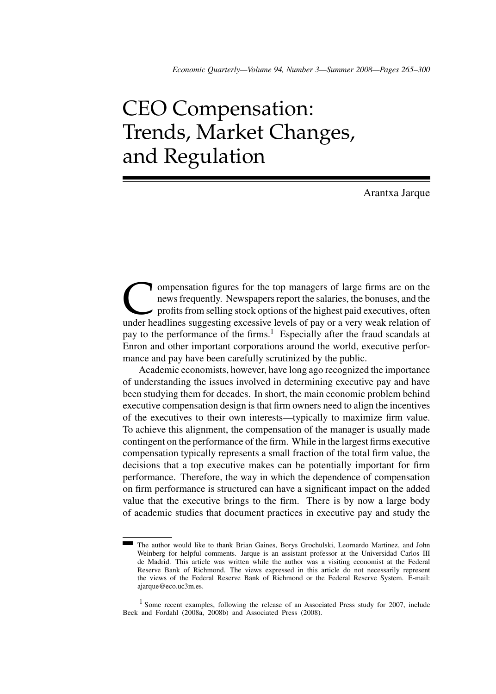# CEO Compensation: Trends, Market Changes, and Regulation

Arantxa Jarque

**Compensation figures for the top managers of large firms are on the news frequently. Newspapers report the salaries, the bonuses, and the profits from selling stock options of the highest paid executives, often under head** news frequently. Newspapers report the salaries, the bonuses, and the profits from selling stock options of the highest paid executives, often under headlines suggesting excessive levels of pay or a very weak relation of pay to the performance of the firms.<sup>1</sup> Especially after the fraud scandals at Enron and other important corporations around the world, executive performance and pay have been carefully scrutinized by the public.

Academic economists, however, have long ago recognized the importance of understanding the issues involved in determining executive pay and have been studying them for decades. In short, the main economic problem behind executive compensation design is that firm owners need to align the incentives of the executives to their own interests—typically to maximize firm value. To achieve this alignment, the compensation of the manager is usually made contingent on the performance of the firm. While in the largest firms executive compensation typically represents a small fraction of the total firm value, the decisions that a top executive makes can be potentially important for firm performance. Therefore, the way in which the dependence of compensation on firm performance is structured can have a significant impact on the added value that the executive brings to the firm. There is by now a large body of academic studies that document practices in executive pay and study the

The author would like to thank Brian Gaines, Borys Grochulski, Leornardo Martinez, and John Weinberg for helpful comments. Jarque is an assistant professor at the Universidad Carlos III de Madrid. This article was written while the author was a visiting economist at the Federal Reserve Bank of Richmond. The views expressed in this article do not necessarily represent the views of the Federal Reserve Bank of Richmond or the Federal Reserve System. E-mail: ajarque@eco.uc3m.es.

<sup>1</sup> Some recent examples, following the release of an Associated Press study for 2007, include Beck and Fordahl (2008a, 2008b) and Associated Press (2008).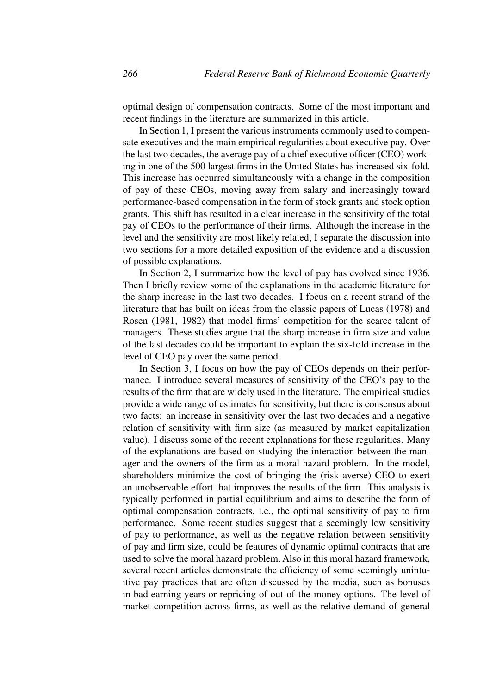optimal design of compensation contracts. Some of the most important and recent findings in the literature are summarized in this article.

In Section 1, I present the various instruments commonly used to compensate executives and the main empirical regularities about executive pay. Over the last two decades, the average pay of a chief executive officer (CEO) working in one of the 500 largest firms in the United States has increased six-fold. This increase has occurred simultaneously with a change in the composition of pay of these CEOs, moving away from salary and increasingly toward performance-based compensation in the form of stock grants and stock option grants. This shift has resulted in a clear increase in the sensitivity of the total pay of CEOs to the performance of their firms. Although the increase in the level and the sensitivity are most likely related, I separate the discussion into two sections for a more detailed exposition of the evidence and a discussion of possible explanations.

In Section 2, I summarize how the level of pay has evolved since 1936. Then I briefly review some of the explanations in the academic literature for the sharp increase in the last two decades. I focus on a recent strand of the literature that has built on ideas from the classic papers of Lucas (1978) and Rosen (1981, 1982) that model firms' competition for the scarce talent of managers. These studies argue that the sharp increase in firm size and value of the last decades could be important to explain the six-fold increase in the level of CEO pay over the same period.

In Section 3, I focus on how the pay of CEOs depends on their performance. I introduce several measures of sensitivity of the CEO's pay to the results of the firm that are widely used in the literature. The empirical studies provide a wide range of estimates for sensitivity, but there is consensus about two facts: an increase in sensitivity over the last two decades and a negative relation of sensitivity with firm size (as measured by market capitalization value). I discuss some of the recent explanations for these regularities. Many of the explanations are based on studying the interaction between the manager and the owners of the firm as a moral hazard problem. In the model, shareholders minimize the cost of bringing the (risk averse) CEO to exert an unobservable effort that improves the results of the firm. This analysis is typically performed in partial equilibrium and aims to describe the form of optimal compensation contracts, i.e., the optimal sensitivity of pay to firm performance. Some recent studies suggest that a seemingly low sensitivity of pay to performance, as well as the negative relation between sensitivity of pay and firm size, could be features of dynamic optimal contracts that are used to solve the moral hazard problem. Also in this moral hazard framework, several recent articles demonstrate the efficiency of some seemingly unintuitive pay practices that are often discussed by the media, such as bonuses in bad earning years or repricing of out-of-the-money options. The level of market competition across firms, as well as the relative demand of general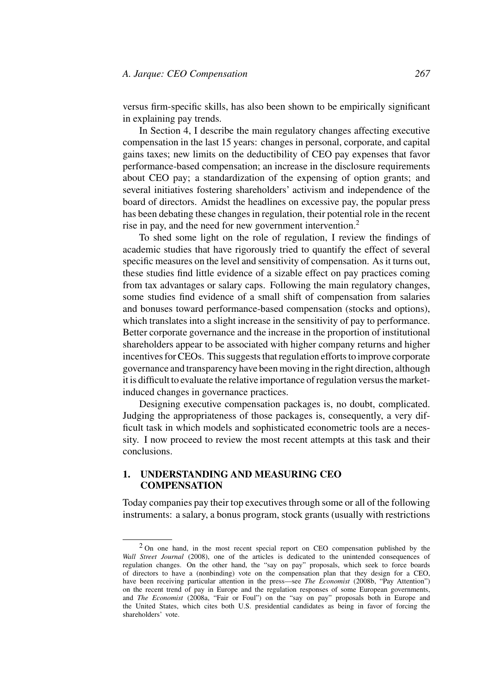versus firm-specific skills, has also been shown to be empirically significant in explaining pay trends.

In Section 4, I describe the main regulatory changes affecting executive compensation in the last 15 years: changes in personal, corporate, and capital gains taxes; new limits on the deductibility of CEO pay expenses that favor performance-based compensation; an increase in the disclosure requirements about CEO pay; a standardization of the expensing of option grants; and several initiatives fostering shareholders' activism and independence of the board of directors. Amidst the headlines on excessive pay, the popular press has been debating these changes in regulation, their potential role in the recent rise in pay, and the need for new government intervention.<sup>2</sup>

To shed some light on the role of regulation, I review the findings of academic studies that have rigorously tried to quantify the effect of several specific measures on the level and sensitivity of compensation. As it turns out, these studies find little evidence of a sizable effect on pay practices coming from tax advantages or salary caps. Following the main regulatory changes, some studies find evidence of a small shift of compensation from salaries and bonuses toward performance-based compensation (stocks and options), which translates into a slight increase in the sensitivity of pay to performance. Better corporate governance and the increase in the proportion of institutional shareholders appear to be associated with higher company returns and higher incentives for CEOs. This suggests that regulation efforts to improve corporate governance and transparency have been moving in the right direction, although it is difficult to evaluate the relative importance of regulation versus the marketinduced changes in governance practices.

Designing executive compensation packages is, no doubt, complicated. Judging the appropriateness of those packages is, consequently, a very difficult task in which models and sophisticated econometric tools are a necessity. I now proceed to review the most recent attempts at this task and their conclusions.

#### **1. UNDERSTANDING AND MEASURING CEO COMPENSATION**

Today companies pay their top executives through some or all of the following instruments: a salary, a bonus program, stock grants (usually with restrictions

<sup>2</sup> On one hand, in the most recent special report on CEO compensation published by the *Wall Street Journal* (2008), one of the articles is dedicated to the unintended consequences of regulation changes. On the other hand, the "say on pay" proposals, which seek to force boards of directors to have a (nonbinding) vote on the compensation plan that they design for a CEO, have been receiving particular attention in the press—see *The Economist* (2008b, "Pay Attention") on the recent trend of pay in Europe and the regulation responses of some European governments, and *The Economist* (2008a, "Fair or Foul") on the "say on pay" proposals both in Europe and the United States, which cites both U.S. presidential candidates as being in favor of forcing the shareholders' vote.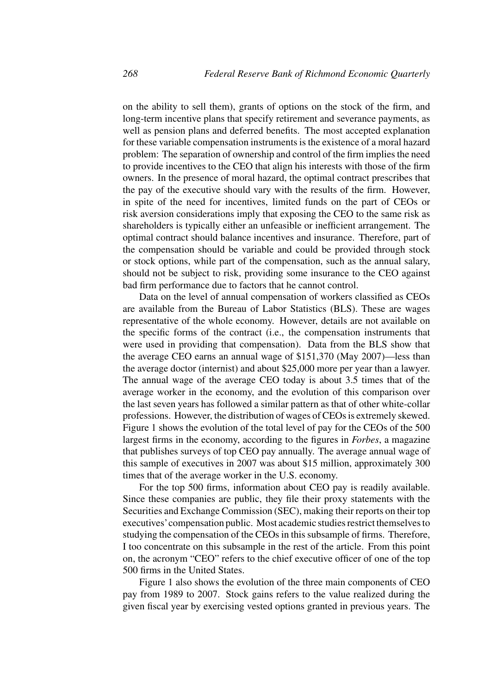on the ability to sell them), grants of options on the stock of the firm, and long-term incentive plans that specify retirement and severance payments, as well as pension plans and deferred benefits. The most accepted explanation for these variable compensation instruments is the existence of a moral hazard problem: The separation of ownership and control of the firm implies the need to provide incentives to the CEO that align his interests with those of the firm owners. In the presence of moral hazard, the optimal contract prescribes that the pay of the executive should vary with the results of the firm. However, in spite of the need for incentives, limited funds on the part of CEOs or risk aversion considerations imply that exposing the CEO to the same risk as shareholders is typically either an unfeasible or inefficient arrangement. The optimal contract should balance incentives and insurance. Therefore, part of the compensation should be variable and could be provided through stock or stock options, while part of the compensation, such as the annual salary, should not be subject to risk, providing some insurance to the CEO against bad firm performance due to factors that he cannot control.

Data on the level of annual compensation of workers classified as CEOs are available from the Bureau of Labor Statistics (BLS). These are wages representative of the whole economy. However, details are not available on the specific forms of the contract (i.e., the compensation instruments that were used in providing that compensation). Data from the BLS show that the average CEO earns an annual wage of \$151,370 (May 2007)—less than the average doctor (internist) and about \$25,000 more per year than a lawyer. The annual wage of the average CEO today is about 3.5 times that of the average worker in the economy, and the evolution of this comparison over the last seven years has followed a similar pattern as that of other white-collar professions. However, the distribution of wages of CEOs is extremely skewed. Figure 1 shows the evolution of the total level of pay for the CEOs of the 500 largest firms in the economy, according to the figures in *Forbes*, a magazine that publishes surveys of top CEO pay annually. The average annual wage of this sample of executives in 2007 was about \$15 million, approximately 300 times that of the average worker in the U.S. economy.

For the top 500 firms, information about CEO pay is readily available. Since these companies are public, they file their proxy statements with the Securities and Exchange Commission (SEC), making their reports on their top executives'compensation public. Most academic studies restrict themselves to studying the compensation of the CEOs in this subsample of firms. Therefore, I too concentrate on this subsample in the rest of the article. From this point on, the acronym "CEO" refers to the chief executive officer of one of the top 500 firms in the United States.

Figure 1 also shows the evolution of the three main components of CEO pay from 1989 to 2007. Stock gains refers to the value realized during the given fiscal year by exercising vested options granted in previous years. The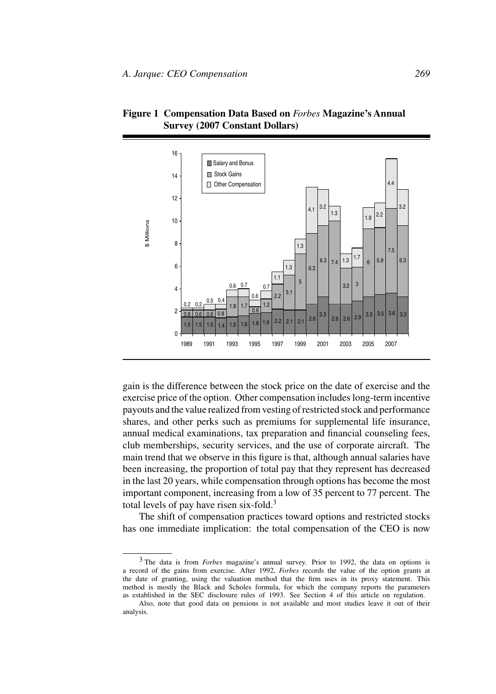

**Figure 1 Compensation Data Based on** *Forbes* **Magazine's Annual Survey (2007 Constant Dollars)**

gain is the difference between the stock price on the date of exercise and the exercise price of the option. Other compensation includes long-term incentive payouts and the value realized from vesting of restricted stock and performance shares, and other perks such as premiums for supplemental life insurance, annual medical examinations, tax preparation and financial counseling fees, club memberships, security services, and the use of corporate aircraft. The main trend that we observe in this figure is that, although annual salaries have been increasing, the proportion of total pay that they represent has decreased in the last 20 years, while compensation through options has become the most important component, increasing from a low of 35 percent to 77 percent. The total levels of pay have risen six-fold. $3$ 

The shift of compensation practices toward options and restricted stocks has one immediate implication: the total compensation of the CEO is now

<sup>3</sup> The data is from *Forbes* magazine's annual survey. Prior to 1992, the data on options is a record of the gains from exercise. After 1992, *Forbes* records the value of the option grants at the date of granting, using the valuation method that the firm uses in its proxy statement. This method is mostly the Black and Scholes formula, for which the company reports the parameters as established in the SEC disclosure rules of 1993. See Section 4 of this article on regulation.

Also, note that good data on pensions is not available and most studies leave it out of their analysis.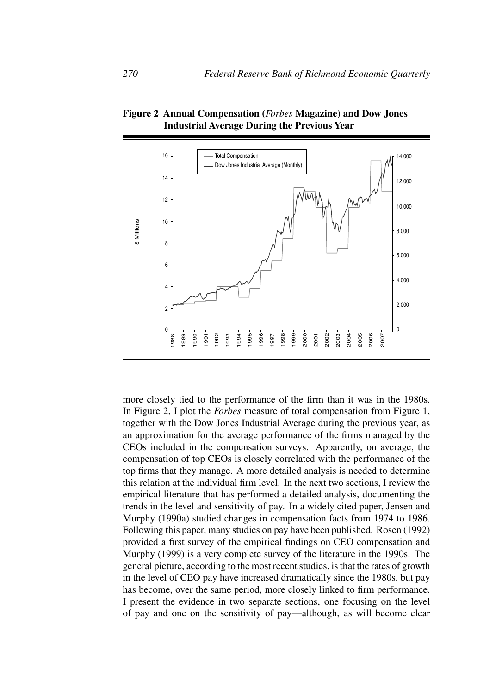

**Figure 2 Annual Compensation (***Forbes* **Magazine) and Dow Jones Industrial Average During the Previous Year**

more closely tied to the performance of the firm than it was in the 1980s. In Figure 2, I plot the *Forbes* measure of total compensation from Figure 1, together with the Dow Jones Industrial Average during the previous year, as an approximation for the average performance of the firms managed by the CEOs included in the compensation surveys. Apparently, on average, the compensation of top CEOs is closely correlated with the performance of the top firms that they manage. A more detailed analysis is needed to determine this relation at the individual firm level. In the next two sections, I review the empirical literature that has performed a detailed analysis, documenting the trends in the level and sensitivity of pay. In a widely cited paper, Jensen and Murphy (1990a) studied changes in compensation facts from 1974 to 1986. Following this paper, many studies on pay have been published. Rosen (1992) provided a first survey of the empirical findings on CEO compensation and Murphy (1999) is a very complete survey of the literature in the 1990s. The general picture, according to the most recent studies, is that the rates of growth in the level of CEO pay have increased dramatically since the 1980s, but pay has become, over the same period, more closely linked to firm performance. I present the evidence in two separate sections, one focusing on the level of pay and one on the sensitivity of pay—although, as will become clear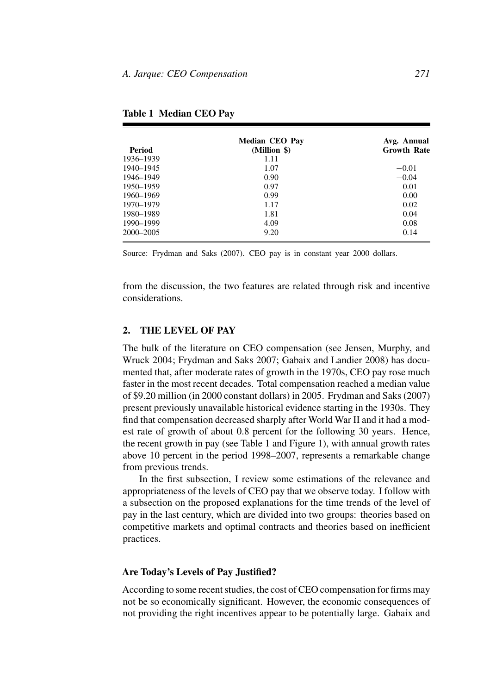| Period        | <b>Median CEO Pay</b><br>(Million \$) | Avg. Annual<br><b>Growth Rate</b> |
|---------------|---------------------------------------|-----------------------------------|
|               |                                       |                                   |
| 1940-1945     | 1.07                                  | $-0.01$                           |
| 1946–1949     | 0.90                                  | $-0.04$                           |
| 1950–1959     | 0.97                                  | 0.01                              |
| 1960-1969     | 0.99                                  | 0.00                              |
| 1970–1979     | 1.17                                  | 0.02                              |
| 1980–1989     | 1.81                                  | 0.04                              |
| 1990–1999     | 4.09                                  | 0.08                              |
| $2000 - 2005$ | 9.20                                  | 0.14                              |
|               |                                       |                                   |

**Table 1 Median CEO Pay**

Source: Frydman and Saks (2007). CEO pay is in constant year 2000 dollars.

from the discussion, the two features are related through risk and incentive considerations.

### **2. THE LEVEL OF PAY**

The bulk of the literature on CEO compensation (see Jensen, Murphy, and Wruck 2004; Frydman and Saks 2007; Gabaix and Landier 2008) has documented that, after moderate rates of growth in the 1970s, CEO pay rose much faster in the most recent decades. Total compensation reached a median value of \$9.20 million (in 2000 constant dollars) in 2005. Frydman and Saks (2007) present previously unavailable historical evidence starting in the 1930s. They find that compensation decreased sharply after World War II and it had a modest rate of growth of about 0.8 percent for the following 30 years. Hence, the recent growth in pay (see Table 1 and Figure 1), with annual growth rates above 10 percent in the period 1998–2007, represents a remarkable change from previous trends.

In the first subsection, I review some estimations of the relevance and appropriateness of the levels of CEO pay that we observe today. I follow with a subsection on the proposed explanations for the time trends of the level of pay in the last century, which are divided into two groups: theories based on competitive markets and optimal contracts and theories based on inefficient practices.

#### **Are Today's Levels of Pay Justified?**

According to some recent studies, the cost of CEO compensation for firms may not be so economically significant. However, the economic consequences of not providing the right incentives appear to be potentially large. Gabaix and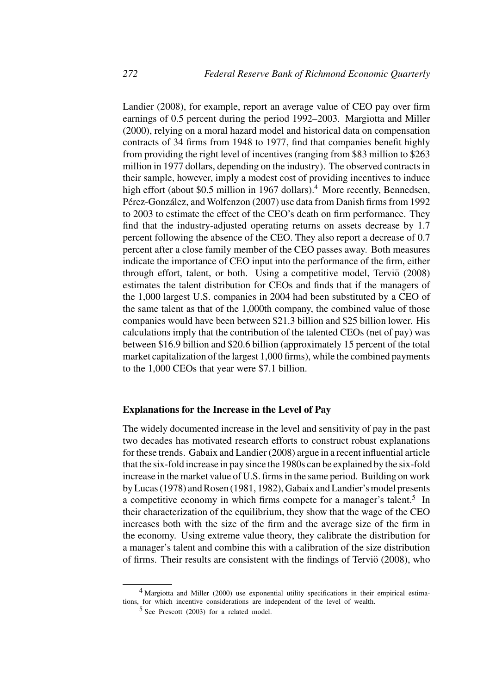Landier (2008), for example, report an average value of CEO pay over firm earnings of 0.5 percent during the period 1992–2003. Margiotta and Miller (2000), relying on a moral hazard model and historical data on compensation contracts of 34 firms from 1948 to 1977, find that companies benefit highly from providing the right level of incentives (ranging from \$83 million to \$263 million in 1977 dollars, depending on the industry). The observed contracts in their sample, however, imply a modest cost of providing incentives to induce high effort (about \$0.5 million in 1967 dollars).<sup>4</sup> More recently, Bennedsen, Pérez-González, and Wolfenzon (2007) use data from Danish firms from 1992 to 2003 to estimate the effect of the CEO's death on firm performance. They find that the industry-adjusted operating returns on assets decrease by 1.7 percent following the absence of the CEO. They also report a decrease of 0.7 percent after a close family member of the CEO passes away. Both measures indicate the importance of CEO input into the performance of the firm, either through effort, talent, or both. Using a competitive model, Terviö (2008) estimates the talent distribution for CEOs and finds that if the managers of the 1,000 largest U.S. companies in 2004 had been substituted by a CEO of the same talent as that of the 1,000th company, the combined value of those companies would have been between \$21.3 billion and \$25 billion lower. His calculations imply that the contribution of the talented CEOs (net of pay) was between \$16.9 billion and \$20.6 billion (approximately 15 percent of the total market capitalization of the largest 1,000 firms), while the combined payments to the 1,000 CEOs that year were \$7.1 billion.

### **Explanations for the Increase in the Level of Pay**

The widely documented increase in the level and sensitivity of pay in the past two decades has motivated research efforts to construct robust explanations for these trends. Gabaix and Landier (2008) argue in a recent influential article that the six-fold increase in pay since the 1980s can be explained by the six-fold increase in the market value of U.S. firms in the same period. Building on work by Lucas (1978) and Rosen (1981, 1982), Gabaix and Landier's model presents a competitive economy in which firms compete for a manager's talent.5 In their characterization of the equilibrium, they show that the wage of the CEO increases both with the size of the firm and the average size of the firm in the economy. Using extreme value theory, they calibrate the distribution for a manager's talent and combine this with a calibration of the size distribution of firms. Their results are consistent with the findings of Tervi $\ddot{o}$  (2008), who

<sup>&</sup>lt;sup>4</sup> Margiotta and Miller (2000) use exponential utility specifications in their empirical estimations, for which incentive considerations are independent of the level of wealth.

 $5$  See Prescott (2003) for a related model.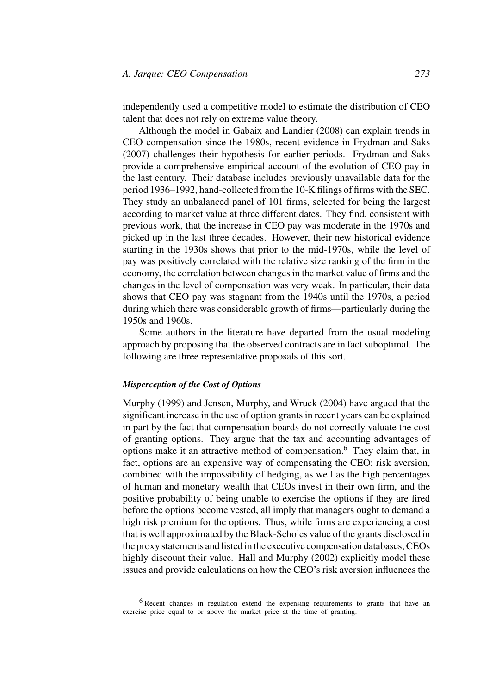independently used a competitive model to estimate the distribution of CEO talent that does not rely on extreme value theory.

Although the model in Gabaix and Landier (2008) can explain trends in CEO compensation since the 1980s, recent evidence in Frydman and Saks (2007) challenges their hypothesis for earlier periods. Frydman and Saks provide a comprehensive empirical account of the evolution of CEO pay in the last century. Their database includes previously unavailable data for the period 1936–1992, hand-collected from the 10-K filings of firms with the SEC. They study an unbalanced panel of 101 firms, selected for being the largest according to market value at three different dates. They find, consistent with previous work, that the increase in CEO pay was moderate in the 1970s and picked up in the last three decades. However, their new historical evidence starting in the 1930s shows that prior to the mid-1970s, while the level of pay was positively correlated with the relative size ranking of the firm in the economy, the correlation between changes in the market value of firms and the changes in the level of compensation was very weak. In particular, their data shows that CEO pay was stagnant from the 1940s until the 1970s, a period during which there was considerable growth of firms—particularly during the 1950s and 1960s.

Some authors in the literature have departed from the usual modeling approach by proposing that the observed contracts are in fact suboptimal. The following are three representative proposals of this sort.

### *Misperception of the Cost of Options*

Murphy (1999) and Jensen, Murphy, and Wruck (2004) have argued that the significant increase in the use of option grants in recent years can be explained in part by the fact that compensation boards do not correctly valuate the cost of granting options. They argue that the tax and accounting advantages of options make it an attractive method of compensation.6 They claim that, in fact, options are an expensive way of compensating the CEO: risk aversion, combined with the impossibility of hedging, as well as the high percentages of human and monetary wealth that CEOs invest in their own firm, and the positive probability of being unable to exercise the options if they are fired before the options become vested, all imply that managers ought to demand a high risk premium for the options. Thus, while firms are experiencing a cost that is well approximated by the Black-Scholes value of the grants disclosed in the proxy statements and listed in the executive compensation databases, CEOs highly discount their value. Hall and Murphy (2002) explicitly model these issues and provide calculations on how the CEO's risk aversion influences the

<sup>6</sup> Recent changes in regulation extend the expensing requirements to grants that have an exercise price equal to or above the market price at the time of granting.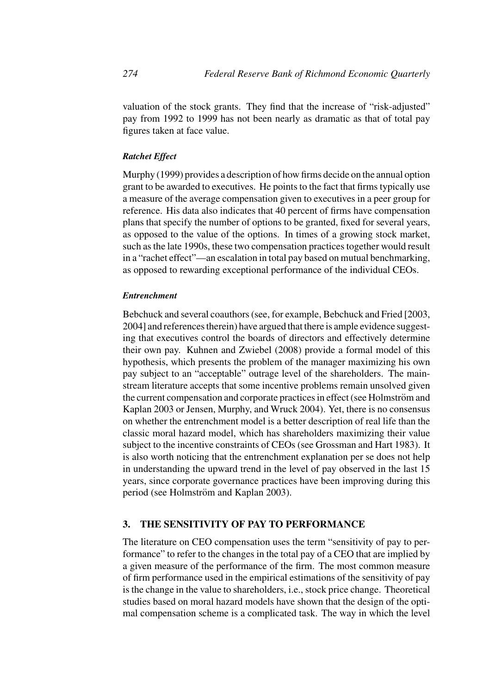valuation of the stock grants. They find that the increase of "risk-adjusted" pay from 1992 to 1999 has not been nearly as dramatic as that of total pay figures taken at face value.

### *Ratchet Effect*

Murphy (1999) provides a description of how firms decide on the annual option grant to be awarded to executives. He points to the fact that firms typically use a measure of the average compensation given to executives in a peer group for reference. His data also indicates that 40 percent of firms have compensation plans that specify the number of options to be granted, fixed for several years, as opposed to the value of the options. In times of a growing stock market, such as the late 1990s, these two compensation practices together would result in a "rachet effect"—an escalation in total pay based on mutual benchmarking, as opposed to rewarding exceptional performance of the individual CEOs.

#### *Entrenchment*

Bebchuck and several coauthors (see, for example, Bebchuck and Fried [2003, 2004] and references therein) have argued that there is ample evidence suggesting that executives control the boards of directors and effectively determine their own pay. Kuhnen and Zwiebel (2008) provide a formal model of this hypothesis, which presents the problem of the manager maximizing his own pay subject to an "acceptable" outrage level of the shareholders. The mainstream literature accepts that some incentive problems remain unsolved given the current compensation and corporate practices in effect (see Holmström and Kaplan 2003 or Jensen, Murphy, and Wruck 2004). Yet, there is no consensus on whether the entrenchment model is a better description of real life than the classic moral hazard model, which has shareholders maximizing their value subject to the incentive constraints of CEOs (see Grossman and Hart 1983). It is also worth noticing that the entrenchment explanation per se does not help in understanding the upward trend in the level of pay observed in the last 15 years, since corporate governance practices have been improving during this period (see Holmström and Kaplan 2003).

# **3. THE SENSITIVITY OF PAY TO PERFORMANCE**

The literature on CEO compensation uses the term "sensitivity of pay to performance" to refer to the changes in the total pay of a CEO that are implied by a given measure of the performance of the firm. The most common measure of firm performance used in the empirical estimations of the sensitivity of pay is the change in the value to shareholders, i.e., stock price change. Theoretical studies based on moral hazard models have shown that the design of the optimal compensation scheme is a complicated task. The way in which the level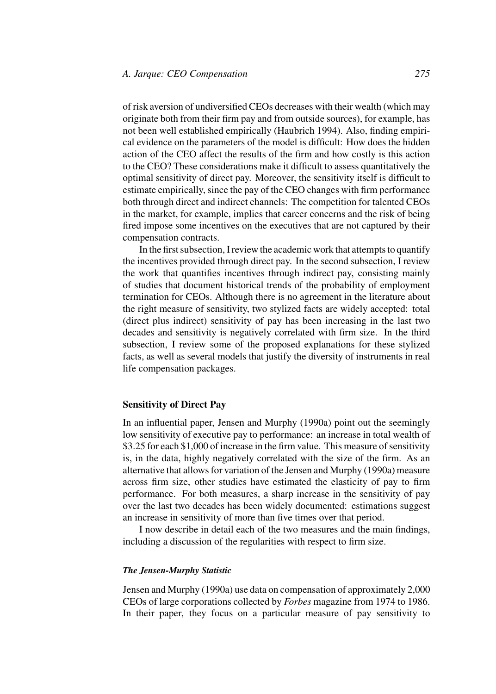of risk aversion of undiversified CEOs decreases with their wealth (which may originate both from their firm pay and from outside sources), for example, has not been well established empirically (Haubrich 1994). Also, finding empirical evidence on the parameters of the model is difficult: How does the hidden action of the CEO affect the results of the firm and how costly is this action to the CEO? These considerations make it difficult to assess quantitatively the optimal sensitivity of direct pay. Moreover, the sensitivity itself is difficult to estimate empirically, since the pay of the CEO changes with firm performance both through direct and indirect channels: The competition for talented CEOs in the market, for example, implies that career concerns and the risk of being fired impose some incentives on the executives that are not captured by their compensation contracts.

In the first subsection, I review the academic work that attempts to quantify the incentives provided through direct pay. In the second subsection, I review the work that quantifies incentives through indirect pay, consisting mainly of studies that document historical trends of the probability of employment termination for CEOs. Although there is no agreement in the literature about the right measure of sensitivity, two stylized facts are widely accepted: total (direct plus indirect) sensitivity of pay has been increasing in the last two decades and sensitivity is negatively correlated with firm size. In the third subsection, I review some of the proposed explanations for these stylized facts, as well as several models that justify the diversity of instruments in real life compensation packages.

#### **Sensitivity of Direct Pay**

In an influential paper, Jensen and Murphy (1990a) point out the seemingly low sensitivity of executive pay to performance: an increase in total wealth of \$3.25 for each \$1,000 of increase in the firm value. This measure of sensitivity is, in the data, highly negatively correlated with the size of the firm. As an alternative that allows for variation of the Jensen and Murphy (1990a) measure across firm size, other studies have estimated the elasticity of pay to firm performance. For both measures, a sharp increase in the sensitivity of pay over the last two decades has been widely documented: estimations suggest an increase in sensitivity of more than five times over that period.

I now describe in detail each of the two measures and the main findings, including a discussion of the regularities with respect to firm size.

#### *The Jensen-Murphy Statistic*

Jensen and Murphy (1990a) use data on compensation of approximately 2,000 CEOs of large corporations collected by *Forbes* magazine from 1974 to 1986. In their paper, they focus on a particular measure of pay sensitivity to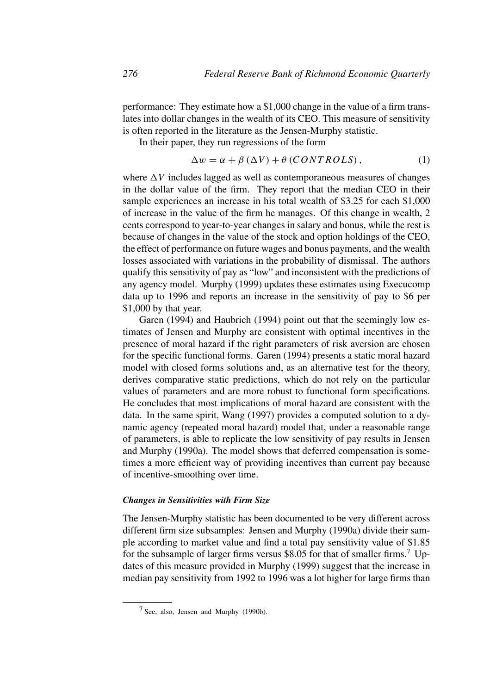performance: They estimate how a \$1,000 change in the value of a firm translates into dollar changes in the wealth of its CEO. This measure of sensitivity is often reported in the literature as the Jensen-Murphy statistic.

In their paper, they run regressions of the form

$$
\Delta w = \alpha + \beta \left(\Delta V\right) + \theta \left(CONTROLS\right),\tag{1}
$$

where  $\Delta V$  includes lagged as well as contemporaneous measures of changes in the dollar value of the firm. They report that the median CEO in their sample experiences an increase in his total wealth of \$3.25 for each \$1,000 of increase in the value of the firm he manages. Of this change in wealth, 2 cents correspond to year-to-year changes in salary and bonus, while the rest is because of changes in the value of the stock and option holdings of the CEO, the effect of performance on future wages and bonus payments, and the wealth losses associated with variations in the probability of dismissal. The authors qualify this sensitivity of pay as "low" and inconsistent with the predictions of any agency model. Murphy (1999) updates these estimates using Execucomp data up to 1996 and reports an increase in the sensitivity of pay to \$6 per \$1,000 by that year.

Garen (1994) and Haubrich (1994) point out that the seemingly low estimates of Jensen and Murphy are consistent with optimal incentives in the presence of moral hazard if the right parameters of risk aversion are chosen for the specific functional forms. Garen (1994) presents a static moral hazard model with closed forms solutions and, as an alternative test for the theory, derives comparative static predictions, which do not rely on the particular values of parameters and are more robust to functional form specifications. He concludes that most implications of moral hazard are consistent with the data. In the same spirit, Wang (1997) provides a computed solution to a dynamic agency (repeated moral hazard) model that, under a reasonable range of parameters, is able to replicate the low sensitivity of pay results in Jensen and Murphy (1990a). The model shows that deferred compensation is sometimes a more efficient way of providing incentives than current pay because of incentive-smoothing over time.

### *Changes in Sensitivities with Firm Size*

The Jensen-Murphy statistic has been documented to be very different across different firm size subsamples: Jensen and Murphy (1990a) divide their sample according to market value and find a total pay sensitivity value of \$1.85 for the subsample of larger firms versus \$8.05 for that of smaller firms.<sup>7</sup> Updates of this measure provided in Murphy (1999) suggest that the increase in median pay sensitivity from 1992 to 1996 was a lot higher for large firms than

<sup>7</sup> See, also, Jensen and Murphy (1990b).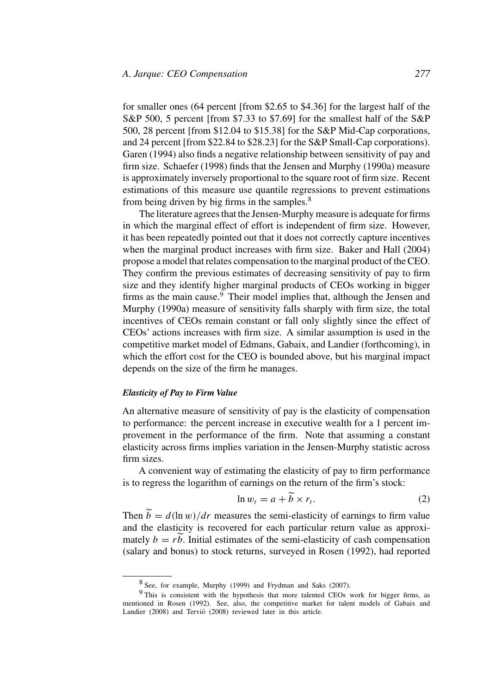for smaller ones (64 percent [from \$2.65 to \$4.36] for the largest half of the S&P 500, 5 percent [from \$7.33 to \$7.69] for the smallest half of the S&P 500, 28 percent [from \$12.04 to \$15.38] for the S&P Mid-Cap corporations, and 24 percent [from \$22.84 to \$28.23] for the S&P Small-Cap corporations). Garen (1994) also finds a negative relationship between sensitivity of pay and firm size. Schaefer (1998) finds that the Jensen and Murphy (1990a) measure is approximately inversely proportional to the square root of firm size. Recent estimations of this measure use quantile regressions to prevent estimations from being driven by big firms in the samples.<sup>8</sup>

The literature agrees that the Jensen-Murphy measure is adequate for firms in which the marginal effect of effort is independent of firm size. However, it has been repeatedly pointed out that it does not correctly capture incentives when the marginal product increases with firm size. Baker and Hall (2004) propose a model that relates compensation to the marginal product of the CEO. They confirm the previous estimates of decreasing sensitivity of pay to firm size and they identify higher marginal products of CEOs working in bigger firms as the main cause.<sup>9</sup> Their model implies that, although the Jensen and Murphy (1990a) measure of sensitivity falls sharply with firm size, the total incentives of CEOs remain constant or fall only slightly since the effect of CEOs' actions increases with firm size. A similar assumption is used in the competitive market model of Edmans, Gabaix, and Landier (forthcoming), in which the effort cost for the CEO is bounded above, but his marginal impact depends on the size of the firm he manages.

#### *Elasticity of Pay to Firm Value*

An alternative measure of sensitivity of pay is the elasticity of compensation to performance: the percent increase in executive wealth for a 1 percent improvement in the performance of the firm. Note that assuming a constant elasticity across firms implies variation in the Jensen-Murphy statistic across firm sizes.

A convenient way of estimating the elasticity of pay to firm performance is to regress the logarithm of earnings on the return of the firm's stock:

$$
\ln w_t = a + \bar{b} \times r_t. \tag{2}
$$

Then  $\tilde{b} = d(\ln w)/dr$  measures the semi-elasticity of earnings to firm value and the elasticity is recovered for each particular return value as approximately  $b = rb$ . Initial estimates of the semi-elasticity of cash compensation (salary and bonus) to stock returns, surveyed in Rosen (1992), had reported

<sup>8</sup> See, for example, Murphy (1999) and Frydman and Saks (2007).

<sup>9</sup> This is consistent with the hypothesis that more talented CEOs work for bigger firms, as mentioned in Rosen (1992). See, also, the competitive market for talent models of Gabaix and Landier  $(2008)$  and Tervi $\ddot{o}$   $(2008)$  reviewed later in this article.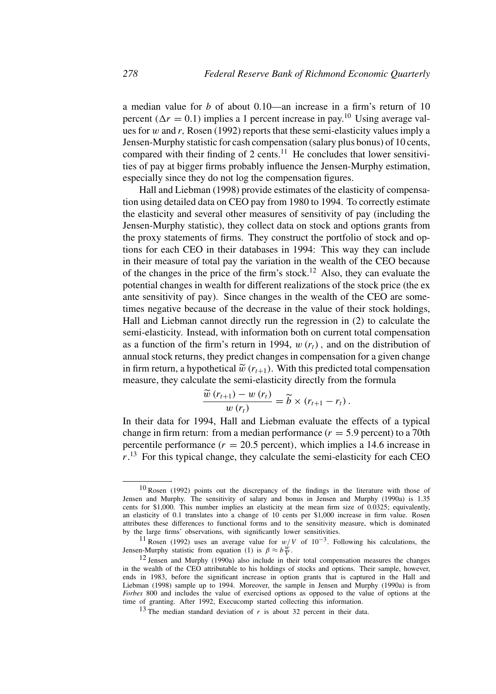a median value for *b* of about 0.10—an increase in a firm's return of 10 percent  $(\Delta r = 0.1)$  implies a 1 percent increase in pay.<sup>10</sup> Using average values for *w* and *r,* Rosen (1992) reports that these semi-elasticity values imply a Jensen-Murphy statistic for cash compensation (salary plus bonus) of 10 cents, compared with their finding of 2 cents.<sup>11</sup> He concludes that lower sensitivities of pay at bigger firms probably influence the Jensen-Murphy estimation, especially since they do not log the compensation figures.

Hall and Liebman (1998) provide estimates of the elasticity of compensation using detailed data on CEO pay from 1980 to 1994. To correctly estimate the elasticity and several other measures of sensitivity of pay (including the Jensen-Murphy statistic), they collect data on stock and options grants from the proxy statements of firms. They construct the portfolio of stock and options for each CEO in their databases in 1994: This way they can include in their measure of total pay the variation in the wealth of the CEO because of the changes in the price of the firm's stock.<sup>12</sup> Also, they can evaluate the potential changes in wealth for different realizations of the stock price (the ex ante sensitivity of pay). Since changes in the wealth of the CEO are sometimes negative because of the decrease in the value of their stock holdings, Hall and Liebman cannot directly run the regression in (2) to calculate the semi-elasticity. Instead, with information both on current total compensation as a function of the firm's return in 1994,  $w(r_t)$ , and on the distribution of annual stock returns, they predict changes in compensation for a given change in firm return, a hypothetical  $\widetilde{w}(r_{t+1})$ . With this predicted total compensation measure, they calculate the semi-elasticity directly from the formula

$$
\frac{\widetilde{w}(r_{t+1})-w(r_t)}{w(r_t)}=\widetilde{b}\times(r_{t+1}-r_t).
$$

In their data for 1994, Hall and Liebman evaluate the effects of a typical change in firm return: from a median performance  $(r = 5.9$  percent) to a 70th percentile performance  $(r = 20.5$  percent), which implies a 14.6 increase in *r*. <sup>13</sup> For this typical change, they calculate the semi-elasticity for each CEO

<sup>10</sup> Rosen (1992) points out the discrepancy of the findings in the literature with those of Jensen and Murphy. The sensitivity of salary and bonus in Jensen and Murphy (1990a) is 1.35 cents for \$1,000. This number implies an elasticity at the mean firm size of 0.0325; equivalently, an elasticity of 0.1 translates into a change of 10 cents per \$1,000 increase in firm value. Rosen attributes these differences to functional forms and to the sensitivity measure, which is dominated by the large firms' observations, with significantly lower sensitivities.

<sup>11</sup> Rosen (1992) uses an average value for *w/V* of 10−3*.* Following his calculations, the Jensen-Murphy statistic from equation (1) is  $\beta \approx b \frac{\dot{w}}{V}$ .

<sup>12</sup> Jensen and Murphy (1990a) also include in their total compensation measures the changes in the wealth of the CEO attributable to his holdings of stocks and options. Their sample, however, ends in 1983, before the significant increase in option grants that is captured in the Hall and Liebman (1998) sample up to 1994. Moreover, the sample in Jensen and Murphy (1990a) is from *Forbes* 800 and includes the value of exercised options as opposed to the value of options at the time of granting. After 1992, Execucomp started collecting this information.

<sup>&</sup>lt;sup>13</sup> The median standard deviation of  $r$  is about 32 percent in their data.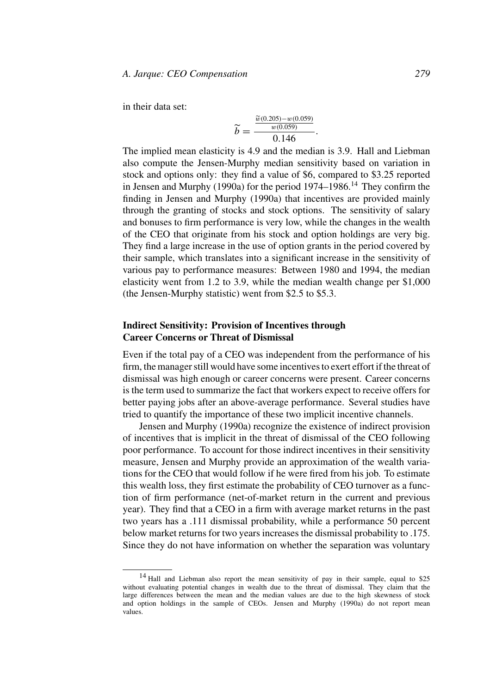in their data set:

$$
\widetilde{b} = \frac{\frac{\widetilde{w}(0.205) - w(0.059)}{w(0.059)}}{0.146}.
$$

The implied mean elasticity is 4.9 and the median is 3.9. Hall and Liebman also compute the Jensen-Murphy median sensitivity based on variation in stock and options only: they find a value of \$6, compared to \$3.25 reported in Jensen and Murphy (1990a) for the period  $1974-1986$ <sup>14</sup> They confirm the finding in Jensen and Murphy (1990a) that incentives are provided mainly through the granting of stocks and stock options. The sensitivity of salary and bonuses to firm performance is very low, while the changes in the wealth of the CEO that originate from his stock and option holdings are very big. They find a large increase in the use of option grants in the period covered by their sample, which translates into a significant increase in the sensitivity of various pay to performance measures: Between 1980 and 1994, the median elasticity went from 1.2 to 3.9, while the median wealth change per \$1,000 (the Jensen-Murphy statistic) went from \$2.5 to \$5.3.

## **Indirect Sensitivity: Provision of Incentives through Career Concerns or Threat of Dismissal**

Even if the total pay of a CEO was independent from the performance of his firm, the manager still would have some incentives to exert effort if the threat of dismissal was high enough or career concerns were present. Career concerns is the term used to summarize the fact that workers expect to receive offers for better paying jobs after an above-average performance. Several studies have tried to quantify the importance of these two implicit incentive channels.

Jensen and Murphy (1990a) recognize the existence of indirect provision of incentives that is implicit in the threat of dismissal of the CEO following poor performance. To account for those indirect incentives in their sensitivity measure, Jensen and Murphy provide an approximation of the wealth variations for the CEO that would follow if he were fired from his job. To estimate this wealth loss, they first estimate the probability of CEO turnover as a function of firm performance (net-of-market return in the current and previous year). They find that a CEO in a firm with average market returns in the past two years has a .111 dismissal probability, while a performance 50 percent below market returns for two years increases the dismissal probability to .175. Since they do not have information on whether the separation was voluntary

<sup>&</sup>lt;sup>14</sup> Hall and Liebman also report the mean sensitivity of pay in their sample, equal to \$25 without evaluating potential changes in wealth due to the threat of dismissal. They claim that the large differences between the mean and the median values are due to the high skewness of stock and option holdings in the sample of CEOs. Jensen and Murphy (1990a) do not report mean values.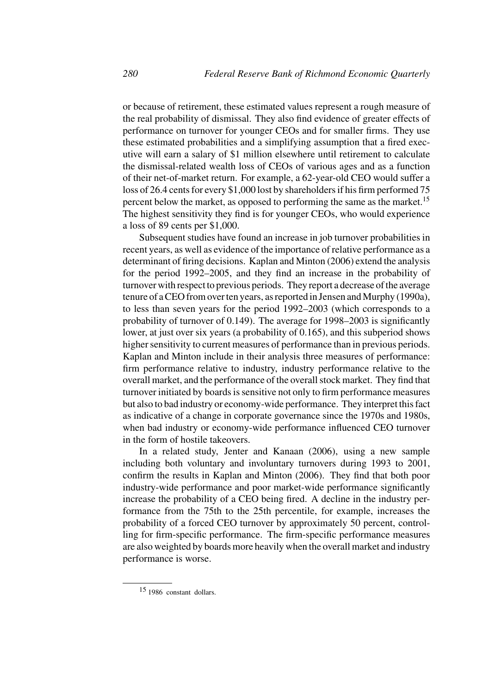or because of retirement, these estimated values represent a rough measure of the real probability of dismissal. They also find evidence of greater effects of performance on turnover for younger CEOs and for smaller firms. They use these estimated probabilities and a simplifying assumption that a fired executive will earn a salary of \$1 million elsewhere until retirement to calculate the dismissal-related wealth loss of CEOs of various ages and as a function of their net-of-market return. For example, a 62-year-old CEO would suffer a loss of 26.4 cents for every \$1,000 lost by shareholders if his firm performed 75 percent below the market, as opposed to performing the same as the market.<sup>15</sup> The highest sensitivity they find is for younger CEOs, who would experience a loss of 89 cents per \$1,000.

Subsequent studies have found an increase in job turnover probabilities in recent years, as well as evidence of the importance of relative performance as a determinant of firing decisions. Kaplan and Minton (2006) extend the analysis for the period 1992–2005, and they find an increase in the probability of turnover with respect to previous periods. They report a decrease of the average tenure of a CEO from over ten years, as reported in Jensen and Murphy (1990a), to less than seven years for the period 1992–2003 (which corresponds to a probability of turnover of 0.149). The average for 1998–2003 is significantly lower, at just over six years (a probability of 0.165), and this subperiod shows higher sensitivity to current measures of performance than in previous periods. Kaplan and Minton include in their analysis three measures of performance: firm performance relative to industry, industry performance relative to the overall market, and the performance of the overall stock market. They find that turnover initiated by boards is sensitive not only to firm performance measures but also to bad industry or economy-wide performance. They interpret this fact as indicative of a change in corporate governance since the 1970s and 1980s, when bad industry or economy-wide performance influenced CEO turnover in the form of hostile takeovers.

In a related study, Jenter and Kanaan (2006), using a new sample including both voluntary and involuntary turnovers during 1993 to 2001, confirm the results in Kaplan and Minton (2006). They find that both poor industry-wide performance and poor market-wide performance significantly increase the probability of a CEO being fired. A decline in the industry performance from the 75th to the 25th percentile, for example, increases the probability of a forced CEO turnover by approximately 50 percent, controlling for firm-specific performance. The firm-specific performance measures are also weighted by boards more heavily when the overall market and industry performance is worse.

<sup>15</sup> 1986 constant dollars.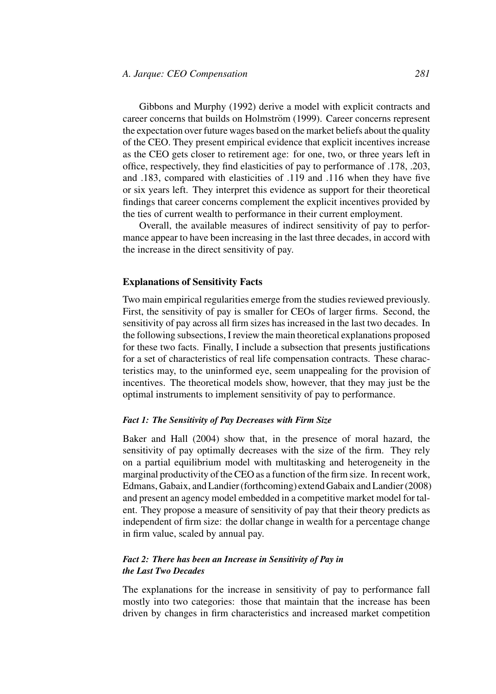Gibbons and Murphy (1992) derive a model with explicit contracts and career concerns that builds on Holmström (1999). Career concerns represent the expectation over future wages based on the market beliefs about the quality of the CEO. They present empirical evidence that explicit incentives increase as the CEO gets closer to retirement age: for one, two, or three years left in office, respectively, they find elasticities of pay to performance of .178, .203, and .183, compared with elasticities of .119 and .116 when they have five or six years left. They interpret this evidence as support for their theoretical findings that career concerns complement the explicit incentives provided by the ties of current wealth to performance in their current employment.

Overall, the available measures of indirect sensitivity of pay to performance appear to have been increasing in the last three decades, in accord with the increase in the direct sensitivity of pay.

#### **Explanations of Sensitivity Facts**

Two main empirical regularities emerge from the studies reviewed previously. First, the sensitivity of pay is smaller for CEOs of larger firms. Second, the sensitivity of pay across all firm sizes has increased in the last two decades. In the following subsections, I review the main theoretical explanations proposed for these two facts. Finally, I include a subsection that presents justifications for a set of characteristics of real life compensation contracts. These characteristics may, to the uninformed eye, seem unappealing for the provision of incentives. The theoretical models show, however, that they may just be the optimal instruments to implement sensitivity of pay to performance.

#### *Fact 1: The Sensitivity of Pay Decreases with Firm Size*

Baker and Hall (2004) show that, in the presence of moral hazard, the sensitivity of pay optimally decreases with the size of the firm. They rely on a partial equilibrium model with multitasking and heterogeneity in the marginal productivity of the CEO as a function of the firm size. In recent work, Edmans, Gabaix, and Landier (forthcoming) extend Gabaix and Landier (2008) and present an agency model embedded in a competitive market model for talent. They propose a measure of sensitivity of pay that their theory predicts as independent of firm size: the dollar change in wealth for a percentage change in firm value, scaled by annual pay.

## *Fact 2: There has been an Increase in Sensitivity of Pay in the Last Two Decades*

The explanations for the increase in sensitivity of pay to performance fall mostly into two categories: those that maintain that the increase has been driven by changes in firm characteristics and increased market competition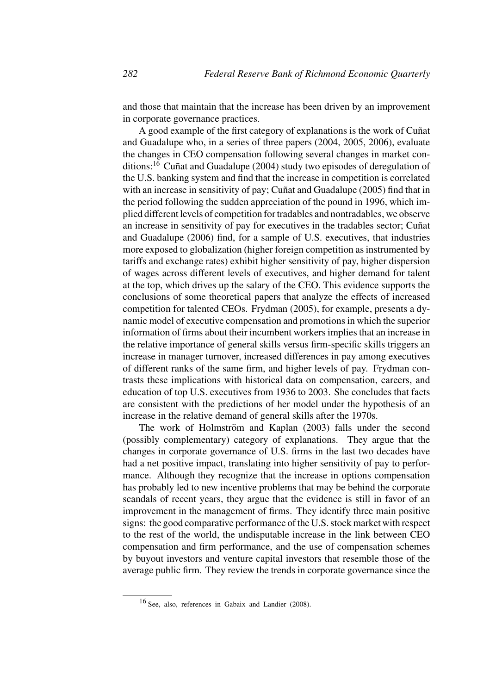and those that maintain that the increase has been driven by an improvement in corporate governance practices.

A good example of the first category of explanations is the work of Cuñat and Guadalupe who, in a series of three papers (2004, 2005, 2006), evaluate the changes in CEO compensation following several changes in market conditions:<sup>16</sup> Cuñat and Guadalupe (2004) study two episodes of deregulation of the U.S. banking system and find that the increase in competition is correlated with an increase in sensitivity of pay; Cuñat and Guadalupe (2005) find that in the period following the sudden appreciation of the pound in 1996, which implied different levels of competition for tradables and nontradables, we observe an increase in sensitivity of pay for executives in the tradables sector; Cuñat and Guadalupe (2006) find, for a sample of U.S. executives, that industries more exposed to globalization (higher foreign competition as instrumented by tariffs and exchange rates) exhibit higher sensitivity of pay, higher dispersion of wages across different levels of executives, and higher demand for talent at the top, which drives up the salary of the CEO. This evidence supports the conclusions of some theoretical papers that analyze the effects of increased competition for talented CEOs. Frydman (2005), for example, presents a dynamic model of executive compensation and promotions in which the superior information of firms about their incumbent workers implies that an increase in the relative importance of general skills versus firm-specific skills triggers an increase in manager turnover, increased differences in pay among executives of different ranks of the same firm, and higher levels of pay. Frydman contrasts these implications with historical data on compensation, careers, and education of top U.S. executives from 1936 to 2003. She concludes that facts are consistent with the predictions of her model under the hypothesis of an increase in the relative demand of general skills after the 1970s.

The work of Holmström and Kaplan (2003) falls under the second (possibly complementary) category of explanations. They argue that the changes in corporate governance of U.S. firms in the last two decades have had a net positive impact, translating into higher sensitivity of pay to performance. Although they recognize that the increase in options compensation has probably led to new incentive problems that may be behind the corporate scandals of recent years, they argue that the evidence is still in favor of an improvement in the management of firms. They identify three main positive signs: the good comparative performance of the U.S. stock market with respect to the rest of the world, the undisputable increase in the link between CEO compensation and firm performance, and the use of compensation schemes by buyout investors and venture capital investors that resemble those of the average public firm. They review the trends in corporate governance since the

<sup>16</sup> See, also, references in Gabaix and Landier (2008).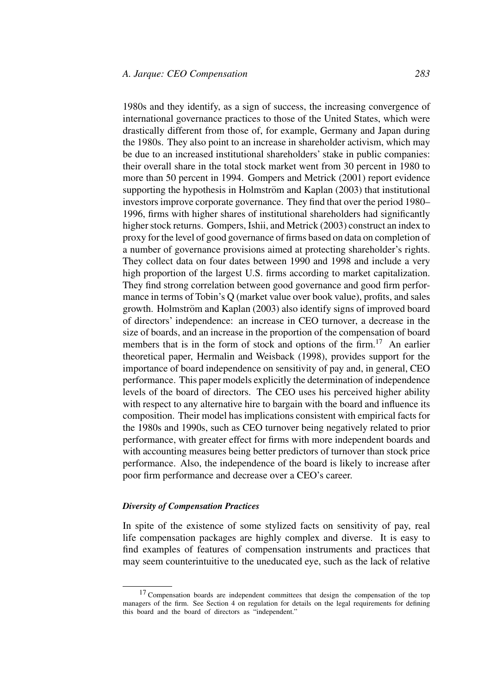1980s and they identify, as a sign of success, the increasing convergence of international governance practices to those of the United States, which were drastically different from those of, for example, Germany and Japan during the 1980s. They also point to an increase in shareholder activism, which may be due to an increased institutional shareholders' stake in public companies: their overall share in the total stock market went from 30 percent in 1980 to more than 50 percent in 1994. Gompers and Metrick (2001) report evidence supporting the hypothesis in Holmström and Kaplan (2003) that institutional investors improve corporate governance. They find that over the period 1980– 1996, firms with higher shares of institutional shareholders had significantly higher stock returns. Gompers, Ishii, and Metrick (2003) construct an index to proxy for the level of good governance of firms based on data on completion of a number of governance provisions aimed at protecting shareholder's rights. They collect data on four dates between 1990 and 1998 and include a very high proportion of the largest U.S. firms according to market capitalization. They find strong correlation between good governance and good firm performance in terms of Tobin's Q (market value over book value), profits, and sales growth. Holmström and Kaplan (2003) also identify signs of improved board of directors' independence: an increase in CEO turnover, a decrease in the size of boards, and an increase in the proportion of the compensation of board members that is in the form of stock and options of the firm.<sup>17</sup> An earlier theoretical paper, Hermalin and Weisback (1998), provides support for the importance of board independence on sensitivity of pay and, in general, CEO performance. This paper models explicitly the determination of independence levels of the board of directors. The CEO uses his perceived higher ability with respect to any alternative hire to bargain with the board and influence its composition. Their model has implications consistent with empirical facts for the 1980s and 1990s, such as CEO turnover being negatively related to prior performance, with greater effect for firms with more independent boards and with accounting measures being better predictors of turnover than stock price performance. Also, the independence of the board is likely to increase after poor firm performance and decrease over a CEO's career.

#### *Diversity of Compensation Practices*

In spite of the existence of some stylized facts on sensitivity of pay, real life compensation packages are highly complex and diverse. It is easy to find examples of features of compensation instruments and practices that may seem counterintuitive to the uneducated eye, such as the lack of relative

<sup>&</sup>lt;sup>17</sup> Compensation boards are independent committees that design the compensation of the top managers of the firm. See Section 4 on regulation for details on the legal requirements for defining this board and the board of directors as "independent."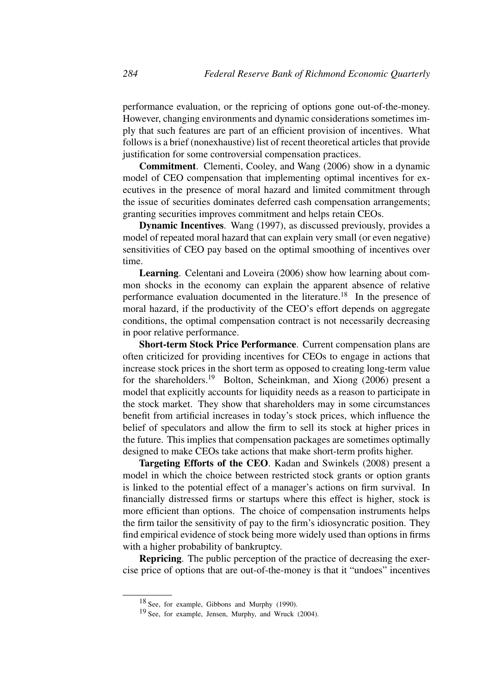performance evaluation, or the repricing of options gone out-of-the-money. However, changing environments and dynamic considerations sometimes imply that such features are part of an efficient provision of incentives. What follows is a brief (nonexhaustive) list of recent theoretical articles that provide justification for some controversial compensation practices.

**Commitment**. Clementi, Cooley, and Wang (2006) show in a dynamic model of CEO compensation that implementing optimal incentives for executives in the presence of moral hazard and limited commitment through the issue of securities dominates deferred cash compensation arrangements; granting securities improves commitment and helps retain CEOs.

**Dynamic Incentives**. Wang (1997), as discussed previously, provides a model of repeated moral hazard that can explain very small (or even negative) sensitivities of CEO pay based on the optimal smoothing of incentives over time.

**Learning**. Celentani and Loveira (2006) show how learning about common shocks in the economy can explain the apparent absence of relative performance evaluation documented in the literature.<sup>18</sup> In the presence of moral hazard, if the productivity of the CEO's effort depends on aggregate conditions, the optimal compensation contract is not necessarily decreasing in poor relative performance.

**Short-term Stock Price Performance**. Current compensation plans are often criticized for providing incentives for CEOs to engage in actions that increase stock prices in the short term as opposed to creating long-term value for the shareholders.<sup>19</sup> Bolton, Scheinkman, and Xiong (2006) present a model that explicitly accounts for liquidity needs as a reason to participate in the stock market. They show that shareholders may in some circumstances benefit from artificial increases in today's stock prices, which influence the belief of speculators and allow the firm to sell its stock at higher prices in the future. This implies that compensation packages are sometimes optimally designed to make CEOs take actions that make short-term profits higher.

**Targeting Efforts of the CEO**. Kadan and Swinkels (2008) present a model in which the choice between restricted stock grants or option grants is linked to the potential effect of a manager's actions on firm survival. In financially distressed firms or startups where this effect is higher, stock is more efficient than options. The choice of compensation instruments helps the firm tailor the sensitivity of pay to the firm's idiosyncratic position. They find empirical evidence of stock being more widely used than options in firms with a higher probability of bankruptcy.

**Repricing**. The public perception of the practice of decreasing the exercise price of options that are out-of-the-money is that it "undoes" incentives

<sup>18</sup> See, for example, Gibbons and Murphy (1990).

<sup>19</sup> See, for example, Jensen, Murphy, and Wruck (2004).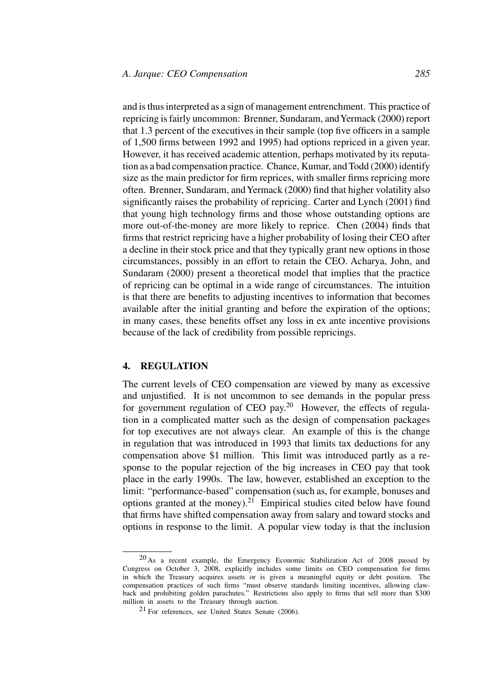and is thus interpreted as a sign of management entrenchment. This practice of repricing is fairly uncommon: Brenner, Sundaram, and Yermack (2000) report that 1.3 percent of the executives in their sample (top five officers in a sample of 1,500 firms between 1992 and 1995) had options repriced in a given year. However, it has received academic attention, perhaps motivated by its reputation as a bad compensation practice. Chance, Kumar, and Todd (2000) identify size as the main predictor for firm reprices, with smaller firms repricing more often. Brenner, Sundaram, andYermack (2000) find that higher volatility also significantly raises the probability of repricing. Carter and Lynch (2001) find that young high technology firms and those whose outstanding options are more out-of-the-money are more likely to reprice. Chen (2004) finds that firms that restrict repricing have a higher probability of losing their CEO after a decline in their stock price and that they typically grant new options in those circumstances, possibly in an effort to retain the CEO. Acharya, John, and Sundaram (2000) present a theoretical model that implies that the practice of repricing can be optimal in a wide range of circumstances. The intuition is that there are benefits to adjusting incentives to information that becomes available after the initial granting and before the expiration of the options; in many cases, these benefits offset any loss in ex ante incentive provisions because of the lack of credibility from possible repricings.

# **4. REGULATION**

The current levels of CEO compensation are viewed by many as excessive and unjustified. It is not uncommon to see demands in the popular press for government regulation of CEO pay.<sup>20</sup> However, the effects of regulation in a complicated matter such as the design of compensation packages for top executives are not always clear. An example of this is the change in regulation that was introduced in 1993 that limits tax deductions for any compensation above \$1 million. This limit was introduced partly as a response to the popular rejection of the big increases in CEO pay that took place in the early 1990s. The law, however, established an exception to the limit: "performance-based" compensation (such as, for example, bonuses and options granted at the money).<sup>21</sup> Empirical studies cited below have found that firms have shifted compensation away from salary and toward stocks and options in response to the limit. A popular view today is that the inclusion

<sup>20</sup> As a recent example, the Emergency Economic Stabilization Act of 2008 passed by Congress on October 3, 2008, explicitly includes some limits on CEO compensation for firms in which the Treasury acquires assets or is given a meaningful equity or debt position. The compensation practices of such firms "must observe standards limiting incentives, allowing clawback and prohibiting golden parachutes." Restrictions also apply to firms that sell more than \$300 million in assets to the Treasury through auction.

 $21$  For references, see United States Senate (2006).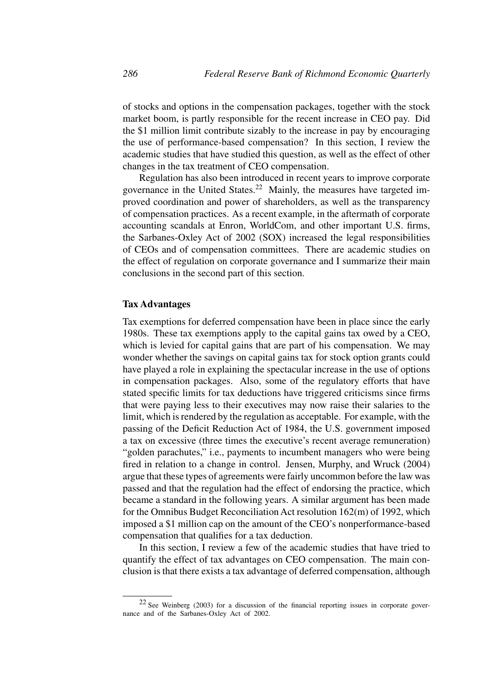of stocks and options in the compensation packages, together with the stock market boom, is partly responsible for the recent increase in CEO pay. Did the \$1 million limit contribute sizably to the increase in pay by encouraging the use of performance-based compensation? In this section, I review the academic studies that have studied this question, as well as the effect of other changes in the tax treatment of CEO compensation.

Regulation has also been introduced in recent years to improve corporate governance in the United States.<sup>22</sup> Mainly, the measures have targeted improved coordination and power of shareholders, as well as the transparency of compensation practices. As a recent example, in the aftermath of corporate accounting scandals at Enron, WorldCom, and other important U.S. firms, the Sarbanes-Oxley Act of 2002 (SOX) increased the legal responsibilities of CEOs and of compensation committees. There are academic studies on the effect of regulation on corporate governance and I summarize their main conclusions in the second part of this section.

#### **Tax Advantages**

Tax exemptions for deferred compensation have been in place since the early 1980s. These tax exemptions apply to the capital gains tax owed by a CEO, which is levied for capital gains that are part of his compensation. We may wonder whether the savings on capital gains tax for stock option grants could have played a role in explaining the spectacular increase in the use of options in compensation packages. Also, some of the regulatory efforts that have stated specific limits for tax deductions have triggered criticisms since firms that were paying less to their executives may now raise their salaries to the limit, which is rendered by the regulation as acceptable. For example, with the passing of the Deficit Reduction Act of 1984, the U.S. government imposed a tax on excessive (three times the executive's recent average remuneration) "golden parachutes," i.e., payments to incumbent managers who were being fired in relation to a change in control. Jensen, Murphy, and Wruck (2004) argue that these types of agreements were fairly uncommon before the law was passed and that the regulation had the effect of endorsing the practice, which became a standard in the following years. A similar argument has been made for the Omnibus Budget Reconciliation Act resolution 162(m) of 1992, which imposed a \$1 million cap on the amount of the CEO's nonperformance-based compensation that qualifies for a tax deduction.

In this section, I review a few of the academic studies that have tried to quantify the effect of tax advantages on CEO compensation. The main conclusion is that there exists a tax advantage of deferred compensation, although

<sup>22</sup> See Weinberg (2003) for a discussion of the financial reporting issues in corporate governance and of the Sarbanes-Oxley Act of 2002.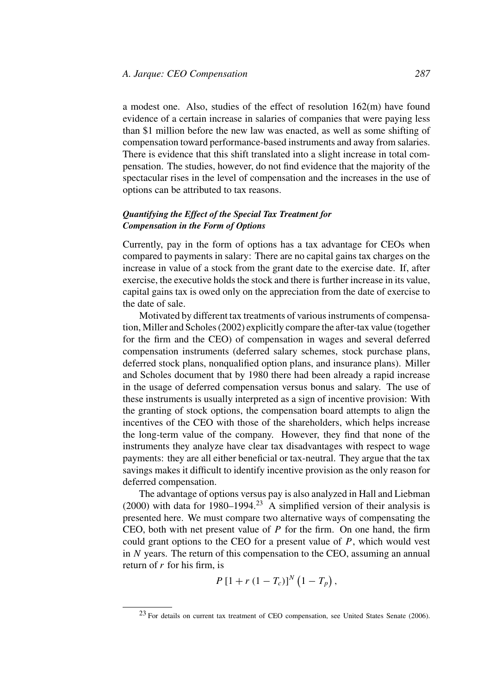a modest one. Also, studies of the effect of resolution 162(m) have found evidence of a certain increase in salaries of companies that were paying less than \$1 million before the new law was enacted, as well as some shifting of compensation toward performance-based instruments and away from salaries. There is evidence that this shift translated into a slight increase in total compensation. The studies, however, do not find evidence that the majority of the spectacular rises in the level of compensation and the increases in the use of options can be attributed to tax reasons.

# *Quantifying the Effect of the Special Tax Treatment for Compensation in the Form of Options*

Currently, pay in the form of options has a tax advantage for CEOs when compared to payments in salary: There are no capital gains tax charges on the increase in value of a stock from the grant date to the exercise date. If, after exercise, the executive holds the stock and there is further increase in its value, capital gains tax is owed only on the appreciation from the date of exercise to the date of sale.

Motivated by different tax treatments of various instruments of compensation, Miller and Scholes (2002) explicitly compare the after-tax value (together for the firm and the CEO) of compensation in wages and several deferred compensation instruments (deferred salary schemes, stock purchase plans, deferred stock plans, nonqualified option plans, and insurance plans). Miller and Scholes document that by 1980 there had been already a rapid increase in the usage of deferred compensation versus bonus and salary. The use of these instruments is usually interpreted as a sign of incentive provision: With the granting of stock options, the compensation board attempts to align the incentives of the CEO with those of the shareholders, which helps increase the long-term value of the company. However, they find that none of the instruments they analyze have clear tax disadvantages with respect to wage payments: they are all either beneficial or tax-neutral. They argue that the tax savings makes it difficult to identify incentive provision as the only reason for deferred compensation.

The advantage of options versus pay is also analyzed in Hall and Liebman (2000) with data for 1980–1994.<sup>23</sup> A simplified version of their analysis is presented here. We must compare two alternative ways of compensating the CEO, both with net present value of *P* for the firm. On one hand, the firm could grant options to the CEO for a present value of *P*, which would vest in *N* years. The return of this compensation to the CEO, assuming an annual return of *r* for his firm, is

$$
P\left[1+r\,(1-T_c)\right]^N\left(1-T_p\right),\,
$$

<sup>23</sup> For details on current tax treatment of CEO compensation, see United States Senate (2006).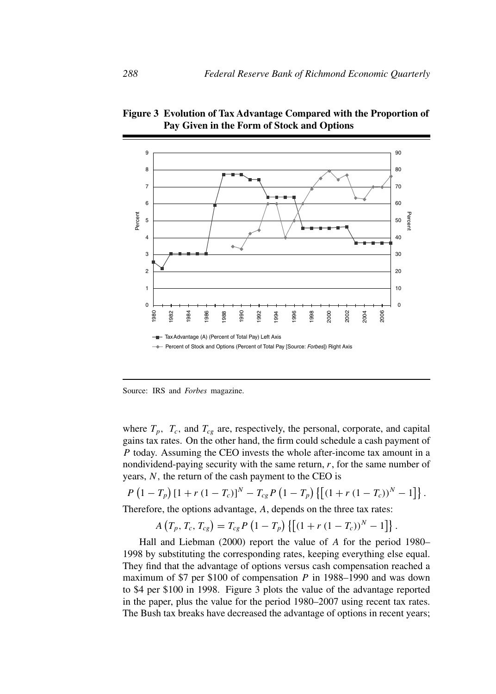

**Figure 3 Evolution of Tax Advantage Compared with the Proportion of Pay Given in the Form of Stock and Options**

Source: IRS and *Forbes* magazine.

where  $T_p$ ,  $T_c$ , and  $T_{cg}$  are, respectively, the personal, corporate, and capital gains tax rates. On the other hand, the firm could schedule a cash payment of *P* today. Assuming the CEO invests the whole after-income tax amount in a nondividend-paying security with the same return, *r*, for the same number of years, *N ,* the return of the cash payment to the CEO is

$$
P\left(1-T_p\right)\left[1+r\left(1-T_c\right)\right]^N-T_{cg}P\left(1-T_p\right)\left\{\left[\left(1+r\left(1-T_c\right)\right)^N-1\right]\right\}.
$$

Therefore, the options advantage, *A*, depends on the three tax rates:

$$
A(T_p, T_c, T_{cg}) = T_{cg} P (1 - T_p) \{ [(1 + r (1 - T_c))^N - 1] \}.
$$

Hall and Liebman (2000) report the value of *A* for the period 1980– 1998 by substituting the corresponding rates, keeping everything else equal. They find that the advantage of options versus cash compensation reached a maximum of \$7 per \$100 of compensation *P* in 1988–1990 and was down to \$4 per \$100 in 1998. Figure 3 plots the value of the advantage reported in the paper, plus the value for the period 1980–2007 using recent tax rates. The Bush tax breaks have decreased the advantage of options in recent years;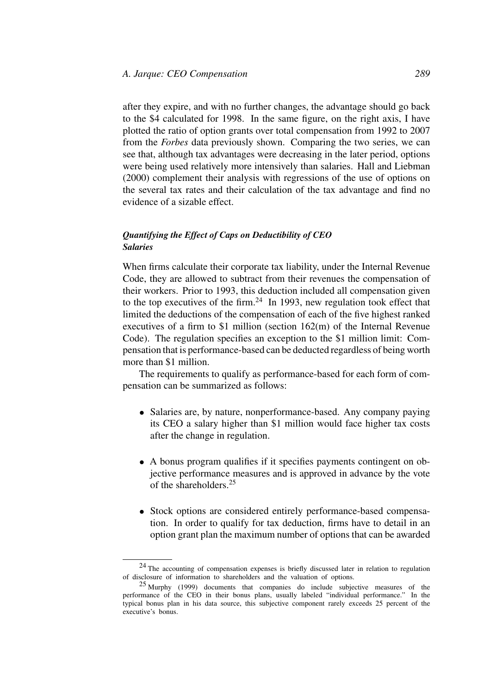after they expire, and with no further changes, the advantage should go back to the \$4 calculated for 1998. In the same figure, on the right axis, I have plotted the ratio of option grants over total compensation from 1992 to 2007 from the *Forbes* data previously shown. Comparing the two series, we can see that, although tax advantages were decreasing in the later period, options were being used relatively more intensively than salaries. Hall and Liebman (2000) complement their analysis with regressions of the use of options on the several tax rates and their calculation of the tax advantage and find no evidence of a sizable effect.

## *Quantifying the Effect of Caps on Deductibility of CEO Salaries*

When firms calculate their corporate tax liability, under the Internal Revenue Code, they are allowed to subtract from their revenues the compensation of their workers. Prior to 1993, this deduction included all compensation given to the top executives of the firm.<sup>24</sup> In 1993, new regulation took effect that limited the deductions of the compensation of each of the five highest ranked executives of a firm to \$1 million (section 162(m) of the Internal Revenue Code). The regulation specifies an exception to the \$1 million limit: Compensation that is performance-based can be deducted regardless of being worth more than \$1 million.

The requirements to qualify as performance-based for each form of compensation can be summarized as follows:

- Salaries are, by nature, nonperformance-based. Any company paying its CEO a salary higher than \$1 million would face higher tax costs after the change in regulation.
- A bonus program qualifies if it specifies payments contingent on objective performance measures and is approved in advance by the vote of the shareholders.25
- Stock options are considered entirely performance-based compensation. In order to qualify for tax deduction, firms have to detail in an option grant plan the maximum number of options that can be awarded

<sup>&</sup>lt;sup>24</sup> The accounting of compensation expenses is briefly discussed later in relation to regulation of disclosure of information to shareholders and the valuation of options.

<sup>25</sup> Murphy (1999) documents that companies do include subjective measures of the performance of the CEO in their bonus plans, usually labeled "individual performance." In the typical bonus plan in his data source, this subjective component rarely exceeds 25 percent of the executive's bonus.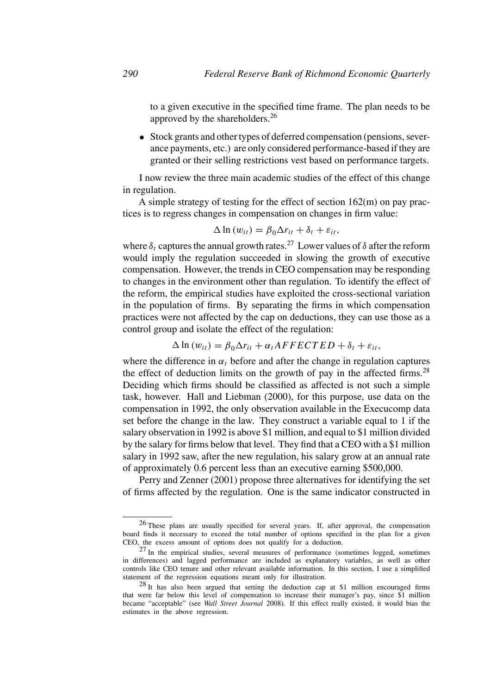to a given executive in the specified time frame. The plan needs to be approved by the shareholders.26

• Stock grants and other types of deferred compensation (pensions, severance payments, etc.) are only considered performance-based if they are granted or their selling restrictions vest based on performance targets.

I now review the three main academic studies of the effect of this change in regulation.

A simple strategy of testing for the effect of section 162(m) on pay practices is to regress changes in compensation on changes in firm value:

$$
\Delta \ln (w_{it}) = \beta_0 \Delta r_{it} + \delta_t + \varepsilon_{it},
$$

where  $\delta_t$  captures the annual growth rates.<sup>27</sup> Lower values of  $\delta$  after the reform would imply the regulation succeeded in slowing the growth of executive compensation. However, the trends in CEO compensation may be responding to changes in the environment other than regulation. To identify the effect of the reform, the empirical studies have exploited the cross-sectional variation in the population of firms. By separating the firms in which compensation practices were not affected by the cap on deductions, they can use those as a control group and isolate the effect of the regulation:

$$
\Delta \ln (w_{it}) = \beta_0 \Delta r_{it} + \alpha_t A F F E C T E D + \delta_t + \varepsilon_{it},
$$

where the difference in  $\alpha_t$  before and after the change in regulation captures the effect of deduction limits on the growth of pay in the affected firms.<sup>28</sup> Deciding which firms should be classified as affected is not such a simple task, however. Hall and Liebman (2000), for this purpose, use data on the compensation in 1992, the only observation available in the Execucomp data set before the change in the law. They construct a variable equal to 1 if the salary observation in 1992 is above \$1 million, and equal to \$1 million divided by the salary for firms below that level. They find that a CEO with a \$1 million salary in 1992 saw, after the new regulation, his salary grow at an annual rate of approximately 0.6 percent less than an executive earning \$500,000.

Perry and Zenner (2001) propose three alternatives for identifying the set of firms affected by the regulation. One is the same indicator constructed in

<sup>26</sup> These plans are usually specified for several years. If, after approval, the compensation board finds it necessary to exceed the total number of options specified in the plan for a given CEO, the excess amount of options does not qualify for a deduction.

<sup>27</sup> In the empirical studies, several measures of performance (sometimes logged, sometimes in differences) and lagged performance are included as explanatory variables, as well as other controls like CEO tenure and other relevant available information. In this section, I use a simplified statement of the regression equations meant only for illustration.

<sup>28</sup> It has also been argued that setting the deduction cap at \$1 million encouraged firms that were far below this level of compensation to increase their manager's pay, since \$1 million became "acceptable" (see *Wall Street Journal* 2008). If this effect really existed, it would bias the estimates in the above regression.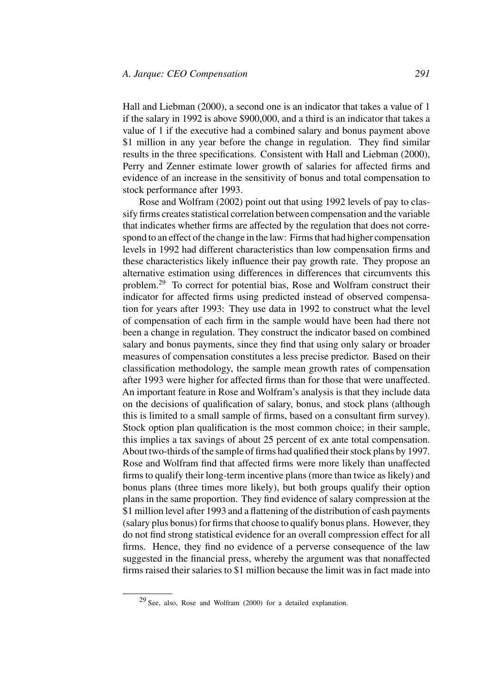Hall and Liebman (2000), a second one is an indicator that takes a value of 1 if the salary in 1992 is above \$900,000, and a third is an indicator that takes a value of 1 if the executive had a combined salary and bonus payment above \$1 million in any year before the change in regulation. They find similar results in the three specifications. Consistent with Hall and Liebman (2000), Perry and Zenner estimate lower growth of salaries for affected firms and evidence of an increase in the sensitivity of bonus and total compensation to stock performance after 1993.

Rose and Wolfram (2002) point out that using 1992 levels of pay to classify firms creates statistical correlation between compensation and the variable that indicates whether firms are affected by the regulation that does not correspond to an effect of the change in the law: Firms that had higher compensation levels in 1992 had different characteristics than low compensation firms and these characteristics likely influence their pay growth rate. They propose an alternative estimation using differences in differences that circumvents this problem.29 To correct for potential bias, Rose and Wolfram construct their indicator for affected firms using predicted instead of observed compensation for years after 1993: They use data in 1992 to construct what the level of compensation of each firm in the sample would have been had there not been a change in regulation. They construct the indicator based on combined salary and bonus payments, since they find that using only salary or broader measures of compensation constitutes a less precise predictor. Based on their classification methodology, the sample mean growth rates of compensation after 1993 were higher for affected firms than for those that were unaffected. An important feature in Rose and Wolfram's analysis is that they include data on the decisions of qualification of salary, bonus, and stock plans (although this is limited to a small sample of firms, based on a consultant firm survey). Stock option plan qualification is the most common choice; in their sample, this implies a tax savings of about 25 percent of ex ante total compensation. About two-thirds of the sample of firms had qualified their stock plans by 1997. Rose and Wolfram find that affected firms were more likely than unaffected firms to qualify their long-term incentive plans (more than twice as likely) and bonus plans (three times more likely), but both groups qualify their option plans in the same proportion. They find evidence of salary compression at the \$1 million level after 1993 and a flattening of the distribution of cash payments (salary plus bonus) for firms that choose to qualify bonus plans. However, they do not find strong statistical evidence for an overall compression effect for all firms. Hence, they find no evidence of a perverse consequence of the law suggested in the financial press, whereby the argument was that nonaffected firms raised their salaries to \$1 million because the limit was in fact made into

<sup>29</sup> See, also, Rose and Wolfram (2000) for a detailed explanation.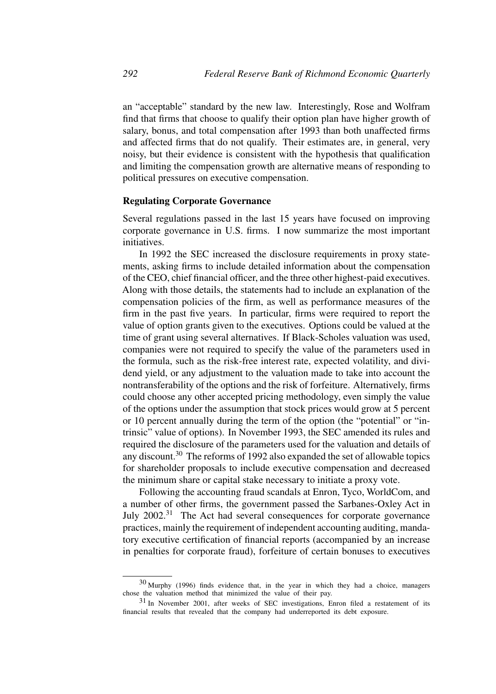an "acceptable" standard by the new law. Interestingly, Rose and Wolfram find that firms that choose to qualify their option plan have higher growth of salary, bonus, and total compensation after 1993 than both unaffected firms and affected firms that do not qualify. Their estimates are, in general, very noisy, but their evidence is consistent with the hypothesis that qualification and limiting the compensation growth are alternative means of responding to political pressures on executive compensation.

#### **Regulating Corporate Governance**

Several regulations passed in the last 15 years have focused on improving corporate governance in U.S. firms. I now summarize the most important initiatives.

In 1992 the SEC increased the disclosure requirements in proxy statements, asking firms to include detailed information about the compensation of the CEO, chief financial officer, and the three other highest-paid executives. Along with those details, the statements had to include an explanation of the compensation policies of the firm, as well as performance measures of the firm in the past five years. In particular, firms were required to report the value of option grants given to the executives. Options could be valued at the time of grant using several alternatives. If Black-Scholes valuation was used, companies were not required to specify the value of the parameters used in the formula, such as the risk-free interest rate, expected volatility, and dividend yield, or any adjustment to the valuation made to take into account the nontransferability of the options and the risk of forfeiture. Alternatively, firms could choose any other accepted pricing methodology, even simply the value of the options under the assumption that stock prices would grow at 5 percent or 10 percent annually during the term of the option (the "potential" or "intrinsic" value of options). In November 1993, the SEC amended its rules and required the disclosure of the parameters used for the valuation and details of any discount.<sup>30</sup> The reforms of 1992 also expanded the set of allowable topics for shareholder proposals to include executive compensation and decreased the minimum share or capital stake necessary to initiate a proxy vote.

Following the accounting fraud scandals at Enron, Tyco, WorldCom, and a number of other firms, the government passed the Sarbanes-Oxley Act in July  $2002<sup>31</sup>$  The Act had several consequences for corporate governance practices, mainly the requirement of independent accounting auditing, mandatory executive certification of financial reports (accompanied by an increase in penalties for corporate fraud), forfeiture of certain bonuses to executives

<sup>30</sup> Murphy (1996) finds evidence that, in the year in which they had a choice, managers chose the valuation method that minimized the value of their pay.

<sup>31</sup> In November 2001, after weeks of SEC investigations, Enron filed a restatement of its financial results that revealed that the company had underreported its debt exposure.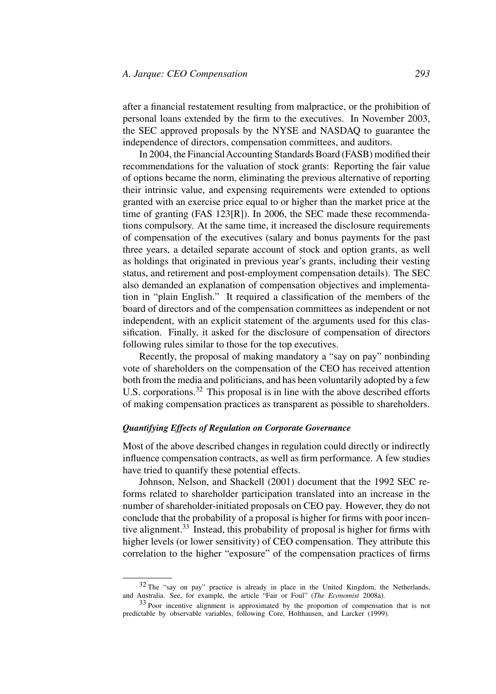after a financial restatement resulting from malpractice, or the prohibition of personal loans extended by the firm to the executives. In November 2003, the SEC approved proposals by the NYSE and NASDAQ to guarantee the independence of directors, compensation committees, and auditors.

In 2004, the Financial Accounting Standards Board (FASB) modified their recommendations for the valuation of stock grants: Reporting the fair value of options became the norm, eliminating the previous alternative of reporting their intrinsic value, and expensing requirements were extended to options granted with an exercise price equal to or higher than the market price at the time of granting (FAS 123[R]). In 2006, the SEC made these recommendations compulsory. At the same time, it increased the disclosure requirements of compensation of the executives (salary and bonus payments for the past three years, a detailed separate account of stock and option grants, as well as holdings that originated in previous year's grants, including their vesting status, and retirement and post-employment compensation details). The SEC also demanded an explanation of compensation objectives and implementation in "plain English." It required a classification of the members of the board of directors and of the compensation committees as independent or not independent, with an explicit statement of the arguments used for this classification. Finally, it asked for the disclosure of compensation of directors following rules similar to those for the top executives.

Recently, the proposal of making mandatory a "say on pay" nonbinding vote of shareholders on the compensation of the CEO has received attention both from the media and politicians, and has been voluntarily adopted by a few U.S. corporations.<sup>32</sup> This proposal is in line with the above described efforts of making compensation practices as transparent as possible to shareholders.

### *Quantifying Effects of Regulation on Corporate Governance*

Most of the above described changes in regulation could directly or indirectly influence compensation contracts, as well as firm performance. A few studies have tried to quantify these potential effects.

Johnson, Nelson, and Shackell (2001) document that the 1992 SEC reforms related to shareholder participation translated into an increase in the number of shareholder-initiated proposals on CEO pay. However, they do not conclude that the probability of a proposal is higher for firms with poor incentive alignment.<sup>33</sup> Instead, this probability of proposal is higher for firms with higher levels (or lower sensitivity) of CEO compensation. They attribute this correlation to the higher "exposure" of the compensation practices of firms

<sup>&</sup>lt;sup>32</sup> The "say on pay" practice is already in place in the United Kingdom, the Netherlands, and Australia. See, for example, the article "Fair or Foul" (*The Economist* 2008a).

<sup>33</sup> Poor incentive alignment is approximated by the proportion of compensation that is not predictable by observable variables, following Core, Holthausen, and Larcker (1999).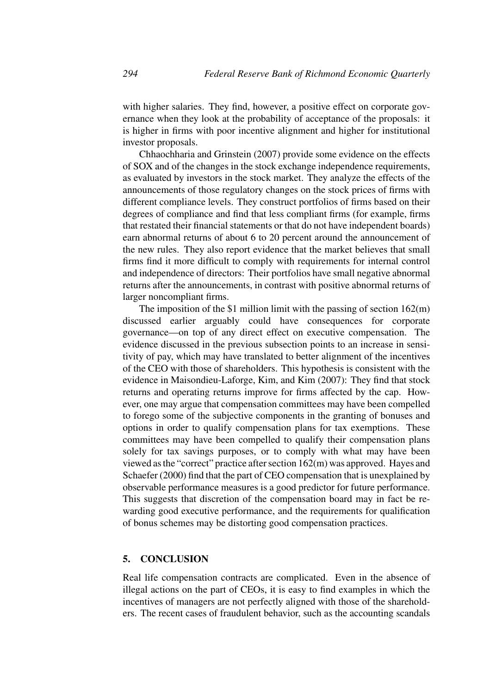with higher salaries. They find, however, a positive effect on corporate governance when they look at the probability of acceptance of the proposals: it is higher in firms with poor incentive alignment and higher for institutional investor proposals.

Chhaochharia and Grinstein (2007) provide some evidence on the effects of SOX and of the changes in the stock exchange independence requirements, as evaluated by investors in the stock market. They analyze the effects of the announcements of those regulatory changes on the stock prices of firms with different compliance levels. They construct portfolios of firms based on their degrees of compliance and find that less compliant firms (for example, firms that restated their financial statements or that do not have independent boards) earn abnormal returns of about 6 to 20 percent around the announcement of the new rules. They also report evidence that the market believes that small firms find it more difficult to comply with requirements for internal control and independence of directors: Their portfolios have small negative abnormal returns after the announcements, in contrast with positive abnormal returns of larger noncompliant firms.

The imposition of the \$1 million limit with the passing of section  $162(m)$ discussed earlier arguably could have consequences for corporate governance—on top of any direct effect on executive compensation. The evidence discussed in the previous subsection points to an increase in sensitivity of pay, which may have translated to better alignment of the incentives of the CEO with those of shareholders. This hypothesis is consistent with the evidence in Maisondieu-Laforge, Kim, and Kim (2007): They find that stock returns and operating returns improve for firms affected by the cap. However, one may argue that compensation committees may have been compelled to forego some of the subjective components in the granting of bonuses and options in order to qualify compensation plans for tax exemptions. These committees may have been compelled to qualify their compensation plans solely for tax savings purposes, or to comply with what may have been viewed as the "correct" practice after section 162(m) was approved. Hayes and Schaefer (2000) find that the part of CEO compensation that is unexplained by observable performance measures is a good predictor for future performance. This suggests that discretion of the compensation board may in fact be rewarding good executive performance, and the requirements for qualification of bonus schemes may be distorting good compensation practices.

## **5. CONCLUSION**

Real life compensation contracts are complicated. Even in the absence of illegal actions on the part of CEOs, it is easy to find examples in which the incentives of managers are not perfectly aligned with those of the shareholders. The recent cases of fraudulent behavior, such as the accounting scandals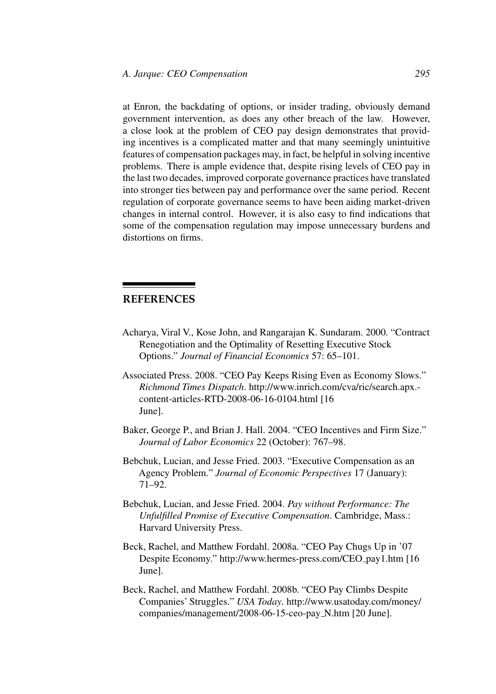at Enron, the backdating of options, or insider trading, obviously demand government intervention, as does any other breach of the law. However, a close look at the problem of CEO pay design demonstrates that providing incentives is a complicated matter and that many seemingly unintuitive features of compensation packages may, in fact, be helpful in solving incentive problems. There is ample evidence that, despite rising levels of CEO pay in the last two decades, improved corporate governance practices have translated into stronger ties between pay and performance over the same period. Recent regulation of corporate governance seems to have been aiding market-driven changes in internal control. However, it is also easy to find indications that some of the compensation regulation may impose unnecessary burdens and distortions on firms.

# **REFERENCES**

- Acharya, Viral V., Kose John, and Rangarajan K. Sundaram. 2000. "Contract Renegotiation and the Optimality of Resetting Executive Stock Options." *Journal of Financial Economics* 57: 65–101.
- Associated Press. 2008. "CEO Pay Keeps Rising Even as Economy Slows." *Richmond Times Dispatch*. http://www.inrich.com/cva/ric/search.apx. content-articles-RTD-2008-06-16-0104.html [16 June].
- Baker, George P., and Brian J. Hall. 2004. "CEO Incentives and Firm Size." *Journal of Labor Economics* 22 (October): 767–98.
- Bebchuk, Lucian, and Jesse Fried. 2003. "Executive Compensation as an Agency Problem." *Journal of Economic Perspectives* 17 (January): 71–92.
- Bebchuk, Lucian, and Jesse Fried. 2004. *Pay without Performance: The Unfulfilled Promise of Executive Compensation*. Cambridge, Mass.: Harvard University Press.
- Beck, Rachel, and Matthew Fordahl. 2008a. "CEO Pay Chugs Up in '07 Despite Economy." http://www.hermes-press.com/CEO pay1.htm [16 June].
- Beck, Rachel, and Matthew Fordahl. 2008b. "CEO Pay Climbs Despite Companies' Struggles." *USA Today*. http://www.usatoday.com/money/ companies/management/2008-06-15-ceo-pay N.htm [20 June].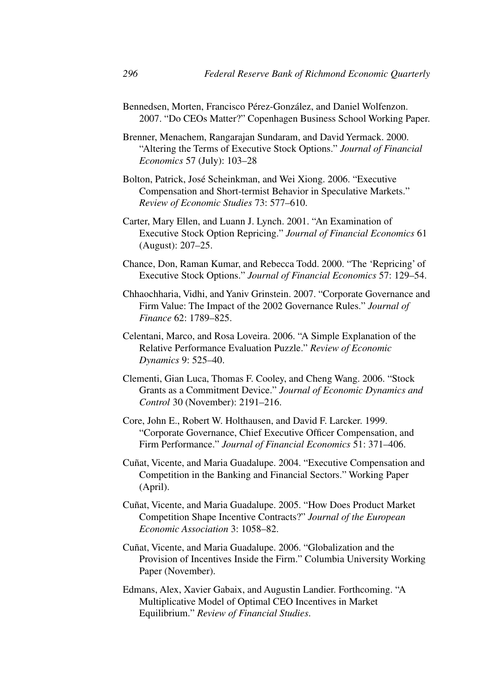Bennedsen, Morten, Francisco Pérez-González, and Daniel Wolfenzon. 2007. "Do CEOs Matter?" Copenhagen Business School Working Paper.

Brenner, Menachem, Rangarajan Sundaram, and David Yermack. 2000. "Altering the Terms of Executive Stock Options." *Journal of Financial Economics* 57 (July): 103–28

- Bolton, Patrick, José Scheinkman, and Wei Xiong. 2006. "Executive Compensation and Short-termist Behavior in Speculative Markets." *Review of Economic Studies* 73: 577–610.
- Carter, Mary Ellen, and Luann J. Lynch. 2001. "An Examination of Executive Stock Option Repricing." *Journal of Financial Economics* 61 (August): 207–25.
- Chance, Don, Raman Kumar, and Rebecca Todd. 2000. "The 'Repricing' of Executive Stock Options." *Journal of Financial Economics* 57: 129–54.
- Chhaochharia, Vidhi, and Yaniv Grinstein. 2007. "Corporate Governance and Firm Value: The Impact of the 2002 Governance Rules." *Journal of Finance* 62: 1789–825.
- Celentani, Marco, and Rosa Loveira. 2006. "A Simple Explanation of the Relative Performance Evaluation Puzzle." *Review of Economic Dynamics* 9: 525–40.
- Clementi, Gian Luca, Thomas F. Cooley, and Cheng Wang. 2006. "Stock Grants as a Commitment Device." *Journal of Economic Dynamics and Control* 30 (November): 2191–216.
- Core, John E., Robert W. Holthausen, and David F. Larcker. 1999. "Corporate Governance, Chief Executive Officer Compensation, and Firm Performance." *Journal of Financial Economics* 51: 371–406.
- Cuñat, Vicente, and Maria Guadalupe. 2004. "Executive Compensation and Competition in the Banking and Financial Sectors." Working Paper (April).
- Cuñat, Vicente, and Maria Guadalupe. 2005. "How Does Product Market Competition Shape Incentive Contracts?" *Journal of the European Economic Association* 3: 1058–82.
- Cuñat, Vicente, and Maria Guadalupe. 2006. "Globalization and the Provision of Incentives Inside the Firm." Columbia University Working Paper (November).
- Edmans, Alex, Xavier Gabaix, and Augustin Landier. Forthcoming. "A Multiplicative Model of Optimal CEO Incentives in Market Equilibrium." *Review of Financial Studies*.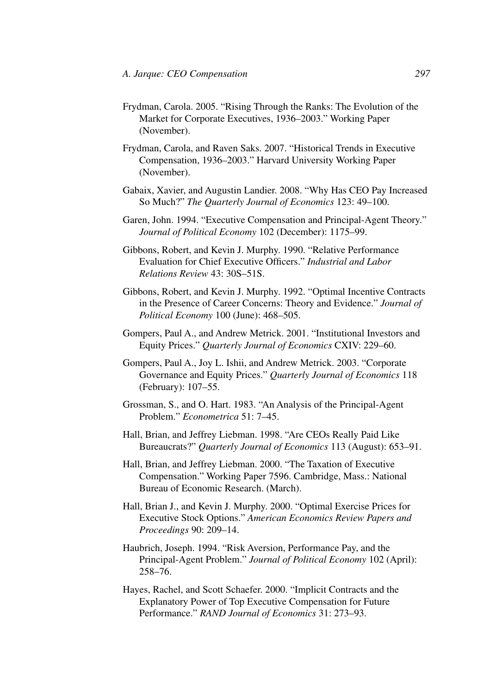- Frydman, Carola. 2005. "Rising Through the Ranks: The Evolution of the Market for Corporate Executives, 1936–2003." Working Paper (November).
- Frydman, Carola, and Raven Saks. 2007. "Historical Trends in Executive Compensation, 1936–2003." Harvard University Working Paper (November).
- Gabaix, Xavier, and Augustin Landier. 2008. "Why Has CEO Pay Increased So Much?" *The Quarterly Journal of Economics* 123: 49–100.
- Garen, John. 1994. "Executive Compensation and Principal-Agent Theory." *Journal of Political Economy* 102 (December): 1175–99.
- Gibbons, Robert, and Kevin J. Murphy. 1990. "Relative Performance Evaluation for Chief Executive Officers." *Industrial and Labor Relations Review* 43: 30S–51S.
- Gibbons, Robert, and Kevin J. Murphy. 1992. "Optimal Incentive Contracts in the Presence of Career Concerns: Theory and Evidence." *Journal of Political Economy* 100 (June): 468–505.
- Gompers, Paul A., and Andrew Metrick. 2001. "Institutional Investors and Equity Prices." *Quarterly Journal of Economics* CXIV: 229–60.
- Gompers, Paul A., Joy L. Ishii, and Andrew Metrick. 2003. "Corporate Governance and Equity Prices." *Quarterly Journal of Economics* 118 (February): 107–55.
- Grossman, S., and O. Hart. 1983. "An Analysis of the Principal-Agent Problem." *Econometrica* 51: 7–45.
- Hall, Brian, and Jeffrey Liebman. 1998. "Are CEOs Really Paid Like Bureaucrats?" *Quarterly Journal of Economics* 113 (August): 653–91.
- Hall, Brian, and Jeffrey Liebman. 2000. "The Taxation of Executive Compensation." Working Paper 7596. Cambridge, Mass.: National Bureau of Economic Research. (March).
- Hall, Brian J., and Kevin J. Murphy. 2000. "Optimal Exercise Prices for Executive Stock Options." *American Economics Review Papers and Proceedings* 90: 209–14.
- Haubrich, Joseph. 1994. "Risk Aversion, Performance Pay, and the Principal-Agent Problem." *Journal of Political Economy* 102 (April): 258–76.
- Hayes, Rachel, and Scott Schaefer. 2000. "Implicit Contracts and the Explanatory Power of Top Executive Compensation for Future Performance." *RAND Journal of Economics* 31: 273–93.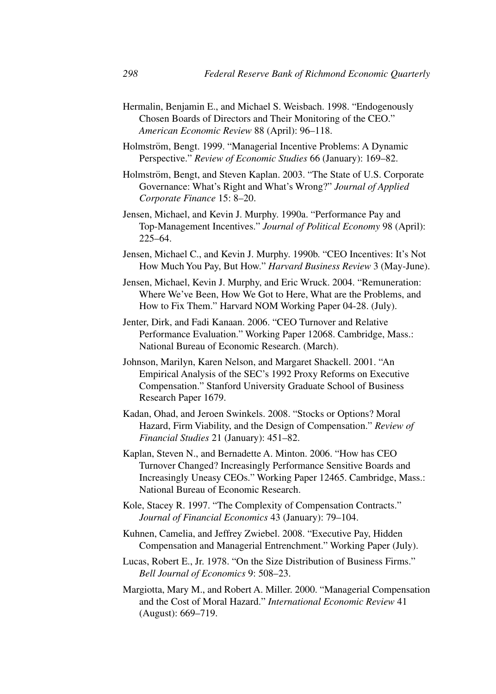- Hermalin, Benjamin E., and Michael S. Weisbach. 1998. "Endogenously Chosen Boards of Directors and Their Monitoring of the CEO." *American Economic Review* 88 (April): 96–118.
- Holmström, Bengt. 1999. "Managerial Incentive Problems: A Dynamic Perspective." *Review of Economic Studies* 66 (January): 169–82.
- Holmström, Bengt, and Steven Kaplan. 2003. "The State of U.S. Corporate Governance: What's Right and What's Wrong?" *Journal of Applied Corporate Finance* 15: 8–20.
- Jensen, Michael, and Kevin J. Murphy. 1990a. "Performance Pay and Top-Management Incentives." *Journal of Political Economy* 98 (April): 225–64.
- Jensen, Michael C., and Kevin J. Murphy. 1990b. "CEO Incentives: It's Not How Much You Pay, But How." *Harvard Business Review* 3 (May-June).
- Jensen, Michael, Kevin J. Murphy, and Eric Wruck. 2004. "Remuneration: Where We've Been, How We Got to Here, What are the Problems, and How to Fix Them." Harvard NOM Working Paper 04-28. (July).
- Jenter, Dirk, and Fadi Kanaan. 2006. "CEO Turnover and Relative Performance Evaluation." Working Paper 12068. Cambridge, Mass.: National Bureau of Economic Research. (March).
- Johnson, Marilyn, Karen Nelson, and Margaret Shackell. 2001. "An Empirical Analysis of the SEC's 1992 Proxy Reforms on Executive Compensation." Stanford University Graduate School of Business Research Paper 1679.
- Kadan, Ohad, and Jeroen Swinkels. 2008. "Stocks or Options? Moral Hazard, Firm Viability, and the Design of Compensation." *Review of Financial Studies* 21 (January): 451–82.
- Kaplan, Steven N., and Bernadette A. Minton. 2006. "How has CEO Turnover Changed? Increasingly Performance Sensitive Boards and Increasingly Uneasy CEOs." Working Paper 12465. Cambridge, Mass.: National Bureau of Economic Research.
- Kole, Stacey R. 1997. "The Complexity of Compensation Contracts." *Journal of Financial Economics* 43 (January): 79–104.
- Kuhnen, Camelia, and Jeffrey Zwiebel. 2008. "Executive Pay, Hidden Compensation and Managerial Entrenchment." Working Paper (July).
- Lucas, Robert E., Jr. 1978. "On the Size Distribution of Business Firms." *Bell Journal of Economics* 9: 508–23.
- Margiotta, Mary M., and Robert A. Miller. 2000. "Managerial Compensation and the Cost of Moral Hazard." *International Economic Review* 41 (August): 669–719.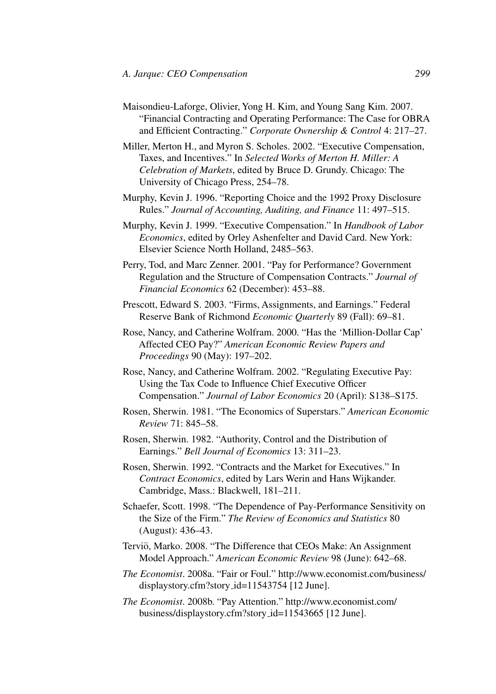Maisondieu-Laforge, Olivier, Yong H. Kim, and Young Sang Kim. 2007. "Financial Contracting and Operating Performance: The Case for OBRA and Efficient Contracting." *Corporate Ownership & Control* 4: 217–27.

Miller, Merton H., and Myron S. Scholes. 2002. "Executive Compensation, Taxes, and Incentives." In *Selected Works of Merton H. Miller: A Celebration of Markets*, edited by Bruce D. Grundy. Chicago: The University of Chicago Press, 254–78.

Murphy, Kevin J. 1996. "Reporting Choice and the 1992 Proxy Disclosure Rules." *Journal of Accounting, Auditing, and Finance* 11: 497–515.

Murphy, Kevin J. 1999. "Executive Compensation." In *Handbook of Labor Economics*, edited by Orley Ashenfelter and David Card. New York: Elsevier Science North Holland, 2485–563.

Perry, Tod, and Marc Zenner. 2001. "Pay for Performance? Government Regulation and the Structure of Compensation Contracts." *Journal of Financial Economics* 62 (December): 453–88.

Prescott, Edward S. 2003. "Firms, Assignments, and Earnings." Federal Reserve Bank of Richmond *Economic Quarterly* 89 (Fall): 69–81.

Rose, Nancy, and Catherine Wolfram. 2000. "Has the 'Million-Dollar Cap' Affected CEO Pay?" *American Economic Review Papers and Proceedings* 90 (May): 197–202.

Rose, Nancy, and Catherine Wolfram. 2002. "Regulating Executive Pay: Using the Tax Code to Influence Chief Executive Officer Compensation." *Journal of Labor Economics* 20 (April): S138–S175.

Rosen, Sherwin. 1981. "The Economics of Superstars." *American Economic Review* 71: 845–58.

Rosen, Sherwin. 1982. "Authority, Control and the Distribution of Earnings." *Bell Journal of Economics* 13: 311–23.

Rosen, Sherwin. 1992. "Contracts and the Market for Executives." In *Contract Economics*, edited by Lars Werin and Hans Wijkander. Cambridge, Mass.: Blackwell, 181–211.

Schaefer, Scott. 1998. "The Dependence of Pay-Performance Sensitivity on the Size of the Firm." *The Review of Economics and Statistics* 80 (August): 436–43.

Terviö, Marko. 2008. "The Difference that CEOs Make: An Assignment Model Approach." *American Economic Review* 98 (June): 642–68.

*The Economist*. 2008a. "Fair or Foul." http://www.economist.com/business/ displaystory.cfm?story id=11543754 [12 June].

*The Economist*. 2008b. "Pay Attention." http://www.economist.com/ business/displaystory.cfm?story id=11543665 [12 June].